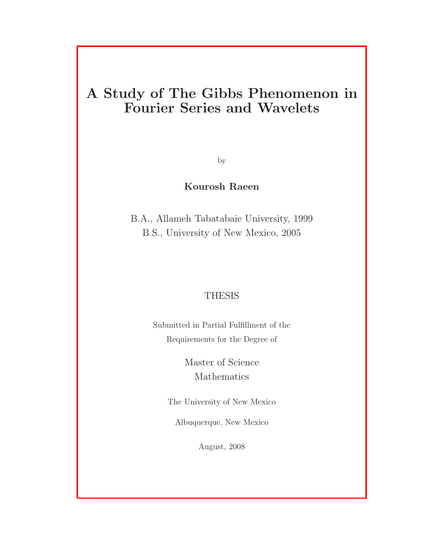### A Study of The Gibbs Phenomenon in Fourier Series and Wavelets

by

#### Kourosh Raeen

B.A., Allameh Tabatabaie University, 1999 B.S., University of New Mexico, 2005

#### THESIS

Submitted in Partial Fulfillment of the Requirements for the Degree of

> Master of Science Mathematics

The University of New Mexico

Albuquerque, New Mexico

August, 2008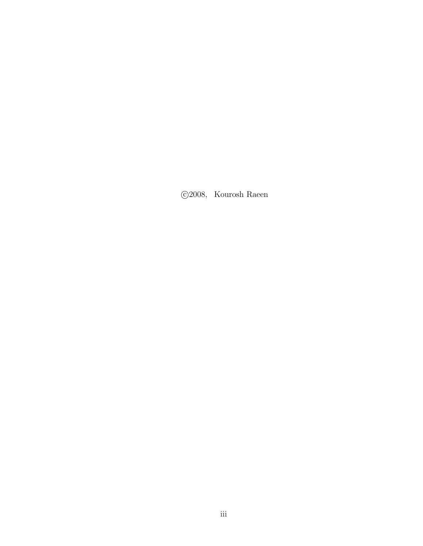°c 2008, Kourosh Raeen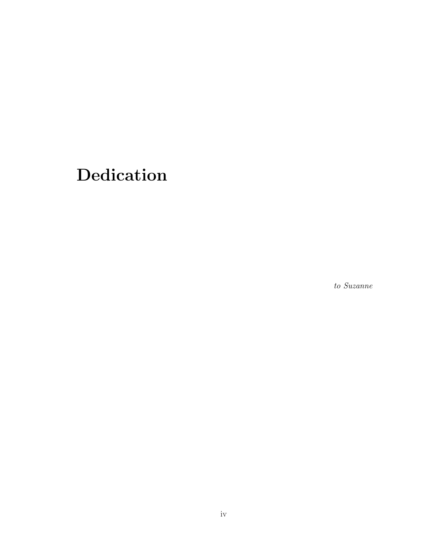# Dedication

to Suzanne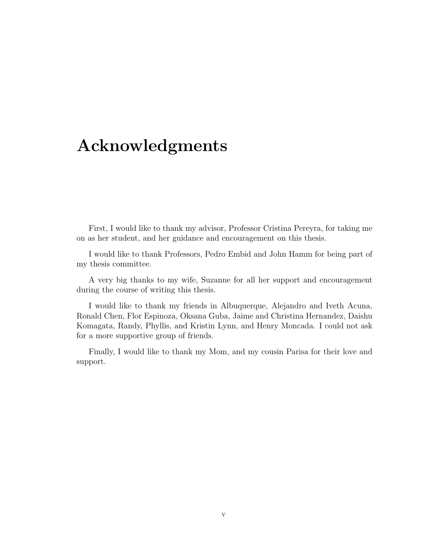### Acknowledgments

First, I would like to thank my advisor, Professor Cristina Pereyra, for taking me on as her student, and her guidance and encouragement on this thesis.

I would like to thank Professors, Pedro Embid and John Hamm for being part of my thesis committee.

A very big thanks to my wife, Suzanne for all her support and encouragement during the course of writing this thesis.

I would like to thank my friends in Albuquerque, Alejandro and Iveth Acuna, Ronald Chen, Flor Espinoza, Oksana Guba, Jaime and Christina Hernandez, Daishu Komagata, Randy, Phyllis, and Kristin Lynn, and Henry Moncada. I could not ask for a more supportive group of friends.

Finally, I would like to thank my Mom, and my cousin Parisa for their love and support.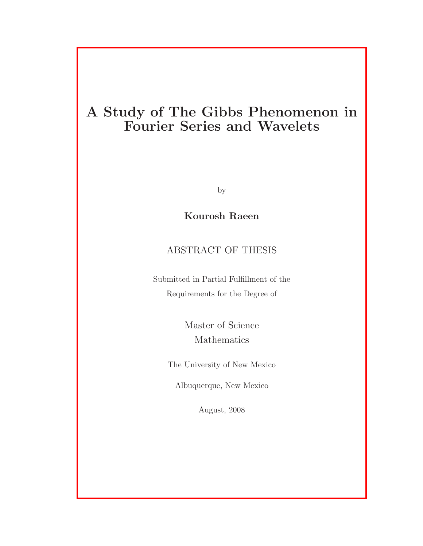### A Study of The Gibbs Phenomenon in Fourier Series and Wavelets

by

Kourosh Raeen

#### ABSTRACT OF THESIS

Submitted in Partial Fulfillment of the Requirements for the Degree of

> Master of Science Mathematics

The University of New Mexico

Albuquerque, New Mexico

August, 2008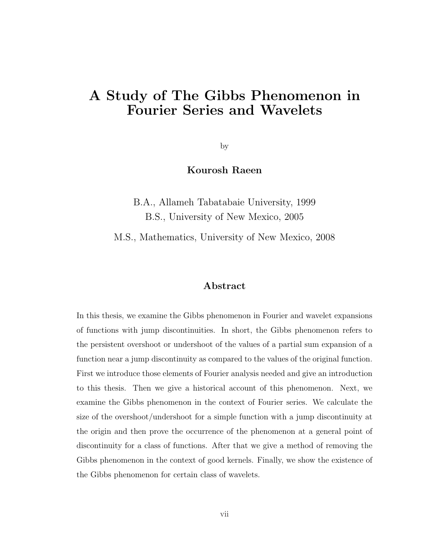### A Study of The Gibbs Phenomenon in Fourier Series and Wavelets

by

#### Kourosh Raeen

B.A., Allameh Tabatabaie University, 1999 B.S., University of New Mexico, 2005

M.S., Mathematics, University of New Mexico, 2008

#### Abstract

In this thesis, we examine the Gibbs phenomenon in Fourier and wavelet expansions of functions with jump discontinuities. In short, the Gibbs phenomenon refers to the persistent overshoot or undershoot of the values of a partial sum expansion of a function near a jump discontinuity as compared to the values of the original function. First we introduce those elements of Fourier analysis needed and give an introduction to this thesis. Then we give a historical account of this phenomenon. Next, we examine the Gibbs phenomenon in the context of Fourier series. We calculate the size of the overshoot/undershoot for a simple function with a jump discontinuity at the origin and then prove the occurrence of the phenomenon at a general point of discontinuity for a class of functions. After that we give a method of removing the Gibbs phenomenon in the context of good kernels. Finally, we show the existence of the Gibbs phenomenon for certain class of wavelets.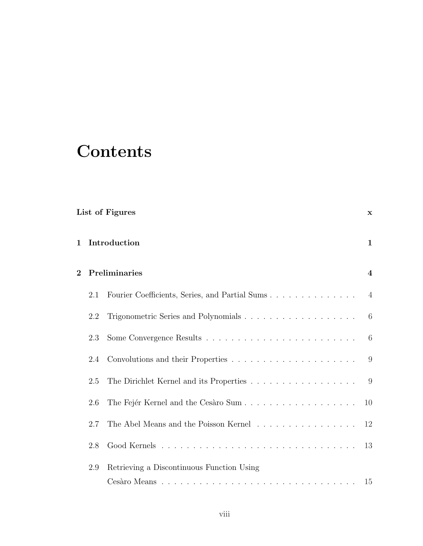# **Contents**

| List of Figures |               |                                           |                |
|-----------------|---------------|-------------------------------------------|----------------|
| $\mathbf 1$     | Introduction  |                                           |                |
| $\overline{2}$  | Preliminaries |                                           |                |
|                 | 2.1           |                                           | $\overline{4}$ |
|                 | 2.2           |                                           | - 6            |
|                 | 2.3           |                                           | 6              |
|                 | 2.4           |                                           | 9              |
|                 | 2.5           | The Dirichlet Kernel and its Properties   | - 9            |
|                 | 2.6           |                                           | 10             |
|                 | 2.7           | The Abel Means and the Poisson Kernel     | 12             |
|                 | 2.8           |                                           | 13             |
|                 | 2.9           | Retrieving a Discontinuous Function Using |                |
|                 |               |                                           | 15             |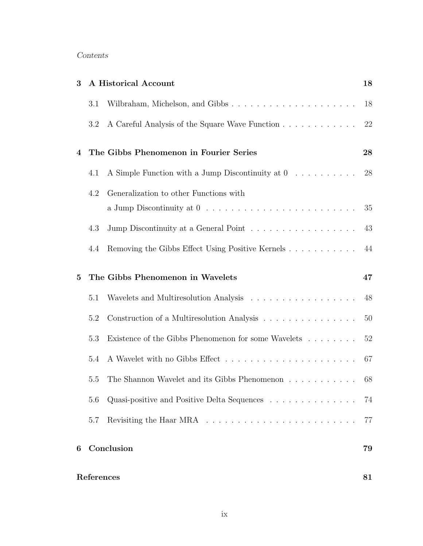#### Contents

| 3              |            | A Historical Account                                                                          | 18 |  |
|----------------|------------|-----------------------------------------------------------------------------------------------|----|--|
|                | 3.1        |                                                                                               | 18 |  |
|                | 3.2        | A Careful Analysis of the Square Wave Function                                                | 22 |  |
| $\overline{4}$ |            | The Gibbs Phenomenon in Fourier Series                                                        | 28 |  |
|                | 4.1        | A Simple Function with a Jump Discontinuity at $0 \ldots \ldots \ldots$                       | 28 |  |
|                | 4.2        | Generalization to other Functions with                                                        | 35 |  |
|                | 4.3        | Jump Discontinuity at a General Point                                                         | 43 |  |
|                | 4.4        | Removing the Gibbs Effect Using Positive Kernels                                              | 44 |  |
| $\bf{5}$       |            | The Gibbs Phenomenon in Wavelets                                                              | 47 |  |
|                | 5.1        | Wavelets and Multiresolution Analysis $\ldots \ldots \ldots \ldots \ldots \ldots$             | 48 |  |
|                | 5.2        | Construction of a Multiresolution Analysis                                                    | 50 |  |
|                | 5.3        | Existence of the Gibbs Phenomenon for some Wavelets                                           | 52 |  |
|                | 5.4        |                                                                                               | 67 |  |
|                | 5.5        | The Shannon Wavelet and its Gibbs Phenomenon $\;\ldots\; \ldots\; \ldots\; \ldots\; \ldots\;$ | 68 |  |
|                | 5.6        | Quasi-positive and Positive Delta Sequences                                                   | 74 |  |
|                | 5.7        |                                                                                               | 77 |  |
| 6              |            | Conclusion                                                                                    | 79 |  |
|                | References |                                                                                               |    |  |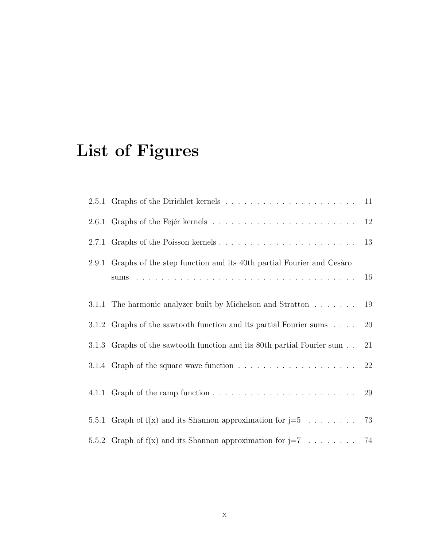# List of Figures

| 2.9.1 Graphs of the step function and its 40th partial Fourier and Cesaro           | 16 |
|-------------------------------------------------------------------------------------|----|
| 3.1.1 The harmonic analyzer built by Michelson and Stratton                         | 19 |
| 3.1.2 Graphs of the sawtooth function and its partial Fourier sums                  | 20 |
| 3.1.3 Graphs of the sawtooth function and its 80th partial Fourier sum              | 21 |
| 3.1.4 Graph of the square wave function $\ldots \ldots \ldots \ldots \ldots \ldots$ | 22 |
|                                                                                     |    |
| 5.5.1 Graph of $f(x)$ and its Shannon approximation for $j=5$ 73                    |    |
| 5.5.2 Graph of $f(x)$ and its Shannon approximation for $j=7$ 74                    |    |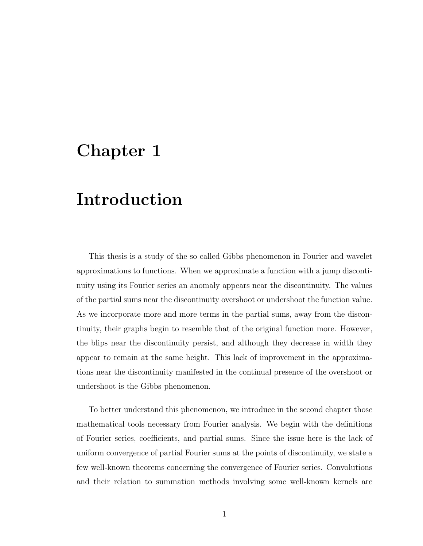# Chapter 1

## Introduction

This thesis is a study of the so called Gibbs phenomenon in Fourier and wavelet approximations to functions. When we approximate a function with a jump discontinuity using its Fourier series an anomaly appears near the discontinuity. The values of the partial sums near the discontinuity overshoot or undershoot the function value. As we incorporate more and more terms in the partial sums, away from the discontinuity, their graphs begin to resemble that of the original function more. However, the blips near the discontinuity persist, and although they decrease in width they appear to remain at the same height. This lack of improvement in the approximations near the discontinuity manifested in the continual presence of the overshoot or undershoot is the Gibbs phenomenon.

To better understand this phenomenon, we introduce in the second chapter those mathematical tools necessary from Fourier analysis. We begin with the definitions of Fourier series, coefficients, and partial sums. Since the issue here is the lack of uniform convergence of partial Fourier sums at the points of discontinuity, we state a few well-known theorems concerning the convergence of Fourier series. Convolutions and their relation to summation methods involving some well-known kernels are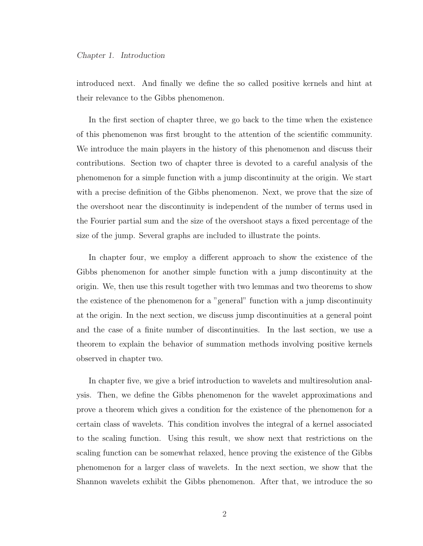introduced next. And finally we define the so called positive kernels and hint at their relevance to the Gibbs phenomenon.

In the first section of chapter three, we go back to the time when the existence of this phenomenon was first brought to the attention of the scientific community. We introduce the main players in the history of this phenomenon and discuss their contributions. Section two of chapter three is devoted to a careful analysis of the phenomenon for a simple function with a jump discontinuity at the origin. We start with a precise definition of the Gibbs phenomenon. Next, we prove that the size of the overshoot near the discontinuity is independent of the number of terms used in the Fourier partial sum and the size of the overshoot stays a fixed percentage of the size of the jump. Several graphs are included to illustrate the points.

In chapter four, we employ a different approach to show the existence of the Gibbs phenomenon for another simple function with a jump discontinuity at the origin. We, then use this result together with two lemmas and two theorems to show the existence of the phenomenon for a "general" function with a jump discontinuity at the origin. In the next section, we discuss jump discontinuities at a general point and the case of a finite number of discontinuities. In the last section, we use a theorem to explain the behavior of summation methods involving positive kernels observed in chapter two.

In chapter five, we give a brief introduction to wavelets and multiresolution analysis. Then, we define the Gibbs phenomenon for the wavelet approximations and prove a theorem which gives a condition for the existence of the phenomenon for a certain class of wavelets. This condition involves the integral of a kernel associated to the scaling function. Using this result, we show next that restrictions on the scaling function can be somewhat relaxed, hence proving the existence of the Gibbs phenomenon for a larger class of wavelets. In the next section, we show that the Shannon wavelets exhibit the Gibbs phenomenon. After that, we introduce the so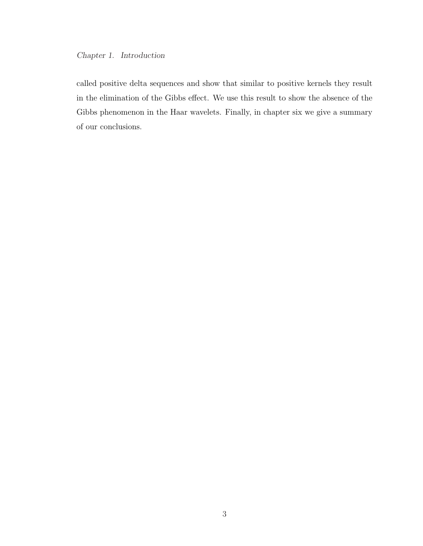#### Chapter 1. Introduction

called positive delta sequences and show that similar to positive kernels they result in the elimination of the Gibbs effect. We use this result to show the absence of the Gibbs phenomenon in the Haar wavelets. Finally, in chapter six we give a summary of our conclusions.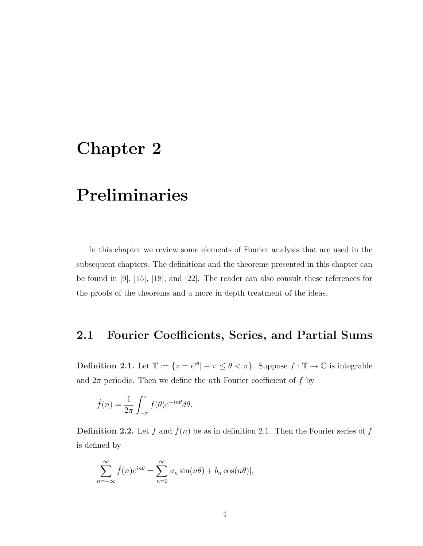## Chapter 2

# Preliminaries

In this chapter we review some elements of Fourier analysis that are used in the subsequent chapters. The definitions and the theorems presented in this chapter can be found in [9], [15], [18], and [22]. The reader can also consult these references for the proofs of the theorems and a more in depth treatment of the ideas.

#### 2.1 Fourier Coefficients, Series, and Partial Sums

**Definition 2.1.** Let  $\mathbb{T} := \{z = e^{i\theta} | -\pi \leq \theta < \pi\}$ . Suppose  $f : \mathbb{T} \to \mathbb{C}$  is integrable and  $2\pi$  periodic. Then we define the *n*th Fourier coefficient of f by

$$
\hat{f}(n) = \frac{1}{2\pi} \int_{-\pi}^{\pi} f(\theta) e^{-in\theta} d\theta.
$$

**Definition 2.2.** Let f and  $\hat{f}(n)$  be as in definition 2.1. Then the Fourier series of f is defined by

$$
\sum_{n=-\infty}^{\infty} \hat{f}(n)e^{in\theta} = \sum_{n=0}^{\infty} [a_n \sin(n\theta) + b_n \cos(n\theta)],
$$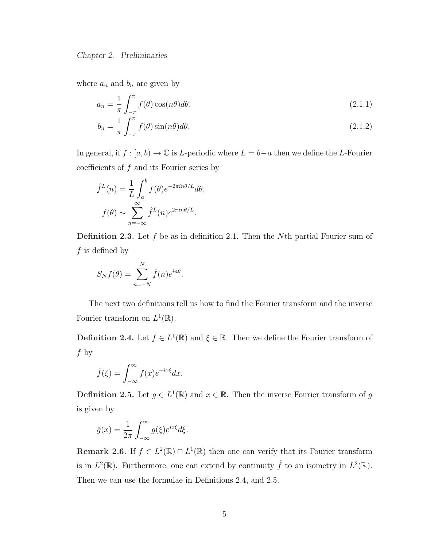where  $a_n$  and  $b_n$  are given by

$$
a_n = \frac{1}{\pi} \int_{-\pi}^{\pi} f(\theta) \cos(n\theta) d\theta,
$$
\n(2.1.1)

$$
b_n = \frac{1}{\pi} \int_{-\pi}^{\pi} f(\theta) \sin(n\theta) d\theta.
$$
 (2.1.2)

In general, if  $f : [a, b) \to \mathbb{C}$  is L-periodic where  $L = b-a$  then we define the L-Fourier coefficients of  $f$  and its Fourier series by

$$
\hat{f}^{L}(n) = \frac{1}{L} \int_{a}^{b} f(\theta) e^{-2\pi i n \theta/L} d\theta,
$$

$$
f(\theta) \sim \sum_{n=-\infty}^{\infty} \hat{f}^{L}(n) e^{2\pi i n \theta/L}.
$$

**Definition 2.3.** Let  $f$  be as in definition 2.1. Then the  $N$ <sup>th</sup> partial Fourier sum of  $f$  is defined by

$$
S_N f(\theta) = \sum_{n=-N}^{N} \hat{f}(n) e^{in\theta}.
$$

The next two definitions tell us how to find the Fourier transform and the inverse Fourier transform on  $L^1(\mathbb{R})$ .

**Definition 2.4.** Let  $f \in L^1(\mathbb{R})$  and  $\xi \in \mathbb{R}$ . Then we define the Fourier transform of f by

$$
\hat{f}(\xi) = \int_{-\infty}^{\infty} f(x)e^{-ix\xi} dx.
$$

**Definition 2.5.** Let  $g \in L^1(\mathbb{R})$  and  $x \in \mathbb{R}$ . Then the inverse Fourier transform of g is given by

$$
\check{g}(x) = \frac{1}{2\pi} \int_{-\infty}^{\infty} g(\xi) e^{ix\xi} d\xi.
$$

**Remark 2.6.** If  $f \in L^2(\mathbb{R}) \cap L^1(\mathbb{R})$  then one can verify that its Fourier transform is in  $L^2(\mathbb{R})$ . Furthermore, one can extend by continuity  $\hat{f}$  to an isometry in  $L^2(\mathbb{R})$ . Then we can use the formulae in Definitions 2.4, and 2.5.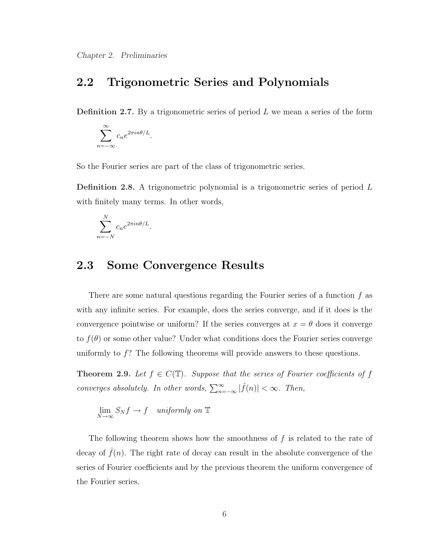### 2.2 Trigonometric Series and Polynomials

**Definition 2.7.** By a trigonometric series of period  $L$  we mean a series of the form

$$
\sum_{n=-\infty}^{\infty} c_n e^{2\pi i n\theta/L}.
$$

So the Fourier series are part of the class of trigonometric series.

Definition 2.8. A trigonometric polynomial is a trigonometric series of period L with finitely many terms. In other words,

$$
\sum_{n=-N}^{N} c_n e^{2\pi i n\theta/L}.
$$

### 2.3 Some Convergence Results

There are some natural questions regarding the Fourier series of a function  $f$  as with any infinite series. For example, does the series converge, and if it does is the convergence pointwise or uniform? If the series converges at  $x = \theta$  does it converge to  $f(\theta)$  or some other value? Under what conditions does the Fourier series converge uniformly to f? The following theorems will provide answers to these questions.

**Theorem 2.9.** Let  $f \in C(\mathbb{T})$ . Suppose that the series of Fourier coefficients of f converges absolutely. In other words,  $\sum_{n=-\infty}^{\infty} |\hat{f}(n)| < \infty$ . Then,

$$
\lim_{N \to \infty} S_N f \to f \quad uniformly \text{ on } \mathbb{T}
$$

The following theorem shows how the smoothness of  $f$  is related to the rate of decay of  $\tilde{f}(n)$ . The right rate of decay can result in the absolute convergence of the series of Fourier coefficients and by the previous theorem the uniform convergence of the Fourier series.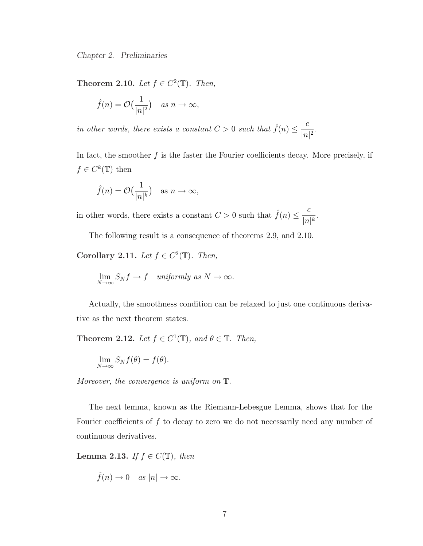Theorem 2.10. Let  $f \in C^2(\mathbb{T})$ . Then,

$$
\hat{f}(n) = \mathcal{O}\left(\frac{1}{|n|^2}\right) \quad \text{as } n \to \infty,
$$

in other words, there exists a constant  $C > 0$  such that  $\hat{f}(n) \leq \frac{c}{1 - a}$  $\frac{c}{|n|^2}$ .

In fact, the smoother  $f$  is the faster the Fourier coefficients decay. More precisely, if  $f \in C^k(\mathbb{T})$  then

$$
\hat{f}(n) = \mathcal{O}\left(\frac{1}{|n|^k}\right) \quad \text{as } n \to \infty,
$$

in other words, there exists a constant  $C > 0$  such that  $\hat{f}(n) \leq \frac{c}{1-c}$  $\frac{c}{|n|^k}$ .

The following result is a consequence of theorems 2.9, and 2.10.

Corollary 2.11. Let  $f \in C^2(\mathbb{T})$ . Then,

$$
\lim_{N \to \infty} S_N f \to f \quad uniformly \text{ as } N \to \infty.
$$

Actually, the smoothness condition can be relaxed to just one continuous derivative as the next theorem states.

Theorem 2.12. Let  $f \in C^1(\mathbb{T})$ , and  $\theta \in \mathbb{T}$ . Then,

$$
\lim_{N \to \infty} S_N f(\theta) = f(\theta).
$$

Moreover, the convergence is uniform on  $\mathbb{T}$ .

The next lemma, known as the Riemann-Lebesgue Lemma, shows that for the Fourier coefficients of  $f$  to decay to zero we do not necessarily need any number of continuous derivatives.

Lemma 2.13. If  $f \in C(\mathbb{T})$ , then

$$
\hat{f}(n) \to 0 \quad \text{as } |n| \to \infty.
$$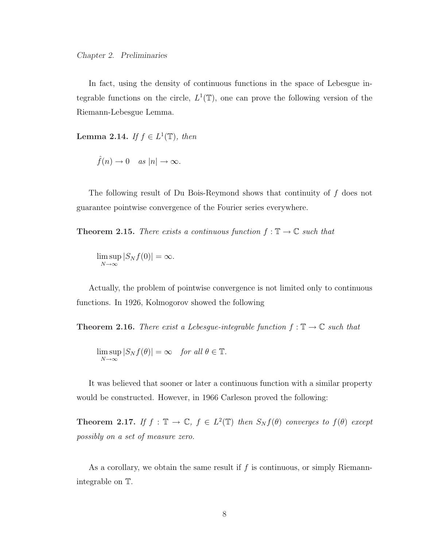In fact, using the density of continuous functions in the space of Lebesgue integrable functions on the circle,  $L^1(\mathbb{T})$ , one can prove the following version of the Riemann-Lebesgue Lemma.

Lemma 2.14. If  $f \in L^1(\mathbb{T})$ , then

$$
\hat{f}(n) \to 0 \quad \text{as } |n| \to \infty.
$$

The following result of Du Bois-Reymond shows that continuity of f does not guarantee pointwise convergence of the Fourier series everywhere.

**Theorem 2.15.** There exists a continuous function  $f : \mathbb{T} \to \mathbb{C}$  such that

lim sup  $\limsup_{N\to\infty} |S_N f(0)| = \infty.$ 

Actually, the problem of pointwise convergence is not limited only to continuous functions. In 1926, Kolmogorov showed the following

**Theorem 2.16.** There exist a Lebesgue-integrable function  $f : \mathbb{T} \to \mathbb{C}$  such that

$$
\limsup_{N \to \infty} |S_N f(\theta)| = \infty \quad \text{for all } \theta \in \mathbb{T}.
$$

It was believed that sooner or later a continuous function with a similar property would be constructed. However, in 1966 Carleson proved the following:

**Theorem 2.17.** If  $f : \mathbb{T} \to \mathbb{C}$ ,  $f \in L^2(\mathbb{T})$  then  $S_N f(\theta)$  converges to  $f(\theta)$  except possibly on a set of measure zero.

As a corollary, we obtain the same result if  $f$  is continuous, or simply Riemannintegrable on T.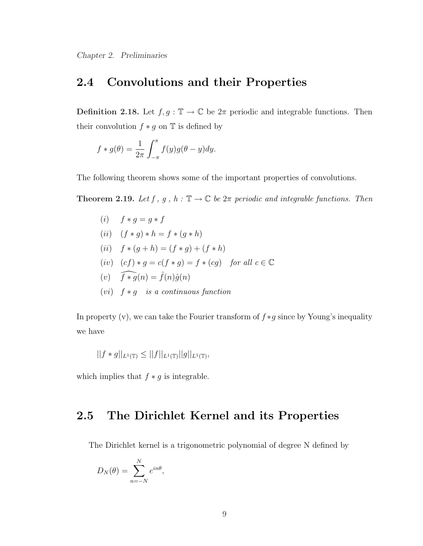### 2.4 Convolutions and their Properties

**Definition 2.18.** Let  $f, g : \mathbb{T} \to \mathbb{C}$  be  $2\pi$  periodic and integrable functions. Then their convolution  $f * g$  on  $\mathbb T$  is defined by

$$
f * g(\theta) = \frac{1}{2\pi} \int_{-\pi}^{\pi} f(y)g(\theta - y)dy.
$$

The following theorem shows some of the important properties of convolutions.

**Theorem 2.19.** Let f, g, h:  $\mathbb{T} \to \mathbb{C}$  be  $2\pi$  periodic and integrable functions. Then

\n- (i) 
$$
f * g = g * f
$$
\n- (ii)  $(f * g) * h = f * (g * h)$
\n- (ii)  $f * (g + h) = (f * g) + (f * h)$
\n- (iv)  $(cf) * g = c(f * g) = f * (cg)$  for all  $c \in \mathbb{C}$
\n- (v)  $\widehat{f * g}(n) = \widehat{f}(n)\widehat{g}(n)$
\n- (vi)  $f * g$  is a continuous function
\n

In property (v), we can take the Fourier transform of  $f * g$  since by Young's inequality we have

$$
||f * g||_{L^1(\mathbb{T})} \leq ||f||_{L^1(\mathbb{T})} ||g||_{L^1(\mathbb{T})},
$$

which implies that  $f * g$  is integrable.

### 2.5 The Dirichlet Kernel and its Properties

The Dirichlet kernel is a trigonometric polynomial of degree N defined by

$$
D_N(\theta) = \sum_{n=-N}^{N} e^{in\theta},
$$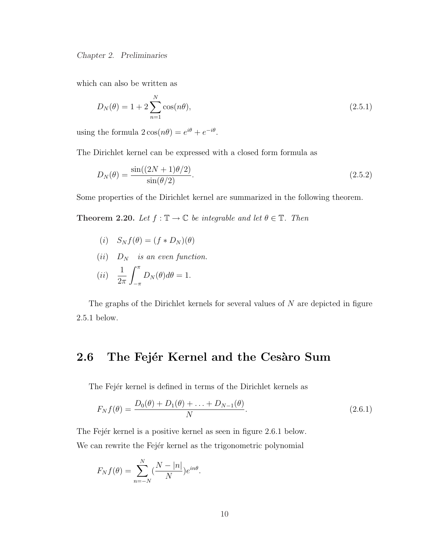which can also be written as

$$
D_N(\theta) = 1 + 2 \sum_{n=1}^{N} \cos(n\theta),
$$
\n(2.5.1)

using the formula  $2\cos(n\theta) = e^{i\theta} + e^{-i\theta}$ .

The Dirichlet kernel can be expressed with a closed form formula as

$$
D_N(\theta) = \frac{\sin((2N+1)\theta/2)}{\sin(\theta/2)}.
$$
\n(2.5.2)

Some properties of the Dirichlet kernel are summarized in the following theorem.

Theorem 2.20. Let  $f : \mathbb{T} \to \mathbb{C}$  be integrable and let  $\theta \in \mathbb{T}$ . Then

- (i)  $S_N f(\theta) = (f * D_N)(\theta)$
- (ii)  $D_N$  is an even function.

$$
(ii) \quad \frac{1}{2\pi} \int_{-\pi}^{\pi} D_N(\theta) d\theta = 1.
$$

The graphs of the Dirichlet kernels for several values of N are depicted in figure 2.5.1 below.

#### 2.6 The Fejér Kernel and the Cesàro Sum

The Fejér kernel is defined in terms of the Dirichlet kernels as

$$
F_N f(\theta) = \frac{D_0(\theta) + D_1(\theta) + \ldots + D_{N-1}(\theta)}{N}.
$$
\n(2.6.1)

The Fejer kernel is a positive kernel as seen in figure 2.6.1 below. We can rewrite the Fejer kernel as the trigonometric polynomial

$$
F_N f(\theta) = \sum_{n=-N}^{N} \left(\frac{N-|n|}{N}\right) e^{in\theta}.
$$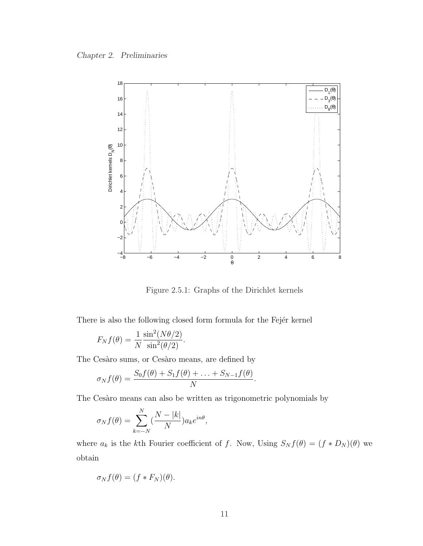

Figure 2.5.1: Graphs of the Dirichlet kernels

There is also the following closed form formula for the Fejer kernel

$$
F_N f(\theta) = \frac{1}{N} \frac{\sin^2(N\theta/2)}{\sin^2(\theta/2)}.
$$

The Cesàro sums, or Cesàro means, are defined by

$$
\sigma_N f(\theta) = \frac{S_0 f(\theta) + S_1 f(\theta) + \ldots + S_{N-1} f(\theta)}{N}.
$$

The Cesàro means can also be written as trigonometric polynomials by

$$
\sigma_N f(\theta) = \sum_{k=-N}^N \left(\frac{N-|k|}{N}\right) a_k e^{in\theta},
$$

where  $a_k$  is the kth Fourier coefficient of f. Now, Using  $S_N f(\theta) = (f * D_N)(\theta)$  we obtain

$$
\sigma_N f(\theta) = (f * F_N)(\theta).
$$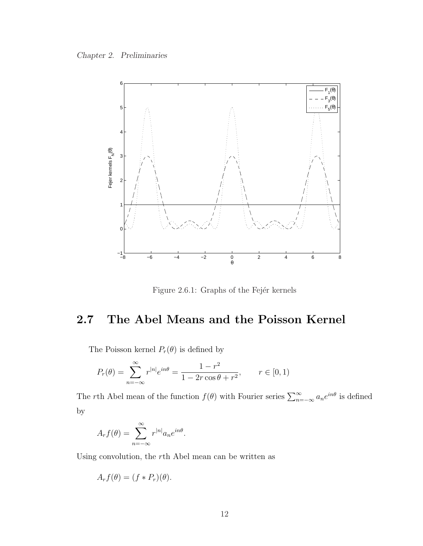Chapter 2. Preliminaries



Figure 2.6.1: Graphs of the Fejér kernels

### 2.7 The Abel Means and the Poisson Kernel

The Poisson kernel  $P_r(\theta)$  is defined by

$$
P_r(\theta) = \sum_{n = -\infty}^{\infty} r^{|n|} e^{in\theta} = \frac{1 - r^2}{1 - 2r \cos \theta + r^2}, \qquad r \in [0, 1)
$$

The rth Abel mean of the function  $f(\theta)$  with Fourier series  $\sum_{n=-\infty}^{\infty} a_n e^{in\theta}$  is defined by

$$
A_r f(\theta) = \sum_{n=-\infty}^{\infty} r^{|n|} a_n e^{in\theta}.
$$

Using convolution, the rth Abel mean can be written as

$$
A_r f(\theta) = (f * P_r)(\theta).
$$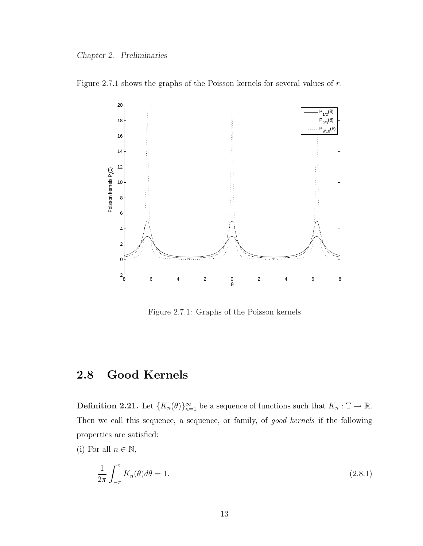



Figure 2.7.1: Graphs of the Poisson kernels

### 2.8 Good Kernels

**Definition 2.21.** Let  ${K_n(\theta)}_{n=1}^{\infty}$  be a sequence of functions such that  $K_n : \mathbb{T} \to \mathbb{R}$ . Then we call this sequence, a sequence, or family, of good kernels if the following properties are satisfied:

(i) For all  $n \in \mathbb{N}$ ,

$$
\frac{1}{2\pi} \int_{-\pi}^{\pi} K_n(\theta) d\theta = 1.
$$
\n(2.8.1)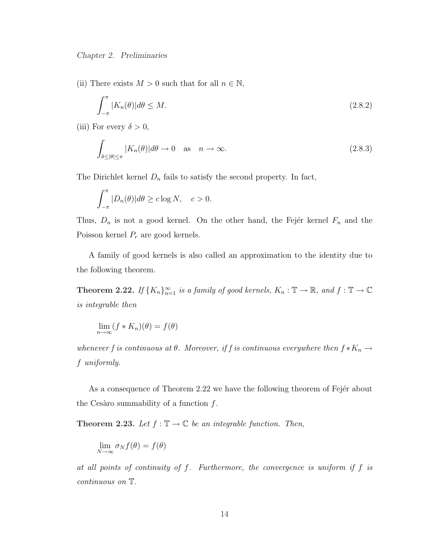(ii) There exists  $M > 0$  such that for all  $n \in \mathbb{N}$ ,

$$
\int_{-\pi}^{\pi} |K_n(\theta)| d\theta \le M. \tag{2.8.2}
$$

(iii) For every  $\delta > 0$ ,

$$
\int_{\delta \leq |\theta| \leq \pi} |K_n(\theta)| d\theta \to 0 \quad \text{as} \quad n \to \infty. \tag{2.8.3}
$$

The Dirichlet kernel  $D_n$  fails to satisfy the second property. In fact,

$$
\int_{-\pi}^{\pi} |D_n(\theta)| d\theta \ge c \log N, \quad c > 0.
$$

Thus,  $D_n$  is not a good kernel. On the other hand, the Fejer kernel  $F_n$  and the Poisson kernel  $P_r$  are good kernels.

A family of good kernels is also called an approximation to the identity due to the following theorem.

**Theorem 2.22.** If  $\{K_n\}_{n=1}^{\infty}$  is a family of good kernels,  $K_n : \mathbb{T} \to \mathbb{R}$ , and  $f : \mathbb{T} \to \mathbb{C}$ is integrable then

$$
\lim_{n \to \infty} (f * K_n)(\theta) = f(\theta)
$$

whenever f is continuous at  $\theta$ . Moreover, if f is continuous everywhere then  $f * K_n \to$ f uniformly.

As a consequence of Theorem 2.22 we have the following theorem of Fejer about the Cesàro summability of a function  $f$ .

**Theorem 2.23.** Let  $f : \mathbb{T} \to \mathbb{C}$  be an integrable function. Then,

$$
\lim_{N \to \infty} \sigma_N f(\theta) = f(\theta)
$$

at all points of continuity of f. Furthermore, the convergence is uniform if f is continuous on T.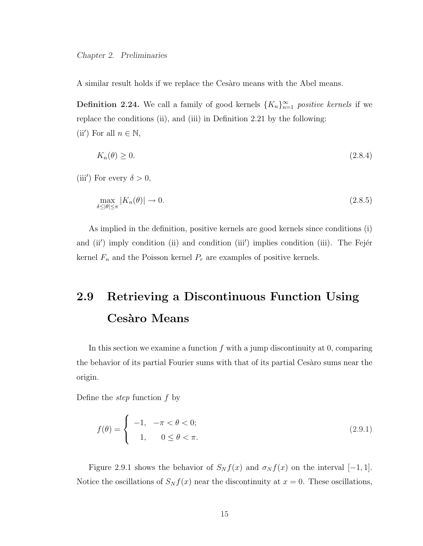A similar result holds if we replace the Cesaro means with the Abel means.

**Definition 2.24.** We call a family of good kernels  $\{K_n\}_{n=1}^{\infty}$  positive kernels if we replace the conditions (ii), and (iii) in Definition 2.21 by the following: (ii') For all  $n \in \mathbb{N}$ ,

$$
K_n(\theta) \ge 0. \tag{2.8.4}
$$

(iii') For every  $\delta > 0$ ,

$$
\max_{\delta \le |\theta| \le \pi} |K_n(\theta)| \to 0. \tag{2.8.5}
$$

As implied in the definition, positive kernels are good kernels since conditions (i) and (ii') imply condition (ii) and condition (iii') implies condition (iii). The Fejer kernel  $F_n$  and the Poisson kernel  $P_r$  are examples of positive kernels.

## 2.9 Retrieving a Discontinuous Function Using Cesàro Means

In this section we examine a function  $f$  with a jump discontinuity at 0, comparing the behavior of its partial Fourier sums with that of its partial Cesaro sums near the origin.

Define the step function f by

$$
f(\theta) = \begin{cases} -1, & -\pi < \theta < 0; \\ 1, & 0 \le \theta < \pi. \end{cases}
$$
 (2.9.1)

Figure 2.9.1 shows the behavior of  $S_N f(x)$  and  $\sigma_N f(x)$  on the interval [−1, 1]. Notice the oscillations of  $S_N f(x)$  near the discontinuity at  $x = 0$ . These oscillations,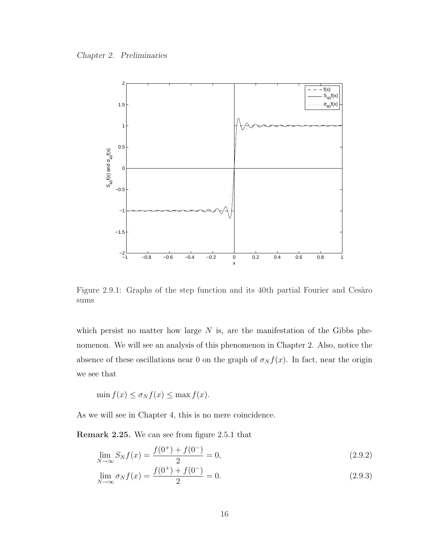Chapter 2. Preliminaries



Figure 2.9.1: Graphs of the step function and its 40th partial Fourier and Cesaro sums

which persist no matter how large  $N$  is, are the manifestation of the Gibbs phenomenon. We will see an analysis of this phenomenon in Chapter 2. Also, notice the absence of these oscillations near 0 on the graph of  $\sigma_N f(x)$ . In fact, near the origin we see that

$$
\min f(x) \le \sigma_N f(x) \le \max f(x).
$$

As we will see in Chapter 4, this is no mere coincidence.

Remark 2.25. We can see from figure 2.5.1 that

$$
\lim_{N \to \infty} S_N f(x) = \frac{f(0^+) + f(0^-)}{2} = 0,
$$
\n(2.9.2)

$$
\lim_{N \to \infty} \sigma_N f(x) = \frac{f(0^+) + f(0^-)}{2} = 0.
$$
\n(2.9.3)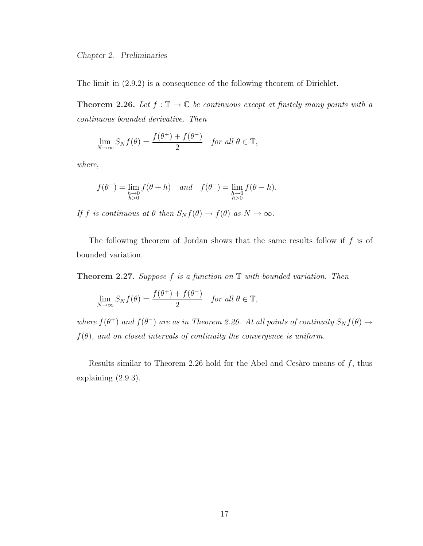The limit in (2.9.2) is a consequence of the following theorem of Dirichlet.

**Theorem 2.26.** Let  $f : \mathbb{T} \to \mathbb{C}$  be continuous except at finitely many points with a continuous bounded derivative. Then

$$
\lim_{N \to \infty} S_N f(\theta) = \frac{f(\theta^+) + f(\theta^-)}{2} \quad \text{for all } \theta \in \mathbb{T},
$$

where,

$$
f(\theta^+) = \lim_{\substack{h \to 0 \\ h>0}} f(\theta + h) \quad and \quad f(\theta^-) = \lim_{\substack{h \to 0 \\ h>0}} f(\theta - h).
$$

If f is continuous at  $\theta$  then  $S_N f(\theta) \to f(\theta)$  as  $N \to \infty$ .

The following theorem of Jordan shows that the same results follow if  $f$  is of bounded variation.

**Theorem 2.27.** Suppose  $f$  is a function on  $\mathbb T$  with bounded variation. Then

$$
\lim_{N \to \infty} S_N f(\theta) = \frac{f(\theta^+) + f(\theta^-)}{2} \quad \text{for all } \theta \in \mathbb{T},
$$

where  $f(\theta^+)$  and  $f(\theta^-)$  are as in Theorem 2.26. At all points of continuity  $S_N f(\theta) \to$  $f(\theta)$ , and on closed intervals of continuity the convergence is uniform.

Results similar to Theorem 2.26 hold for the Abel and Cesaro means of  $f$ , thus explaining (2.9.3).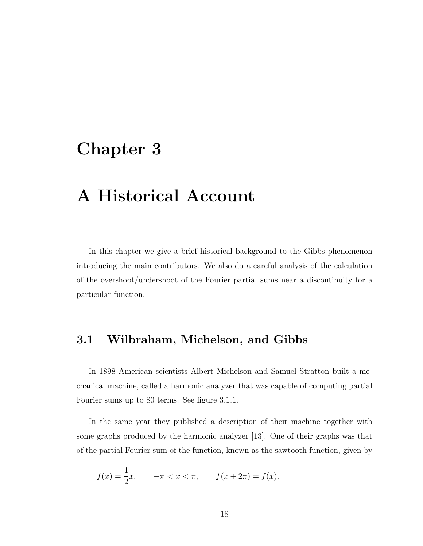### Chapter 3

# A Historical Account

In this chapter we give a brief historical background to the Gibbs phenomenon introducing the main contributors. We also do a careful analysis of the calculation of the overshoot/undershoot of the Fourier partial sums near a discontinuity for a particular function.

### 3.1 Wilbraham, Michelson, and Gibbs

In 1898 American scientists Albert Michelson and Samuel Stratton built a mechanical machine, called a harmonic analyzer that was capable of computing partial Fourier sums up to 80 terms. See figure 3.1.1.

In the same year they published a description of their machine together with some graphs produced by the harmonic analyzer [13]. One of their graphs was that of the partial Fourier sum of the function, known as the sawtooth function, given by

$$
f(x) = \frac{1}{2}x
$$
,  $-\pi < x < \pi$ ,  $f(x + 2\pi) = f(x)$ .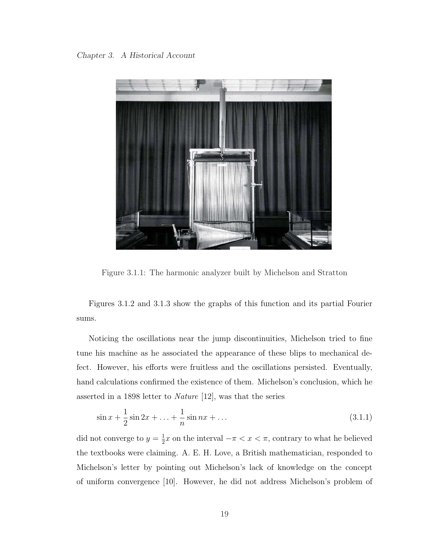

Figure 3.1.1: The harmonic analyzer built by Michelson and Stratton

Figures 3.1.2 and 3.1.3 show the graphs of this function and its partial Fourier sums.

Noticing the oscillations near the jump discontinuities, Michelson tried to fine tune his machine as he associated the appearance of these blips to mechanical defect. However, his efforts were fruitless and the oscillations persisted. Eventually, hand calculations confirmed the existence of them. Michelson's conclusion, which he asserted in a 1898 letter to Nature [12], was that the series

$$
\sin x + \frac{1}{2}\sin 2x + \dots + \frac{1}{n}\sin nx + \dots \tag{3.1.1}
$$

did not converge to  $y=\frac{1}{2}$  $\frac{1}{2}x$  on the interval  $-\pi < x < \pi$ , contrary to what he believed the textbooks were claiming. A. E. H. Love, a British mathematician, responded to Michelson's letter by pointing out Michelson's lack of knowledge on the concept of uniform convergence [10]. However, he did not address Michelson's problem of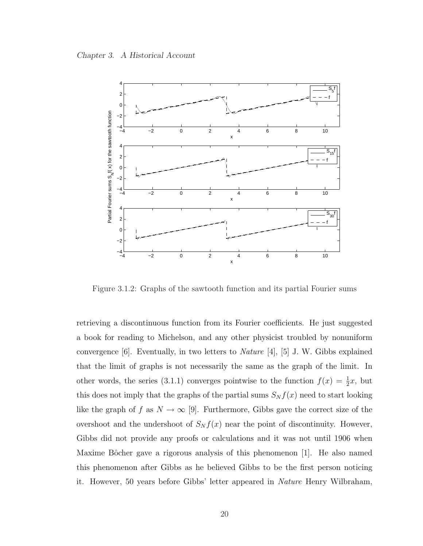

Figure 3.1.2: Graphs of the sawtooth function and its partial Fourier sums

retrieving a discontinuous function from its Fourier coefficients. He just suggested a book for reading to Michelson, and any other physicist troubled by nonuniform convergence [6]. Eventually, in two letters to Nature [4], [5] J. W. Gibbs explained that the limit of graphs is not necessarily the same as the graph of the limit. In other words, the series (3.1.1) converges pointwise to the function  $f(x) = \frac{1}{2}x$ , but this does not imply that the graphs of the partial sums  $S_N f(x)$  need to start looking like the graph of f as  $N \to \infty$  [9]. Furthermore, Gibbs gave the correct size of the overshoot and the undershoot of  $S_N f(x)$  near the point of discontinuity. However, Gibbs did not provide any proofs or calculations and it was not until 1906 when Maxime Bôcher gave a rigorous analysis of this phenomenon  $|1|$ . He also named this phenomenon after Gibbs as he believed Gibbs to be the first person noticing it. However, 50 years before Gibbs' letter appeared in Nature Henry Wilbraham,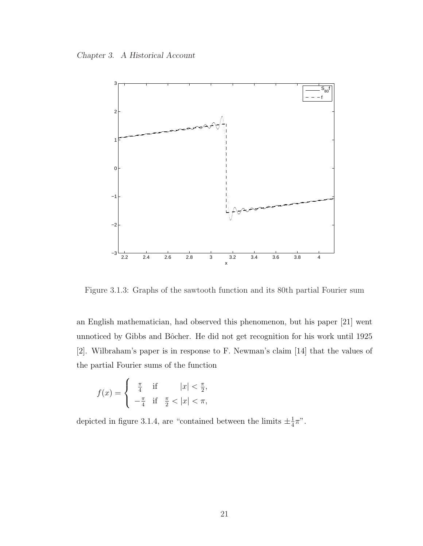Chapter 3. A Historical Account



Figure 3.1.3: Graphs of the sawtooth function and its 80th partial Fourier sum

an English mathematician, had observed this phenomenon, but his paper [21] went unnoticed by Gibbs and Bôcher. He did not get recognition for his work until 1925 [2]. Wilbraham's paper is in response to F. Newman's claim [14] that the values of the partial Fourier sums of the function

$$
f(x) = \begin{cases} \frac{\pi}{4} & \text{if } |x| < \frac{\pi}{2}, \\ -\frac{\pi}{4} & \text{if } \frac{\pi}{2} < |x| < \pi, \end{cases}
$$

depicted in figure 3.1.4, are "contained between the limits  $\pm \frac{1}{4}$  $\frac{1}{4}\pi$ ".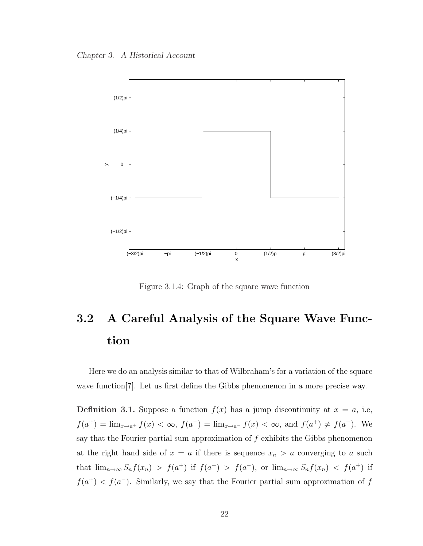Chapter 3. A Historical Account



Figure 3.1.4: Graph of the square wave function

# 3.2 A Careful Analysis of the Square Wave Function

Here we do an analysis similar to that of Wilbraham's for a variation of the square wave function<sup>[7]</sup>. Let us first define the Gibbs phenomenon in a more precise way.

**Definition 3.1.** Suppose a function  $f(x)$  has a jump discontinuity at  $x = a$ , i.e,  $f(a^+) = \lim_{x \to a^+} f(x) < \infty$ ,  $f(a^-) = \lim_{x \to a^-} f(x) < \infty$ , and  $f(a^+) \neq f(a^-)$ . We say that the Fourier partial sum approximation of  $f$  exhibits the Gibbs phenomenon at the right hand side of  $x = a$  if there is sequence  $x_n > a$  converging to a such that  $\lim_{n\to\infty} S_n f(x_n) > f(a^+)$  if  $f(a^+) > f(a^-)$ , or  $\lim_{n\to\infty} S_n f(x_n) < f(a^+)$  if  $f(a^{+}) < f(a^{-})$ . Similarly, we say that the Fourier partial sum approximation of f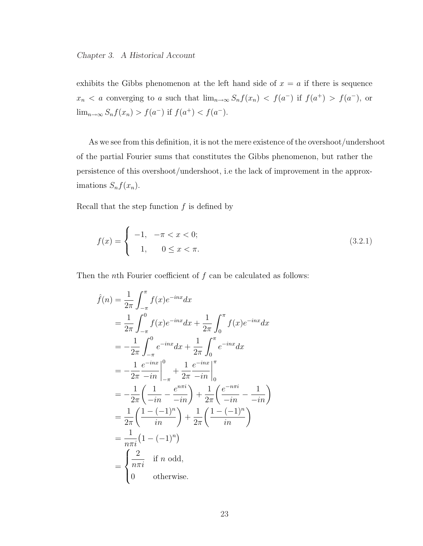exhibits the Gibbs phenomenon at the left hand side of  $x = a$  if there is sequence  $x_n < a$  converging to a such that  $\lim_{n\to\infty} S_n f(x_n) < f(a^-)$  if  $f(a^+) > f(a^-)$ , or  $\lim_{n \to \infty} S_n f(x_n) > f(a^-)$  if  $f(a^+) < f(a^-)$ .

As we see from this definition, it is not the mere existence of the overshoot/undershoot of the partial Fourier sums that constitutes the Gibbs phenomenon, but rather the persistence of this overshoot/undershoot, i.e the lack of improvement in the approximations  $S_n f(x_n)$ .

Recall that the step function  $f$  is defined by

$$
f(x) = \begin{cases} -1, & -\pi < x < 0; \\ 1, & 0 \le x < \pi. \end{cases}
$$
 (3.2.1)

Then the *n*th Fourier coefficient of  $f$  can be calculated as follows:

$$
\hat{f}(n) = \frac{1}{2\pi} \int_{-\pi}^{\pi} f(x)e^{-inx}dx \n= \frac{1}{2\pi} \int_{-\pi}^{0} f(x)e^{-inx}dx + \frac{1}{2\pi} \int_{0}^{\pi} f(x)e^{-inx}dx \n= -\frac{1}{2\pi} \int_{-\pi}^{0} e^{-inx}dx + \frac{1}{2\pi} \int_{0}^{\pi} e^{-inx}dx \n= -\frac{1}{2\pi} \frac{e^{-inx}}{-in} \Big|_{-\pi}^{0} + \frac{1}{2\pi} \frac{e^{-inx}}{-in} \Big|_{0}^{\pi} \n= -\frac{1}{2\pi} \left( \frac{1}{-in} - \frac{e^{n\pi i}}{-in} \right) + \frac{1}{2\pi} \left( \frac{e^{-n\pi i}}{-in} - \frac{1}{-in} \right) \n= \frac{1}{2\pi} \left( \frac{1 - (-1)^n}{in} \right) + \frac{1}{2\pi} \left( \frac{1 - (-1)^n}{in} \right) \n= \frac{1}{n\pi i} (1 - (-1)^n) \n= \begin{cases} \frac{2}{n\pi i} & \text{if } n \text{ odd,} \\ 0 & \text{otherwise.} \end{cases}
$$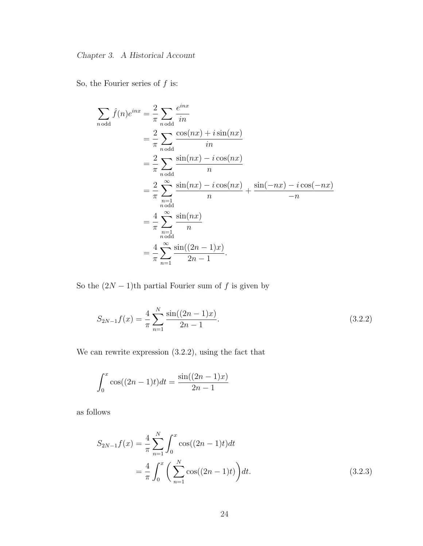So, the Fourier series of  $f$  is:

$$
\sum_{n \text{ odd}} \hat{f}(n)e^{inx} = \frac{2}{\pi} \sum_{n \text{ odd}} \frac{e^{inx}}{in}
$$
  
=  $\frac{2}{\pi} \sum_{n \text{ odd}} \frac{\cos(nx) + i \sin(nx)}{in}$   
=  $\frac{2}{\pi} \sum_{n \text{ odd}} \frac{\sin(nx) - i \cos(nx)}{n}$   
=  $\frac{2}{\pi} \sum_{\substack{n=1 \ n \text{ odd}}}^{\infty} \frac{\sin(nx) - i \cos(nx)}{n} + \frac{\sin(-nx) - i \cos(-nx)}{-n}$   
=  $\frac{4}{\pi} \sum_{\substack{n=1 \ n \text{ odd}}}^{\infty} \frac{\sin(nx)}{n}$   
=  $\frac{4}{\pi} \sum_{n=1}^{\infty} \frac{\sin((2n-1)x)}{2n-1}.$ 

So the  $(2N-1)$ <sup>th</sup> partial Fourier sum of f is given by

$$
S_{2N-1}f(x) = \frac{4}{\pi} \sum_{n=1}^{N} \frac{\sin((2n-1)x)}{2n-1}.
$$
\n(3.2.2)

We can rewrite expression (3.2.2), using the fact that

$$
\int_0^x \cos((2n-1)t)dt = \frac{\sin((2n-1)x)}{2n-1}
$$

as follows

$$
S_{2N-1}f(x) = \frac{4}{\pi} \sum_{n=1}^{N} \int_{0}^{x} \cos((2n-1)t)dt
$$
  
=  $\frac{4}{\pi} \int_{0}^{x} \left(\sum_{n=1}^{N} \cos((2n-1)t)\right)dt.$  (3.2.3)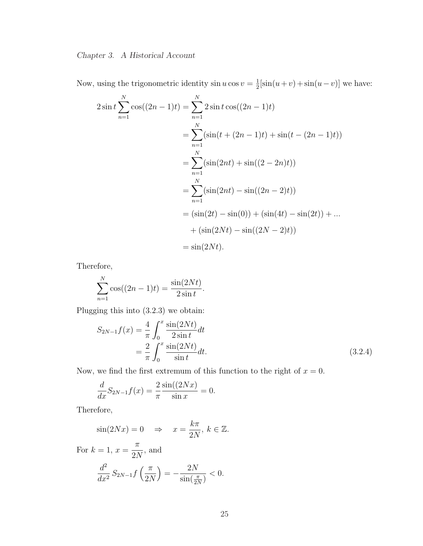Now, using the trigonometric identity  $\sin u \cos v = \frac{1}{2}$  $\frac{1}{2}[\sin(u+v) + \sin(u-v)]$  we have:

$$
2\sin t \sum_{n=1}^{N} \cos((2n-1)t) = \sum_{n=1}^{N} 2\sin t \cos((2n-1)t)
$$
  
= 
$$
\sum_{n=1}^{N} (\sin(t + (2n-1)t) + \sin(t - (2n-1)t))
$$
  
= 
$$
\sum_{n=1}^{N} (\sin(2nt) + \sin((2-2n)t))
$$
  
= 
$$
\sum_{n=1}^{N} (\sin(2nt) - \sin((2n-2)t))
$$
  
= 
$$
(\sin(2t) - \sin(0)) + (\sin(4t) - \sin(2t)) + ...
$$
  
+ 
$$
(\sin(2Nt) - \sin((2N-2)t))
$$
  
= 
$$
\sin(2Nt).
$$

Therefore,

$$
\sum_{n=1}^{N} \cos((2n-1)t) = \frac{\sin(2Nt)}{2\sin t}.
$$

Plugging this into (3.2.3) we obtain:

$$
S_{2N-1}f(x) = \frac{4}{\pi} \int_0^x \frac{\sin(2Nt)}{2\sin t} dt
$$
  
=  $\frac{2}{\pi} \int_0^x \frac{\sin(2Nt)}{\sin t} dt$ . (3.2.4)

Now, we find the first extremum of this function to the right of  $x = 0$ .

$$
\frac{d}{dx}S_{2N-1}f(x) = \frac{2}{\pi} \frac{\sin((2Nx)}{\sin x} = 0.
$$

Therefore,

$$
\sin(2Nx) = 0 \quad \Rightarrow \quad x = \frac{k\pi}{2N}, \ k \in \mathbb{Z}.
$$

For  $k = 1, x =$ π 2N , and  $d^2$  $\frac{d}{dx^2}S_{2N-1}f$  $\sqrt{\pi}$  $2N$ ´ = − 2N  $\overline{\sin(\frac{\pi}{2N})}$  $< 0.$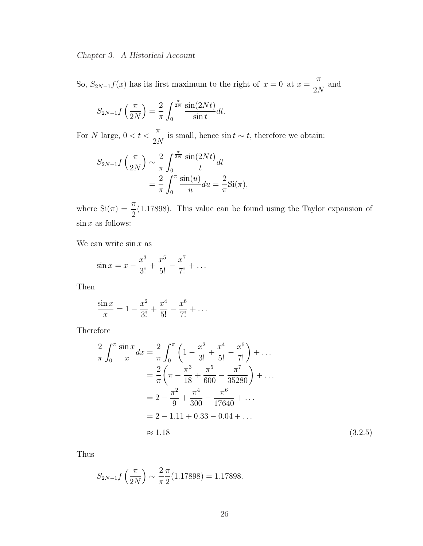So,  $S_{2N-1}f(x)$  has its first maximum to the right of  $x = 0$  at  $x =$ π  $2N$ and

$$
S_{2N-1}f\left(\frac{\pi}{2N}\right) = \frac{2}{\pi} \int_0^{\frac{\pi}{2N}} \frac{\sin(2Nt)}{\sin t} dt.
$$

For N large,  $0 < t <$ π 2N is small, hence sin  $t \sim t$ , therefore we obtain:

$$
S_{2N-1}f\left(\frac{\pi}{2N}\right) \sim \frac{2}{\pi} \int_0^{\frac{\pi}{2N}} \frac{\sin(2Nt)}{t} dt
$$
  
= 
$$
\frac{2}{\pi} \int_0^{\pi} \frac{\sin(u)}{u} du = \frac{2}{\pi} \text{Si}(\pi),
$$

where  $\operatorname{Si}(\pi) = \frac{\pi}{2}$ 2 (1.17898). This value can be found using the Taylor expansion of  $\sin x$  as follows:

We can write  $\sin x$  as

$$
\sin x = x - \frac{x^3}{3!} + \frac{x^5}{5!} - \frac{x^7}{7!} + \dots
$$

Then

$$
\frac{\sin x}{x} = 1 - \frac{x^2}{3!} + \frac{x^4}{5!} - \frac{x^6}{7!} + \dots
$$

Therefore

$$
\frac{2}{\pi} \int_0^\pi \frac{\sin x}{x} dx = \frac{2}{\pi} \int_0^\pi \left( 1 - \frac{x^2}{3!} + \frac{x^4}{5!} - \frac{x^6}{7!} \right) + \dots
$$

$$
= \frac{2}{\pi} \left( \pi - \frac{\pi^3}{18} + \frac{\pi^5}{600} - \frac{\pi^7}{35280} \right) + \dots
$$

$$
= 2 - \frac{\pi^2}{9} + \frac{\pi^4}{300} - \frac{\pi^6}{17640} + \dots
$$

$$
= 2 - 1.11 + 0.33 - 0.04 + \dots
$$

$$
\approx 1.18 \tag{3.2.5}
$$

Thus

$$
S_{2N-1}f\left(\frac{\pi}{2N}\right) \sim \frac{2\pi}{\pi} \frac{\pi}{2}(1.17898) = 1.17898.
$$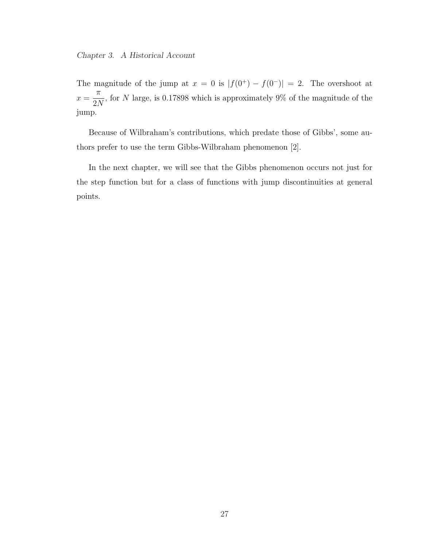The magnitude of the jump at  $x = 0$  is  $|f(0^+) - f(0^-)| = 2$ . The overshoot at  $x =$ π 2N , for N large, is 0.17898 which is approximately  $9\%$  of the magnitude of the jump.

Because of Wilbraham's contributions, which predate those of Gibbs', some authors prefer to use the term Gibbs-Wilbraham phenomenon [2].

In the next chapter, we will see that the Gibbs phenomenon occurs not just for the step function but for a class of functions with jump discontinuities at general points.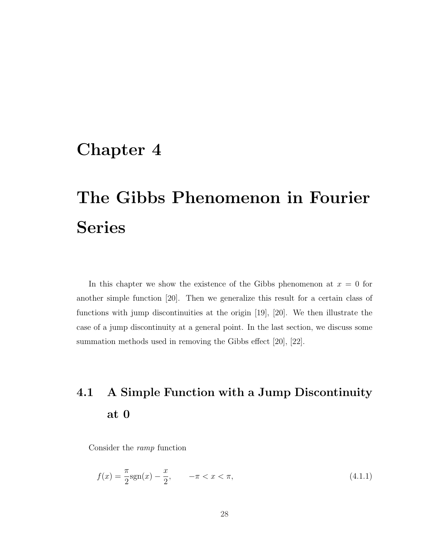### Chapter 4

# The Gibbs Phenomenon in Fourier Series

In this chapter we show the existence of the Gibbs phenomenon at  $x = 0$  for another simple function [20]. Then we generalize this result for a certain class of functions with jump discontinuities at the origin [19], [20]. We then illustrate the case of a jump discontinuity at a general point. In the last section, we discuss some summation methods used in removing the Gibbs effect [20], [22].

# 4.1 A Simple Function with a Jump Discontinuity at 0

Consider the ramp function

$$
f(x) = \frac{\pi}{2} \text{sgn}(x) - \frac{x}{2}, \qquad -\pi < x < \pi,\tag{4.1.1}
$$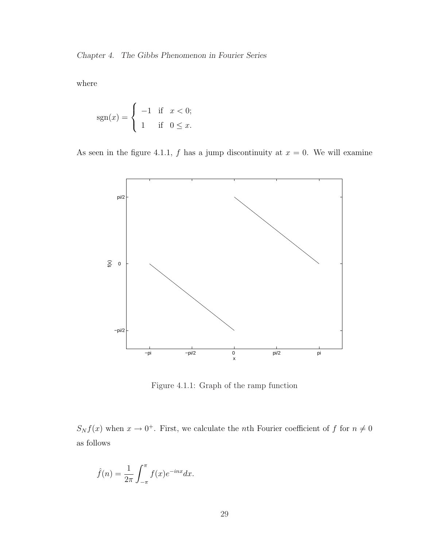Chapter 4. The Gibbs Phenomenon in Fourier Series

where

$$
sgn(x) = \begin{cases} -1 & \text{if } x < 0; \\ 1 & \text{if } 0 \le x. \end{cases}
$$

As seen in the figure 4.1.1, f has a jump discontinuity at  $x = 0$ . We will examine



Figure 4.1.1: Graph of the ramp function

 $S_N f(x)$  when  $x \to 0^+$ . First, we calculate the *n*th Fourier coefficient of f for  $n \neq 0$ as follows

$$
\hat{f}(n) = \frac{1}{2\pi} \int_{-\pi}^{\pi} f(x)e^{-inx} dx.
$$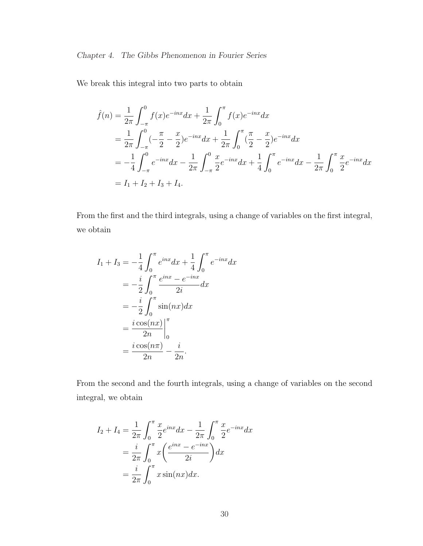We break this integral into two parts to obtain

$$
\hat{f}(n) = \frac{1}{2\pi} \int_{-\pi}^{0} f(x)e^{-inx}dx + \frac{1}{2\pi} \int_{0}^{\pi} f(x)e^{-inx}dx
$$
  
\n
$$
= \frac{1}{2\pi} \int_{-\pi}^{0} (-\frac{\pi}{2} - \frac{x}{2})e^{-inx}dx + \frac{1}{2\pi} \int_{0}^{\pi} (\frac{\pi}{2} - \frac{x}{2})e^{-inx}dx
$$
  
\n
$$
= -\frac{1}{4} \int_{-\pi}^{0} e^{-inx}dx - \frac{1}{2\pi} \int_{-\pi}^{0} \frac{x}{2}e^{-inx}dx + \frac{1}{4} \int_{0}^{\pi} e^{-inx}dx - \frac{1}{2\pi} \int_{0}^{\pi} \frac{x}{2}e^{-inx}dx
$$
  
\n
$$
= I_{1} + I_{2} + I_{3} + I_{4}.
$$

From the first and the third integrals, using a change of variables on the first integral, we obtain

$$
I_1 + I_3 = -\frac{1}{4} \int_0^\pi e^{inx} dx + \frac{1}{4} \int_0^\pi e^{-inx} dx
$$
  

$$
= -\frac{i}{2} \int_0^\pi \frac{e^{inx} - e^{-inx}}{2i} dx
$$
  

$$
= -\frac{i}{2} \int_0^\pi \sin(nx) dx
$$
  

$$
= \frac{i \cos(nx)}{2n} \Big|_0^\pi
$$
  

$$
= \frac{i \cos(n\pi)}{2n} - \frac{i}{2n}.
$$

From the second and the fourth integrals, using a change of variables on the second integral, we obtain

$$
I_2 + I_4 = \frac{1}{2\pi} \int_0^{\pi} \frac{x}{2} e^{inx} dx - \frac{1}{2\pi} \int_0^{\pi} \frac{x}{2} e^{-inx} dx
$$
  
=  $\frac{i}{2\pi} \int_0^{\pi} x \left( \frac{e^{inx} - e^{-inx}}{2i} \right) dx$   
=  $\frac{i}{2\pi} \int_0^{\pi} x \sin(nx) dx.$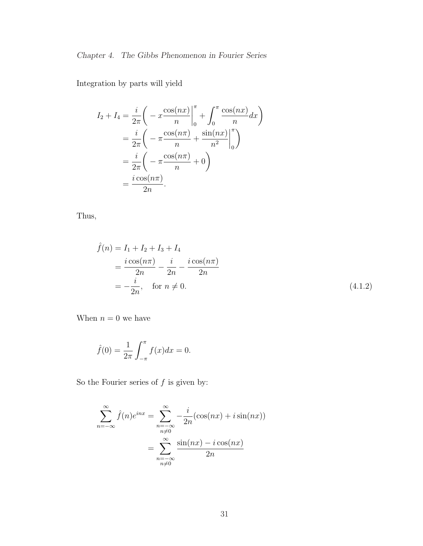Integration by parts will yield

$$
I_2 + I_4 = \frac{i}{2\pi} \left( -x \frac{\cos(nx)}{n} \Big|_0^{\pi} + \int_0^{\pi} \frac{\cos(nx)}{n} dx \right)
$$
  
=  $\frac{i}{2\pi} \left( -\pi \frac{\cos(n\pi)}{n} + \frac{\sin(nx)}{n^2} \Big|_0^{\pi} \right)$   
=  $\frac{i}{2\pi} \left( -\pi \frac{\cos(n\pi)}{n} + 0 \right)$   
=  $\frac{i \cos(n\pi)}{2n}.$ 

Thus,

$$
\hat{f}(n) = I_1 + I_2 + I_3 + I_4
$$
\n
$$
= \frac{i \cos(n\pi)}{2n} - \frac{i}{2n} - \frac{i \cos(n\pi)}{2n}
$$
\n
$$
= -\frac{i}{2n}, \quad \text{for } n \neq 0.
$$
\n(4.1.2)

When  $n = 0$  we have

$$
\hat{f}(0) = \frac{1}{2\pi} \int_{-\pi}^{\pi} f(x) dx = 0.
$$

So the Fourier series of  $f$  is given by:

$$
\sum_{n=-\infty}^{\infty} \hat{f}(n)e^{inx} = \sum_{\substack{n=-\infty\\n\neq 0}}^{\infty} -\frac{i}{2n}(\cos(nx) + i\sin(nx))
$$

$$
= \sum_{\substack{n=-\infty\\n\neq 0}}^{\infty} \frac{\sin(nx) - i\cos(nx)}{2n}
$$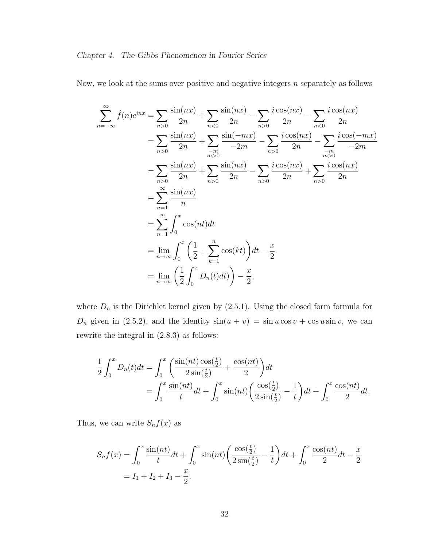Now, we look at the sums over positive and negative integers  $n$  separately as follows

$$
\sum_{n=-\infty}^{\infty} \hat{f}(n)e^{inx} = \sum_{n>0} \frac{\sin(nx)}{2n} + \sum_{n<0} \frac{\sin(nx)}{2n} - \sum_{n>0} \frac{i\cos(nx)}{2n} - \sum_{n<0} \frac{i\cos(nx)}{2n}
$$
  
\n
$$
= \sum_{n>0} \frac{\sin(nx)}{2n} + \sum_{\substack{-m \\ m>0}} \frac{\sin(-mx)}{-2m} - \sum_{n>0} \frac{i\cos(nx)}{2n} - \sum_{\substack{-m \\ m>0}} \frac{i\cos(-mx)}{-2m}
$$
  
\n
$$
= \sum_{n>0} \frac{\sin(nx)}{2n} + \sum_{n>0} \frac{\sin(nx)}{2n} - \sum_{n>0} \frac{i\cos(nx)}{2n} + \sum_{n>0} \frac{i\cos(nx)}{2n}
$$
  
\n
$$
= \sum_{n=1}^{\infty} \frac{\sin(nx)}{n}
$$
  
\n
$$
= \sum_{n=1}^{\infty} \int_{0}^{x} \cos(nt)dt
$$
  
\n
$$
= \lim_{n \to \infty} \int_{0}^{x} \left(\frac{1}{2} + \sum_{k=1}^{n} \cos(kt)\right)dt - \frac{x}{2}
$$
  
\n
$$
= \lim_{n \to \infty} \left(\frac{1}{2} \int_{0}^{x} D_n(t)dt\right) - \frac{x}{2},
$$

where  $D_n$  is the Dirichlet kernel given by  $(2.5.1)$ . Using the closed form formula for  $D_n$  given in (2.5.2), and the identity  $sin(u + v) = sin u cos v + cos u sin v$ , we can rewrite the integral in (2.8.3) as follows:

$$
\frac{1}{2} \int_0^x D_n(t)dt = \int_0^x \left( \frac{\sin(nt)\cos(\frac{t}{2})}{2\sin(\frac{t}{2})} + \frac{\cos(nt)}{2} \right) dt \n= \int_0^x \frac{\sin(nt)}{t} dt + \int_0^x \sin(nt) \left( \frac{\cos(\frac{t}{2})}{2\sin(\frac{t}{2})} - \frac{1}{t} \right) dt + \int_0^x \frac{\cos(nt)}{2} dt.
$$

Thus, we can write  $S_n f(x)$  as

$$
S_n f(x) = \int_0^x \frac{\sin(nt)}{t} dt + \int_0^x \sin(nt) \left( \frac{\cos(\frac{t}{2})}{2\sin(\frac{t}{2})} - \frac{1}{t} \right) dt + \int_0^x \frac{\cos(nt)}{2} dt - \frac{x}{2}
$$
  
= I<sub>1</sub> + I<sub>2</sub> + I<sub>3</sub> -  $\frac{x}{2}$ .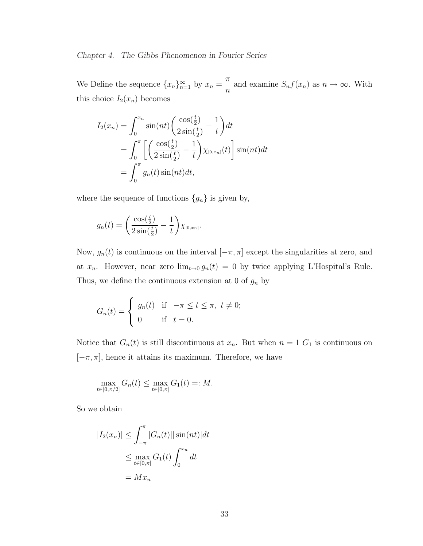We Define the sequence  $\{x_n\}_{n=1}^{\infty}$  by  $x_n =$ π  $\frac{n}{n}$  and examine  $S_n f(x_n)$  as  $n \to \infty$ . With this choice  $I_2(x_n)$  becomes

$$
I_2(x_n) = \int_0^{x_n} \sin(nt) \left( \frac{\cos(\frac{t}{2})}{2\sin(\frac{t}{2})} - \frac{1}{t} \right) dt
$$
  
= 
$$
\int_0^{\pi} \left[ \left( \frac{\cos(\frac{t}{2})}{2\sin(\frac{t}{2})} - \frac{1}{t} \right) \chi_{[0,x_n]}(t) \right] \sin(nt) dt
$$
  
= 
$$
\int_0^{\pi} g_n(t) \sin(nt) dt,
$$

where the sequence of functions  $\{g_n\}$  is given by,

$$
g_n(t) = \left(\frac{\cos(\frac{t}{2})}{2\sin(\frac{t}{2})} - \frac{1}{t}\right) \chi_{[0,x_n]}.
$$

Now,  $g_n(t)$  is continuous on the interval  $[-\pi, \pi]$  except the singularities at zero, and at  $x_n$ . However, near zero  $\lim_{t\to 0} g_n(t) = 0$  by twice applying L'Hospital's Rule. Thus, we define the continuous extension at 0 of  $g_n$  by

$$
G_n(t) = \begin{cases} g_n(t) & \text{if } -\pi \le t \le \pi, \ t \neq 0; \\ 0 & \text{if } t = 0. \end{cases}
$$

Notice that  $G_n(t)$  is still discontinuous at  $x_n$ . But when  $n = 1$   $G_1$  is continuous on  $[-\pi, \pi]$ , hence it attains its maximum. Therefore, we have

$$
\max_{t \in [0,\pi/2]} G_n(t) \le \max_{t \in [0,\pi]} G_1(t) =: M.
$$

So we obtain

$$
|I_2(x_n)| \le \int_{-\pi}^{\pi} |G_n(t)| |\sin(nt)| dt
$$
  

$$
\le \max_{t \in [0,\pi]} G_1(t) \int_0^{x_n} dt
$$
  

$$
= Mx_n
$$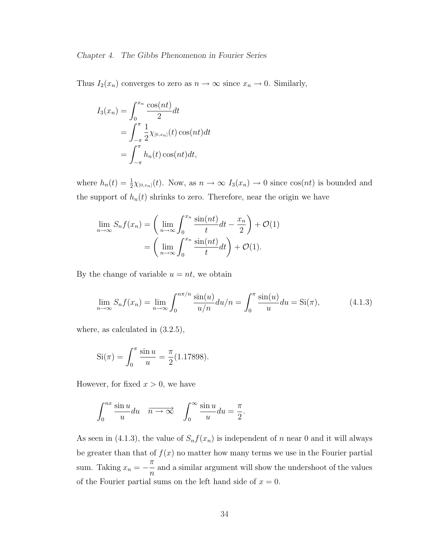#### Chapter 4. The Gibbs Phenomenon in Fourier Series

Thus  $I_2(x_n)$  converges to zero as  $n \to \infty$  since  $x_n \to 0$ . Similarly,

$$
I_3(x_n) = \int_0^{x_n} \frac{\cos(nt)}{2} dt
$$
  
= 
$$
\int_{-\pi}^{\pi} \frac{1}{2} \chi_{[0,x_n]}(t) \cos(nt) dt
$$
  
= 
$$
\int_{-\pi}^{\pi} h_n(t) \cos(nt) dt,
$$

where  $h_n(t) = \frac{1}{2}\chi_{[0,x_n]}(t)$ . Now, as  $n \to \infty$   $I_3(x_n) \to 0$  since  $\cos(nt)$  is bounded and the support of  $h_n(t)$  shrinks to zero. Therefore, near the origin we have

$$
\lim_{n \to \infty} S_n f(x_n) = \left( \lim_{n \to \infty} \int_0^{x_n} \frac{\sin(nt)}{t} dt - \frac{x_n}{2} \right) + \mathcal{O}(1)
$$

$$
= \left( \lim_{n \to \infty} \int_0^{x_n} \frac{\sin(nt)}{t} dt \right) + \mathcal{O}(1).
$$

By the change of variable  $u = nt$ , we obtain

$$
\lim_{n \to \infty} S_n f(x_n) = \lim_{n \to \infty} \int_0^{n\pi/n} \frac{\sin(u)}{u/n} du/n = \int_0^{\pi} \frac{\sin(u)}{u} du = \text{Si}(\pi), \tag{4.1.3}
$$

where, as calculated in (3.2.5),

Si(
$$
\pi
$$
) =  $\int_0^{\pi} \frac{\sin u}{u} = \frac{\pi}{2}$ (1.17898).

However, for fixed  $x > 0$ , we have

$$
\int_0^{nx} \frac{\sin u}{u} du \quad \overrightarrow{n \to \infty} \quad \int_0^{\infty} \frac{\sin u}{u} du = \frac{\pi}{2}.
$$

As seen in (4.1.3), the value of  $S_n f(x_n)$  is independent of n near 0 and it will always be greater than that of  $f(x)$  no matter how many terms we use in the Fourier partial sum. Taking  $x_n =$ π n and a similar argument will show the undershoot of the values of the Fourier partial sums on the left hand side of  $x = 0$ .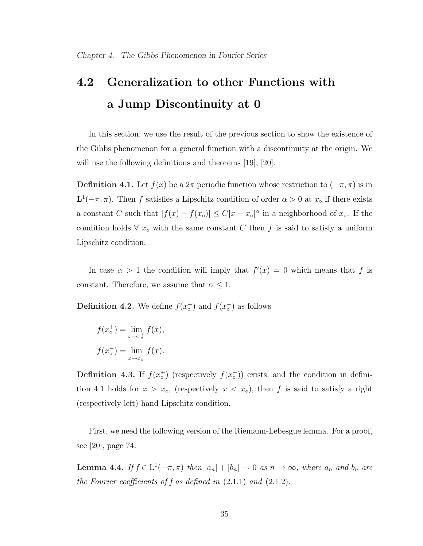# 4.2 Generalization to other Functions with a Jump Discontinuity at 0

In this section, we use the result of the previous section to show the existence of the Gibbs phenomenon for a general function with a discontinuity at the origin. We will use the following definitions and theorems [19], [20].

**Definition 4.1.** Let  $f(x)$  be a  $2\pi$  periodic function whose restriction to  $(-\pi, \pi)$  is in  $\mathbf{L}^1(-\pi,\pi)$ . Then f satisfies a Lipschitz condition of order  $\alpha > 0$  at  $x_0$  if there exists a constant C such that  $|f(x) - f(x_0)| \leq C |x - x_0|^{\alpha}$  in a neighborhood of  $x_0$ . If the condition holds  $\forall x_{\text{o}}$  with the same constant C then f is said to satisfy a uniform Lipschitz condition.

In case  $\alpha > 1$  the condition will imply that  $f'(x) = 0$  which means that f is constant. Therefore, we assume that  $\alpha \leq 1$ .

**Definition 4.2.** We define  $f(x_o^+)$  and  $f(x_o^-)$  as follows

$$
f(xo+) = \lim_{x \to xo+} f(x),
$$

$$
f(xo-) = \lim_{x \to xo-} f(x).
$$

**Definition 4.3.** If  $f(x_0^+)$  (respectively  $f(x_0^-)$ ) exists, and the condition in definition 4.1 holds for  $x > x<sub>∘</sub>$ , (respectively  $x < x<sub>∘</sub>$ ), then f is said to satisfy a right (respectively left) hand Lipschitz condition.

First, we need the following version of the Riemann-Lebesgue lemma. For a proof, see [20], page 74.

**Lemma 4.4.** If  $f \in L^1(-\pi, \pi)$  then  $|a_n| + |b_n| \to 0$  as  $n \to \infty$ , where  $a_n$  and  $b_n$  are the Fourier coefficients of f as defined in  $(2.1.1)$  and  $(2.1.2)$ .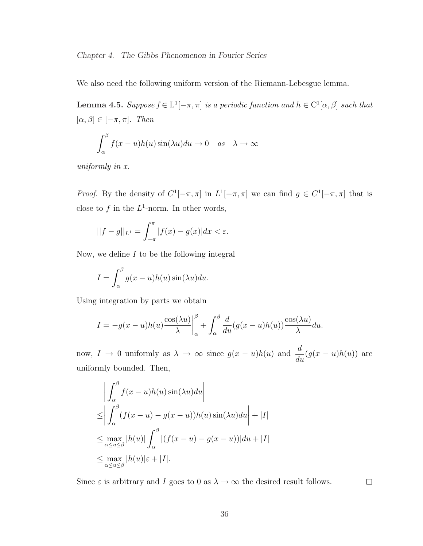We also need the following uniform version of the Riemann-Lebesgue lemma.

**Lemma 4.5.** Suppose  $f \in L^1[-\pi, \pi]$  is a periodic function and  $h \in C^1[\alpha, \beta]$  such that  $[\alpha, \beta] \in [-\pi, \pi]$ . Then

$$
\int_{\alpha}^{\beta} f(x - u)h(u) \sin(\lambda u) du \to 0 \quad as \quad \lambda \to \infty
$$

uniformly in x.

*Proof.* By the density of  $C^1[-\pi,\pi]$  in  $L^1[-\pi,\pi]$  we can find  $g \in C^1[-\pi,\pi]$  that is close to f in the  $L^1$ -norm. In other words,

$$
||f - g||_{L^{1}} = \int_{-\pi}^{\pi} |f(x) - g(x)| dx < \varepsilon.
$$

Now, we define  $I$  to be the following integral

$$
I = \int_{\alpha}^{\beta} g(x - u)h(u) \sin(\lambda u) du.
$$

Using integration by parts we obtain

$$
I = -g(x - u)h(u)\frac{\cos(\lambda u)}{\lambda}\bigg|_{\alpha}^{\beta} + \int_{\alpha}^{\beta} \frac{d}{du}(g(x - u)h(u))\frac{\cos(\lambda u)}{\lambda}du.
$$

now,  $I \to 0$  uniformly as  $\lambda \to \infty$  since  $g(x-u)h(u)$  and  $\frac{d}{d\lambda}$  $\frac{d}{du}(g(x-u)h(u))$  are uniformly bounded. Then,

$$
\left| \int_{\alpha}^{\beta} f(x - u)h(u) \sin(\lambda u) du \right|
$$
  
\n
$$
\leq \left| \int_{\alpha}^{\beta} (f(x - u) - g(x - u))h(u) \sin(\lambda u) du \right| + |I|
$$
  
\n
$$
\leq \max_{\alpha \leq u \leq \beta} |h(u)| \int_{\alpha}^{\beta} |(f(x - u) - g(x - u))| du + |I|
$$
  
\n
$$
\leq \max_{\alpha \leq u \leq \beta} |h(u)| \varepsilon + |I|.
$$

Since  $\varepsilon$  is arbitrary and I goes to 0 as  $\lambda \to \infty$  the desired result follows.

 $\Box$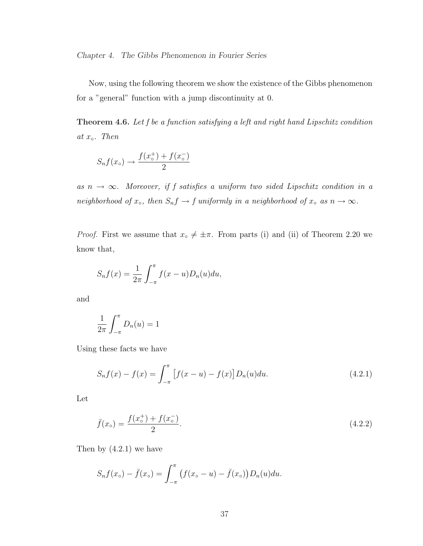Chapter 4. The Gibbs Phenomenon in Fourier Series

Now, using the following theorem we show the existence of the Gibbs phenomenon for a "general" function with a jump discontinuity at 0.

Theorem 4.6. Let f be a function satisfying a left and right hand Lipschitz condition at  $x_{\circ}$ . Then

$$
S_n f(x_\circ) \to \frac{f(x_\circ^+) + f(x_\circ^-)}{2}
$$

as  $n \to \infty$ . Moreover, if f satisfies a uniform two sided Lipschitz condition in a neighborhood of  $x \circ$ , then  $S_n f \to f$  uniformly in a neighborhood of  $x \circ a s n \to \infty$ .

*Proof.* First we assume that  $x \circ \neq \pm \pi$ . From parts (i) and (ii) of Theorem 2.20 we know that,

$$
S_n f(x) = \frac{1}{2\pi} \int_{-\pi}^{\pi} f(x - u) D_n(u) du,
$$

and

$$
\frac{1}{2\pi} \int_{-\pi}^{\pi} D_n(u) = 1
$$

Using these facts we have

$$
S_n f(x) - f(x) = \int_{-\pi}^{\pi} \left[ f(x - u) - f(x) \right] D_n(u) du.
$$
 (4.2.1)

Let

$$
\bar{f}(x_{\circ}) = \frac{f(x_{\circ}^{+}) + f(x_{\circ}^{-})}{2}.
$$
\n(4.2.2)

Then by  $(4.2.1)$  we have

$$
S_n f(x_\circ) - \bar{f}(x_\circ) = \int_{-\pi}^{\pi} \left( f(x_\circ - u) - \bar{f}(x_\circ) \right) D_n(u) du.
$$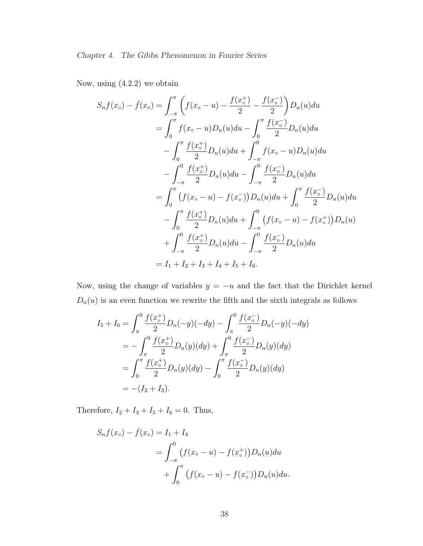Now, using (4.2.2) we obtain

$$
S_n f(x_\circ) - \bar{f}(x_\circ) = \int_{-\pi}^{\pi} \left( f(x_\circ - u) - \frac{f(x_\circ^+)}{2} - \frac{f(x_\circ^-)}{2} \right) D_n(u) du
$$
  
\n
$$
= \int_0^{\pi} f(x_\circ - u) D_n(u) du - \int_0^{\pi} \frac{f(x_\circ^-)}{2} D_n(u) du
$$
  
\n
$$
- \int_0^{\pi} \frac{f(x_\circ^+)}{2} D_n(u) du + \int_{-\pi}^0 f(x_\circ - u) D_n(u) du
$$
  
\n
$$
- \int_{-\pi}^0 \frac{f(x_\circ^+)}{2} D_n(u) du - \int_{-\pi}^0 \frac{f(x_\circ^-)}{2} D_n(u) du
$$
  
\n
$$
= \int_0^{\pi} \left( f(x_\circ - u) - f(x_\circ^-) \right) D_n(u) du + \int_0^{\pi} \frac{f(x_\circ^-)}{2} D_n(u) du
$$
  
\n
$$
- \int_0^{\pi} \frac{f(x_\circ^+)}{2} D_n(u) du + \int_{-\pi}^0 \left( f(x_\circ - u) - f(x_\circ^+) \right) D_n(u)
$$
  
\n
$$
+ \int_{-\pi}^0 \frac{f(x_\circ^+)}{2} D_n(u) du - \int_{-\pi}^0 \frac{f(x_\circ^-)}{2} D_n(u) du
$$
  
\n
$$
= I_1 + I_2 + I_3 + I_4 + I_5 + I_6.
$$

Now, using the change of variables  $y = -u$  and the fact that the Dirichlet kernel  $D_n(u)$  is an even function we rewrite the fifth and the sixth integrals as follows

$$
I_5 + I_6 = \int_{\pi}^0 \frac{f(x_o^+)}{2} D_n(-y)(-dy) - \int_{\pi}^0 \frac{f(x_o^-)}{2} D_n(-y)(-dy)
$$
  
= 
$$
- \int_{\pi}^0 \frac{f(x_o^+)}{2} D_n(y)(dy) + \int_{\pi}^0 \frac{f(x_o^-)}{2} D_n(y)(dy)
$$
  
= 
$$
\int_0^{\pi} \frac{f(x_o^+)}{2} D_n(y)(dy) - \int_0^{\pi} \frac{f(x_o^-)}{2} D_n(y)(dy)
$$
  
= 
$$
-(I_2 + I_3).
$$

Therefore,  $I_2 + I_3 + I_5 + I_6 = 0$ . Thus,

$$
S_n f(x_\circ) - \bar{f}(x_\circ) = I_1 + I_4
$$
  
=  $\int_{-\pi}^0 (f(x_\circ - u) - f(x_\circ^+)) D_n(u) du$   
+  $\int_0^{\pi} (f(x_\circ - u) - f(x_\circ^-)) D_n(u) du.$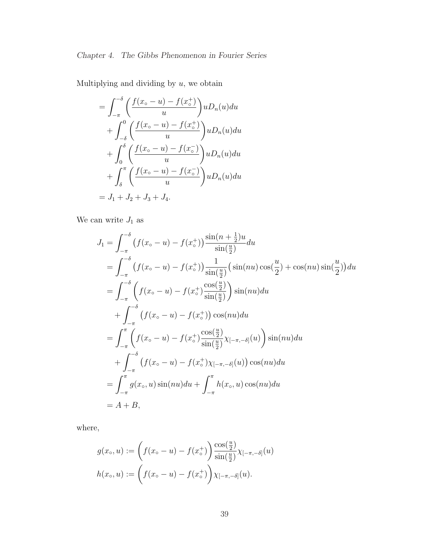Multiplying and dividing by  $u$ , we obtain

$$
= \int_{-\pi}^{-\delta} \left( \frac{f(x_{\circ} - u) - f(x_{\circ}^{+})}{u} \right) u D_{n}(u) du
$$
  
+ 
$$
\int_{-\delta}^{0} \left( \frac{f(x_{\circ} - u) - f(x_{\circ}^{+})}{u} \right) u D_{n}(u) du
$$
  
+ 
$$
\int_{0}^{\delta} \left( \frac{f(x_{\circ} - u) - f(x_{\circ}^{-})}{u} \right) u D_{n}(u) du
$$
  
+ 
$$
\int_{\delta}^{\pi} \left( \frac{f(x_{\circ} - u) - f(x_{\circ}^{-})}{u} \right) u D_{n}(u) du
$$
  
= 
$$
J_{1} + J_{2} + J_{3} + J_{4}.
$$

We can write  ${\cal J}_1$  as

$$
J_{1} = \int_{-\pi}^{-\delta} (f(x_{\circ} - u) - f(x_{\circ}^{+})) \frac{\sin(n + \frac{1}{2})u}{\sin(\frac{u}{2})} du
$$
  
\n
$$
= \int_{-\pi}^{-\delta} (f(x_{\circ} - u) - f(x_{\circ}^{+})) \frac{1}{\sin(\frac{u}{2})} (\sin(nu)\cos(\frac{u}{2}) + \cos(nu)\sin(\frac{u}{2})) du
$$
  
\n
$$
= \int_{-\pi}^{-\delta} \left( f(x_{\circ} - u) - f(x_{\circ}^{+}) \frac{\cos(\frac{u}{2})}{\sin(\frac{u}{2})} \right) \sin(nu) du
$$
  
\n
$$
+ \int_{-\pi}^{-\delta} (f(x_{\circ} - u) - f(x_{\circ}^{+})) \cos(nu) du
$$
  
\n
$$
= \int_{-\pi}^{\pi} \left( f(x_{\circ} - u) - f(x_{\circ}^{+}) \frac{\cos(\frac{u}{2})}{\sin(\frac{u}{2})} \chi_{[-\pi, -\delta]}(u) \right) \sin(nu) du
$$
  
\n
$$
+ \int_{-\pi}^{-\delta} (f(x_{\circ} - u) - f(x_{\circ}^{+}) \chi_{[-\pi, -\delta]}(u)) \cos(nu) du
$$
  
\n
$$
= \int_{-\pi}^{\pi} g(x_{\circ}, u) \sin(nu) du + \int_{-\pi}^{\pi} h(x_{\circ}, u) \cos(nu) du
$$
  
\n
$$
= A + B,
$$

where,

$$
g(x_0, u) := \left(f(x_0 - u) - f(x_0^+)\right) \frac{\cos(\frac{u}{2})}{\sin(\frac{u}{2})} \chi_{[-\pi, -\delta]}(u)
$$

$$
h(x_0, u) := \left(f(x_0 - u) - f(x_0^+)\right) \chi_{[-\pi, -\delta]}(u).
$$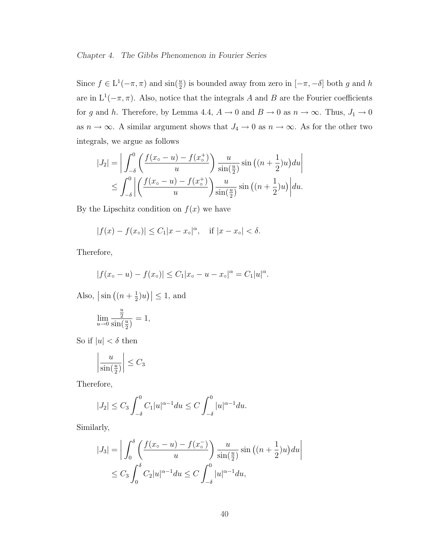#### Chapter 4. The Gibbs Phenomenon in Fourier Series

Since  $f \in L^1(-\pi, \pi)$  and  $\sin(\frac{u}{2})$  is bounded away from zero in  $[-\pi, -\delta]$  both g and h are in  $L^1(-\pi, \pi)$ . Also, notice that the integrals A and B are the Fourier coefficients for g and h. Therefore, by Lemma 4.4,  $A \to 0$  and  $B \to 0$  as  $n \to \infty$ . Thus,  $J_1 \to 0$ as  $n \to \infty$ . A similar argument shows that  $J_4 \to 0$  as  $n \to \infty$ . As for the other two integrals, we argue as follows

$$
|J_2| = \left| \int_{-\delta}^0 \left( \frac{f(x_\circ - u) - f(x_\circ^+)}{u} \right) \frac{u}{\sin(\frac{u}{2})} \sin\left((n + \frac{1}{2})u\right) du \right|
$$
  

$$
\leq \int_{-\delta}^0 \left| \left( \frac{f(x_\circ - u) - f(x_\circ^+)}{u} \right) \frac{u}{\sin(\frac{u}{2})} \sin\left((n + \frac{1}{2})u\right) \right| du.
$$

By the Lipschitz condition on  $f(x)$  we have

$$
|f(x) - f(x_0)| \le C_1 |x - x_0|^\alpha
$$
, if  $|x - x_0| < \delta$ .

Therefore,

$$
|f(x_{\circ}-u)-f(x_{\circ})| \leq C_1 |x_{\circ}-u-x_{\circ}|^{\alpha} = C_1 |u|^{\alpha}.
$$

Also,  $\sin \left((n+\frac{1}{2})\right)$  $(\frac{1}{2})u$  $\vert \leq 1$ , and

$$
\lim_{u \to 0} \frac{\frac{u}{2}}{\sin(\frac{u}{2})} = 1,
$$

So if  $|u| < \delta$  then

$$
\left|\frac{u}{\sin(\frac{u}{2})}\right| \le C_3
$$

Therefore,

$$
|J_2| \le C_3 \int_{-\delta}^0 C_1 |u|^{\alpha - 1} du \le C \int_{-\delta}^0 |u|^{\alpha - 1} du.
$$

Similarly,

$$
|J_3| = \left| \int_0^{\delta} \left( \frac{f(x_\circ - u) - f(x_\circ^{-})}{u} \right) \frac{u}{\sin(\frac{u}{2})} \sin\left((n + \frac{1}{2})u\right) du \right|
$$
  

$$
\leq C_3 \int_0^{\delta} C_2 |u|^{\alpha - 1} du \leq C \int_{-\delta}^0 |u|^{\alpha - 1} du,
$$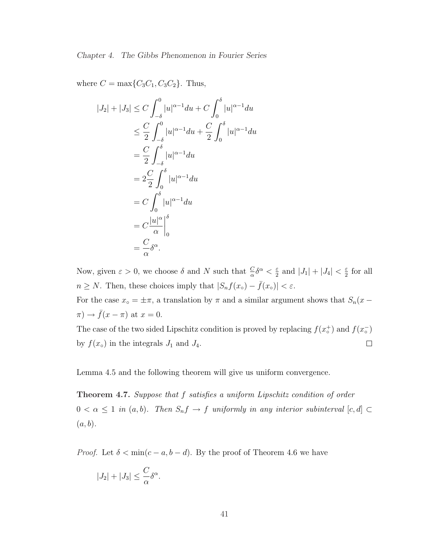where  $C = \max\{C_3C_1, C_3C_2\}$ . Thus,

$$
|J_2| + |J_3| \le C \int_{-\delta}^0 |u|^{\alpha - 1} du + C \int_0^{\delta} |u|^{\alpha - 1} du
$$
  
\n
$$
\le \frac{C}{2} \int_{-\delta}^0 |u|^{\alpha - 1} du + \frac{C}{2} \int_0^{\delta} |u|^{\alpha - 1} du
$$
  
\n
$$
= \frac{C}{2} \int_{-\delta}^{\delta} |u|^{\alpha - 1} du
$$
  
\n
$$
= 2 \frac{C}{2} \int_0^{\delta} |u|^{\alpha - 1} du
$$
  
\n
$$
= C \int_0^{\delta} |u|^{\alpha - 1} du
$$
  
\n
$$
= C \frac{|u|^{\alpha}}{\alpha} \Big|_0^{\delta}
$$
  
\n
$$
= \frac{C}{\alpha} \delta^{\alpha}.
$$

Now, given  $\varepsilon > 0$ , we choose  $\delta$  and N such that  $\frac{C}{\alpha} \delta^{\alpha} < \frac{\varepsilon}{2}$  $\frac{\varepsilon}{2}$  and  $|J_1| + |J_4| < \frac{\varepsilon}{2}$  $rac{\varepsilon}{2}$  for all  $n \geq N$ . Then, these choices imply that  $|S_n f(x_0) - \bar{f}(x_0)| < \varepsilon$ .

For the case  $x \circ = \pm \pi$ , a translation by  $\pi$  and a similar argument shows that  $S_n(x \pi$ )  $\rightarrow \bar{f}(x - \pi)$  at  $x = 0$ .

The case of the two sided Lipschitz condition is proved by replacing  $f(x_{\circ}^{+})$  and  $f(x_{\circ}^{-})$ by  $f(x_0)$  in the integrals  $J_1$  and  $J_4$ .  $\Box$ 

Lemma 4.5 and the following theorem will give us uniform convergence.

Theorem 4.7. Suppose that f satisfies a uniform Lipschitz condition of order  $0 < \alpha \leq 1$  in  $(a, b)$ . Then  $S_n f \to f$  uniformly in any interior subinterval  $[c, d] \subset$  $(a, b).$ 

*Proof.* Let  $\delta < \min(c - a, b - d)$ . By the proof of Theorem 4.6 we have

$$
|J_2| + |J_3| \leq \frac{C}{\alpha} \delta^{\alpha}.
$$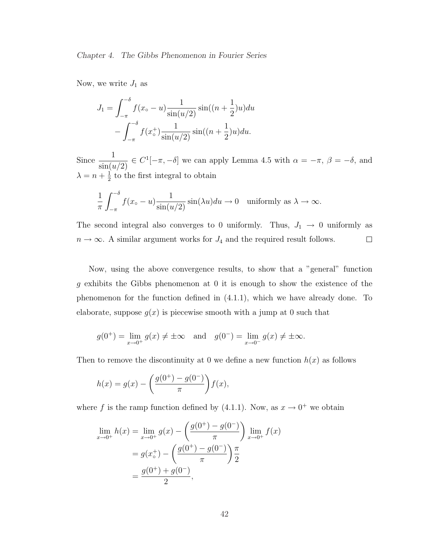Now, we write  $J_1$  as

$$
J_1 = \int_{-\pi}^{-\delta} f(x_\circ - u) \frac{1}{\sin(u/2)} \sin((n + \frac{1}{2})u) du
$$

$$
- \int_{-\pi}^{-\delta} f(x_\circ^+) \frac{1}{\sin(u/2)} \sin((n + \frac{1}{2})u) du.
$$

Since  $\frac{1}{\cdot}$  $\frac{1}{\sin(u/2)} \in C^1[-\pi, -\delta]$  we can apply Lemma 4.5 with  $\alpha = -\pi$ ,  $\beta = -\delta$ , and  $\lambda = n + \frac{1}{2}$  $\frac{1}{2}$  to the first integral to obtain

$$
\frac{1}{\pi} \int_{-\pi}^{-\delta} f(x_{\circ} - u) \frac{1}{\sin(u/2)} \sin(\lambda u) du \to 0 \quad \text{uniformly as } \lambda \to \infty.
$$

The second integral also converges to 0 uniformly. Thus,  $J_1 \rightarrow 0$  uniformly as  $n \to \infty$ . A similar argument works for  $J_4$  and the required result follows.  $\Box$ 

Now, using the above convergence results, to show that a "general" function g exhibits the Gibbs phenomenon at 0 it is enough to show the existence of the phenomenon for the function defined in (4.1.1), which we have already done. To elaborate, suppose  $q(x)$  is piecewise smooth with a jump at 0 such that

$$
g(0^+) = \lim_{x \to 0^+} g(x) \neq \pm \infty
$$
 and  $g(0^-) = \lim_{x \to 0^-} g(x) \neq \pm \infty$ .

Then to remove the discontinuity at 0 we define a new function  $h(x)$  as follows

$$
h(x) = g(x) - \left(\frac{g(0^+) - g(0^-)}{\pi}\right) f(x),
$$

where f is the ramp function defined by (4.1.1). Now, as  $x \to 0^+$  we obtain

$$
\lim_{x \to 0^{+}} h(x) = \lim_{x \to 0^{+}} g(x) - \left(\frac{g(0^{+}) - g(0^{-})}{\pi}\right) \lim_{x \to 0^{+}} f(x)
$$

$$
= g(x_{\circ}^{+}) - \left(\frac{g(0^{+}) - g(0^{-})}{\pi}\right) \frac{\pi}{2}
$$

$$
= \frac{g(0^{+}) + g(0^{-})}{2},
$$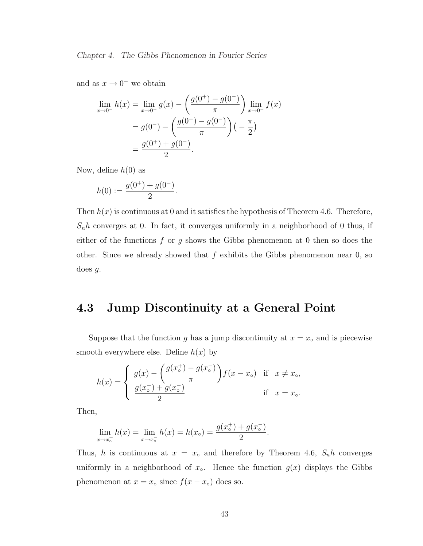and as  $x \to 0^-$  we obtain

$$
\lim_{x \to 0^{-}} h(x) = \lim_{x \to 0^{-}} g(x) - \left(\frac{g(0^{+}) - g(0^{-})}{\pi}\right) \lim_{x \to 0^{-}} f(x)
$$

$$
= g(0^{-}) - \left(\frac{g(0^{+}) - g(0^{-})}{\pi}\right) \left(-\frac{\pi}{2}\right)
$$

$$
= \frac{g(0^{+}) + g(0^{-})}{2}.
$$

Now, define  $h(0)$  as

$$
h(0) := \frac{g(0^+) + g(0^-)}{2}.
$$

Then  $h(x)$  is continuous at 0 and it satisfies the hypothesis of Theorem 4.6. Therefore,  $S_n h$  converges at 0. In fact, it converges uniformly in a neighborhood of 0 thus, if either of the functions  $f$  or  $g$  shows the Gibbs phenomenon at 0 then so does the other. Since we already showed that  $f$  exhibits the Gibbs phenomenon near  $0$ , so does  $g$ .

### 4.3 Jump Discontinuity at a General Point

Suppose that the function g has a jump discontinuity at  $x = x<sub>∘</sub>$  and is piecewise smooth everywhere else. Define  $h(x)$  by

$$
h(x) = \begin{cases} g(x) - \left(\frac{g(x_0^+) - g(x_0^-)}{\pi}\right) f(x - x_0) & \text{if } x \neq x_0, \\ \frac{g(x_0^+) + g(x_0^-)}{2} & \text{if } x = x_0. \end{cases}
$$

Then,

$$
\lim_{x \to x_o^+} h(x) = \lim_{x \to x_o^-} h(x) = h(x_o) = \frac{g(x_o^+) + g(x_o^-)}{2}.
$$

Thus, h is continuous at  $x = x<sub>o</sub>$  and therefore by Theorem 4.6,  $S<sub>n</sub>h$  converges uniformly in a neighborhood of  $x<sub>∘</sub>$ . Hence the function  $g(x)$  displays the Gibbs phenomenon at  $x = x<sub>∘</sub>$  since  $f(x - x<sub>∘</sub>)$  does so.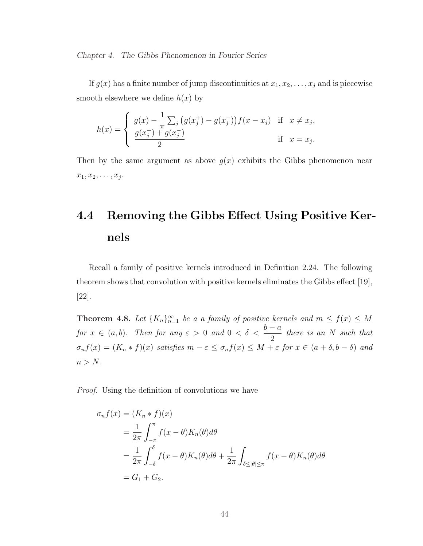Chapter 4. The Gibbs Phenomenon in Fourier Series

If  $g(x)$  has a finite number of jump discontinuities at  $x_1, x_2, \ldots, x_j$  and is piecewise smooth elsewhere we define  $h(x)$  by

$$
h(x) = \begin{cases} g(x) - \frac{1}{\pi} \sum_{j} (g(x_j^+) - g(x_j^-)) f(x - x_j) & \text{if } x \neq x_j, \\ \frac{g(x_j^+) + g(x_j^-)}{2} & \text{if } x = x_j. \end{cases}
$$

Then by the same argument as above  $g(x)$  exhibits the Gibbs phenomenon near  $x_1, x_2, \ldots, x_j$ .

# 4.4 Removing the Gibbs Effect Using Positive Kernels

Recall a family of positive kernels introduced in Definition 2.24. The following theorem shows that convolution with positive kernels eliminates the Gibbs effect [19], [22].

**Theorem 4.8.** Let  $\{K_n\}_{n=1}^{\infty}$  be a a family of positive kernels and  $m \le f(x) \le M$ for  $x \in (a, b)$ . Then for any  $\varepsilon > 0$  and  $0 < \delta < \frac{b-a}{a}$ 2 there is an N such that  $\sigma_n f(x) = (K_n * f)(x)$  satisfies  $m - \varepsilon \leq \sigma_n f(x) \leq M + \varepsilon$  for  $x \in (a + \delta, b - \delta)$  and  $n > N$ .

Proof. Using the definition of convolutions we have

$$
\sigma_n f(x) = (K_n * f)(x)
$$
  
=  $\frac{1}{2\pi} \int_{-\pi}^{\pi} f(x - \theta) K_n(\theta) d\theta$   
=  $\frac{1}{2\pi} \int_{-\delta}^{\delta} f(x - \theta) K_n(\theta) d\theta + \frac{1}{2\pi} \int_{\delta \le |\theta| \le \pi} f(x - \theta) K_n(\theta) d\theta$   
=  $G_1 + G_2$ .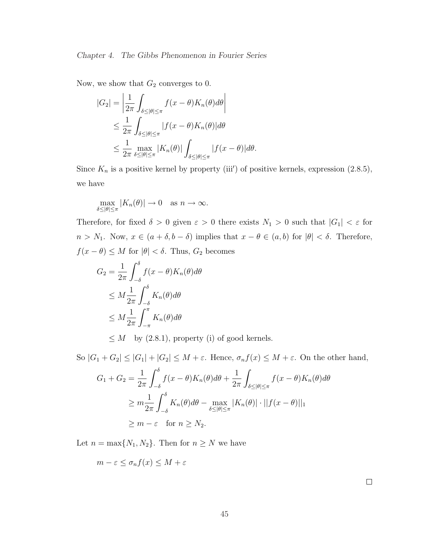Now, we show that  $G_2$  converges to 0.

$$
|G_2| = \left| \frac{1}{2\pi} \int_{\delta \le |\theta| \le \pi} f(x - \theta) K_n(\theta) d\theta \right|
$$
  
\n
$$
\le \frac{1}{2\pi} \int_{\delta \le |\theta| \le \pi} |f(x - \theta) K_n(\theta)| d\theta
$$
  
\n
$$
\le \frac{1}{2\pi} \max_{\delta \le |\theta| \le \pi} |K_n(\theta)| \int_{\delta \le |\theta| \le \pi} |f(x - \theta)| d\theta.
$$

Since  $K_n$  is a positive kernel by property (iii') of positive kernels, expression (2.8.5), we have

$$
\max_{\delta\leq|\theta|\leq\pi}|K_n(\theta)|\to 0\quad\text{as $n\to\infty$}.
$$

Therefore, for fixed  $\delta > 0$  given  $\varepsilon > 0$  there exists  $N_1 > 0$  such that  $|G_1| < \varepsilon$  for  $n > N_1$ . Now,  $x \in (a + \delta, b - \delta)$  implies that  $x - \theta \in (a, b)$  for  $|\theta| < \delta$ . Therefore,  $f(x - \theta) \leq M$  for  $|\theta| < \delta$ . Thus,  $G_2$  becomes

$$
G_2 = \frac{1}{2\pi} \int_{-\delta}^{\delta} f(x - \theta) K_n(\theta) d\theta
$$
  
\n
$$
\leq M \frac{1}{2\pi} \int_{-\delta}^{\delta} K_n(\theta) d\theta
$$
  
\n
$$
\leq M \frac{1}{2\pi} \int_{-\pi}^{\pi} K_n(\theta) d\theta
$$

 $\leq M$  by (2.8.1), property (i) of good kernels.

So  $|G_1 + G_2| \leq |G_1| + |G_2| \leq M + \varepsilon$ . Hence,  $\sigma_n f(x) \leq M + \varepsilon$ . On the other hand,

$$
G_1 + G_2 = \frac{1}{2\pi} \int_{-\delta}^{\delta} f(x - \theta) K_n(\theta) d\theta + \frac{1}{2\pi} \int_{\delta \le |\theta| \le \pi} f(x - \theta) K_n(\theta) d\theta
$$
  
\n
$$
\ge m \frac{1}{2\pi} \int_{-\delta}^{\delta} K_n(\theta) d\theta - \max_{\delta \le |\theta| \le \pi} |K_n(\theta)| \cdot ||f(x - \theta)||_1
$$
  
\n
$$
\ge m - \varepsilon \quad \text{for } n \ge N_2.
$$

Let  $n = \max\{N_1, N_2\}$ . Then for  $n \geq N$  we have

$$
m - \varepsilon \le \sigma_n f(x) \le M + \varepsilon
$$

 $\Box$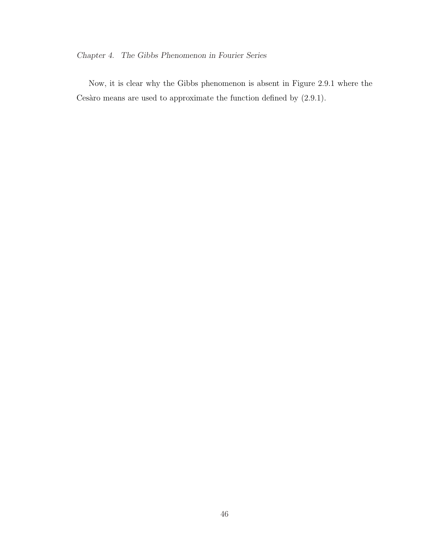### Chapter 4. The Gibbs Phenomenon in Fourier Series

Now, it is clear why the Gibbs phenomenon is absent in Figure 2.9.1 where the Cesàro means are used to approximate the function defined by  $(2.9.1)$ .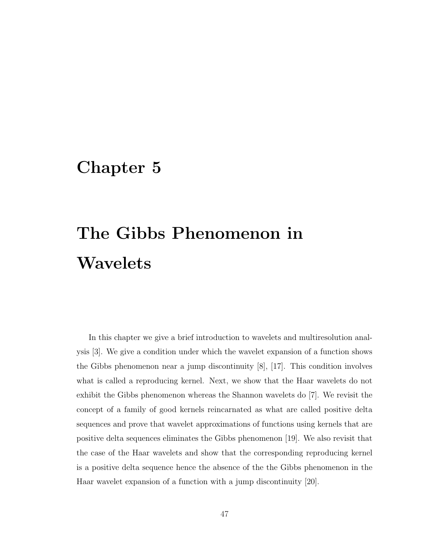### Chapter 5

# The Gibbs Phenomenon in Wavelets

In this chapter we give a brief introduction to wavelets and multiresolution analysis [3]. We give a condition under which the wavelet expansion of a function shows the Gibbs phenomenon near a jump discontinuity [8], [17]. This condition involves what is called a reproducing kernel. Next, we show that the Haar wavelets do not exhibit the Gibbs phenomenon whereas the Shannon wavelets do [7]. We revisit the concept of a family of good kernels reincarnated as what are called positive delta sequences and prove that wavelet approximations of functions using kernels that are positive delta sequences eliminates the Gibbs phenomenon [19]. We also revisit that the case of the Haar wavelets and show that the corresponding reproducing kernel is a positive delta sequence hence the absence of the the Gibbs phenomenon in the Haar wavelet expansion of a function with a jump discontinuity [20].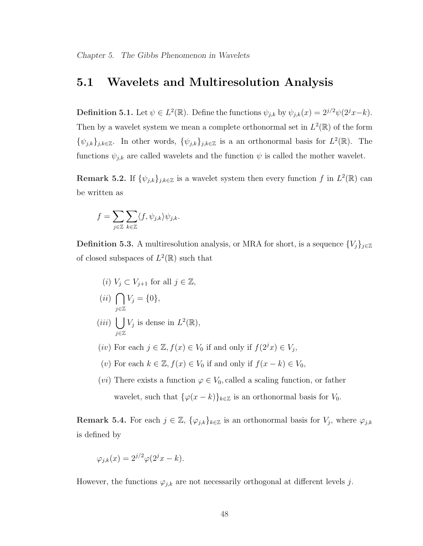### 5.1 Wavelets and Multiresolution Analysis

**Definition 5.1.** Let  $\psi \in L^2(\mathbb{R})$ . Define the functions  $\psi_{j,k}$  by  $\psi_{j,k}(x) = 2^{j/2}\psi(2^jx-k)$ . Then by a wavelet system we mean a complete orthonormal set in  $L^2(\mathbb{R})$  of the form  $\{\psi_{j,k}\}_{j,k\in\mathbb{Z}}$ . In other words,  $\{\psi_{j,k}\}_{j,k\in\mathbb{Z}}$  is a an orthonormal basis for  $L^2(\mathbb{R})$ . The functions  $\psi_{j,k}$  are called wavelets and the function  $\psi$  is called the mother wavelet.

**Remark 5.2.** If  $\{\psi_{j,k}\}_{j,k\in\mathbb{Z}}$  is a wavelet system then every function f in  $L^2(\mathbb{R})$  can be written as

$$
f = \sum_{j \in \mathbb{Z}} \sum_{k \in \mathbb{Z}} \langle f, \psi_{j,k} \rangle \psi_{j,k}.
$$

**Definition 5.3.** A multiresolution analysis, or MRA for short, is a sequence  $\{V_j\}_{j\in\mathbb{Z}}$ of closed subspaces of  $L^2(\mathbb{R})$  such that

(i) 
$$
V_j \subset V_{j+1}
$$
 for all  $j \in \mathbb{Z}$ ,  
(ii)  $\bigcap V_j = \{0\}$ ,

$$
(iii) \bigcup_{j\in\mathbb{Z}} V_j \text{ is dense in } L^2(\mathbb{R}),
$$

- (iv) For each  $j \in \mathbb{Z}$ ,  $f(x) \in V_0$  if and only if  $f(2^jx) \in V_j$ ,
- (v) For each  $k \in \mathbb{Z}$ ,  $f(x) \in V_0$  if and only if  $f(x k) \in V_0$ ,
- (*vi*) There exists a function  $\varphi \in V_0$ , called a scaling function, or father wavelet, such that  $\{\varphi(x - k)\}_{k \in \mathbb{Z}}$  is an orthonormal basis for  $V_0$ .

**Remark 5.4.** For each  $j \in \mathbb{Z}$ ,  $\{\varphi_{j,k}\}_{k \in \mathbb{Z}}$  is an orthonormal basis for  $V_j$ , where  $\varphi_{j,k}$ is defined by

$$
\varphi_{j,k}(x) = 2^{j/2} \varphi(2^j x - k).
$$

However, the functions  $\varphi_{j,k}$  are not necessarily orthogonal at different levels j.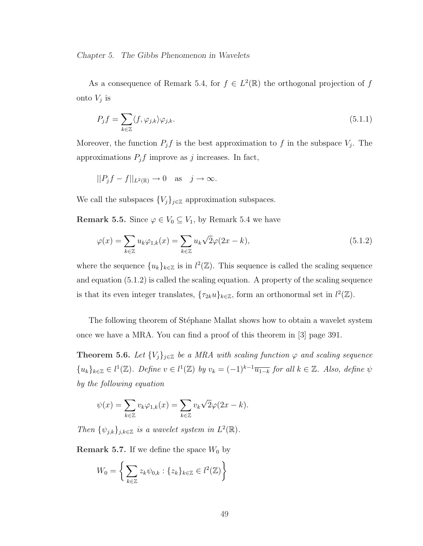As a consequence of Remark 5.4, for  $f \in L^2(\mathbb{R})$  the orthogonal projection of f onto  $V_j$  is

$$
P_j f = \sum_{k \in \mathbb{Z}} \langle f, \varphi_{j,k} \rangle \varphi_{j,k}.
$$
\n(5.1.1)

Moreover, the function  $P_j f$  is the best approximation to f in the subspace  $V_j$ . The approximations  $P_j f$  improve as j increases. In fact,

$$
||P_j f - f||_{L^2(\mathbb{R})} \to 0 \quad \text{as} \quad j \to \infty.
$$

We call the subspaces  $\{V_j\}_{j\in\mathbb{Z}}$  approximation subspaces.

Remark 5.5. Since  $\varphi \in V_0 \subseteq V_1$ , by Remark 5.4 we have

$$
\varphi(x) = \sum_{k \in \mathbb{Z}} u_k \varphi_{1,k}(x) = \sum_{k \in \mathbb{Z}} u_k \sqrt{2} \varphi(2x - k), \qquad (5.1.2)
$$

where the sequence  ${u_k}_{k \in \mathbb{Z}}$  is in  $l^2(\mathbb{Z})$ . This sequence is called the scaling sequence and equation (5.1.2) is called the scaling equation. A property of the scaling sequence is that its even integer translates,  $\{\tau_{2k}u\}_{k\in\mathbb{Z}}$ , form an orthonormal set in  $l^2(\mathbb{Z})$ .

The following theorem of Stéphane Mallat shows how to obtain a wavelet system once we have a MRA. You can find a proof of this theorem in [3] page 391.

**Theorem 5.6.** Let  $\{V_j\}_{j\in\mathbb{Z}}$  be a MRA with scaling function  $\varphi$  and scaling sequence  ${u_k}_{k \in \mathbb{Z}} \in l^1(\mathbb{Z})$ . Define  $v \in l^1(\mathbb{Z})$  by  $v_k = (-1)^{k-1} \overline{u_{1-k}}$  for all  $k \in \mathbb{Z}$ . Also, define  $\psi$ by the following equation

$$
\psi(x) = \sum_{k \in \mathbb{Z}} v_k \varphi_{1,k}(x) = \sum_{k \in \mathbb{Z}} v_k \sqrt{2} \varphi(2x - k).
$$

Then  $\{\psi_{j,k}\}_{j,k\in\mathbb{Z}}$  is a wavelet system in  $L^2(\mathbb{R})$ .

**Remark 5.7.** If we define the space  $W_0$  by

$$
W_0 = \left\{ \sum_{k \in \mathbb{Z}} z_k \psi_{0,k} : \{z_k\}_{k \in \mathbb{Z}} \in l^2(\mathbb{Z}) \right\}
$$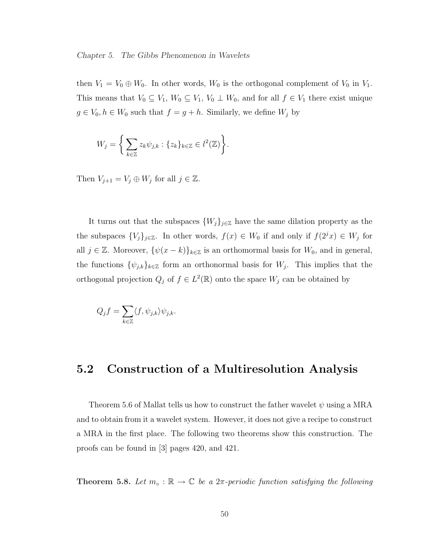then  $V_1 = V_0 \oplus W_0$ . In other words,  $W_0$  is the orthogonal complement of  $V_0$  in  $V_1$ . This means that  $V_0 \subseteq V_1$ ,  $W_0 \subseteq V_1$ ,  $V_0 \perp W_0$ , and for all  $f \in V_1$  there exist unique  $g \in V_0, h \in W_0$  such that  $f = g + h$ . Similarly, we define  $W_j$  by

$$
W_j = \left\{ \sum_{k \in \mathbb{Z}} z_k \psi_{j,k} : \{z_k\}_{k \in \mathbb{Z}} \in l^2(\mathbb{Z}) \right\}.
$$

Then  $V_{j+1} = V_j \oplus W_j$  for all  $j \in \mathbb{Z}$ .

It turns out that the subspaces  $\{W_j\}_{j\in\mathbb{Z}}$  have the same dilation property as the the subspaces  $\{V_j\}_{j\in\mathbb{Z}}$ . In other words,  $f(x) \in W_0$  if and only if  $f(2^jx) \in W_j$  for all  $j \in \mathbb{Z}$ . Moreover,  $\{\psi(x-k)\}_{k\in\mathbb{Z}}$  is an orthomormal basis for  $W_0$ , and in general, the functions  $\{\psi_{j,k}\}_{k\in\mathbb{Z}}$  form an orthonormal basis for  $W_j$ . This implies that the orthogonal projection  $Q_j$  of  $f \in L^2(\mathbb{R})$  onto the space  $W_j$  can be obtained by

$$
Q_j f = \sum_{k \in \mathbb{Z}} \langle f, \psi_{j,k} \rangle \psi_{j,k}.
$$

### 5.2 Construction of a Multiresolution Analysis

Theorem 5.6 of Mallat tells us how to construct the father wavelet  $\psi$  using a MRA and to obtain from it a wavelet system. However, it does not give a recipe to construct a MRA in the first place. The following two theorems show this construction. The proofs can be found in [3] pages 420, and 421.

Theorem 5.8. Let  $m_{\circ} : \mathbb{R} \to \mathbb{C}$  be a  $2\pi$ -periodic function satisfying the following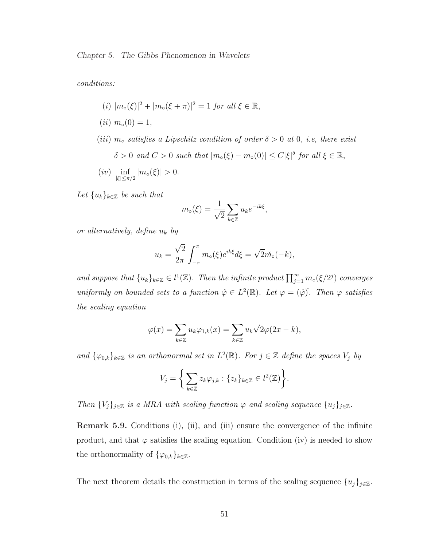conditions:

- (*i*)  $|m_{\circ}(\xi)|^2 + |m_{\circ}(\xi + \pi)|^2 = 1$  for all  $\xi \in \mathbb{R}$ ,
- $(ii)$   $m_o(0) = 1$ ,
- (iii)  $m_0$  satisfies a Lipschitz condition of order  $\delta > 0$  at 0, i.e, there exist  $\delta > 0$  and  $C > 0$  such that  $|m_{\circ}(\xi) - m_{\circ}(0)| \leq C |\xi|^{\delta}$  for all  $\xi \in \mathbb{R}$ ,
- $(iv)$   $\inf_{|\xi| \leq \pi/2} |m_{\circ}(\xi)| > 0.$

Let  ${u_k}_{k \in \mathbb{Z}}$  be such that

$$
m_{\circ}(\xi) = \frac{1}{\sqrt{2}} \sum_{k \in \mathbb{Z}} u_k e^{-ik\xi},
$$

or alternatively, define  $u_k$  by

$$
u_k = \frac{\sqrt{2}}{2\pi} \int_{-\pi}^{\pi} m_o(\xi) e^{ik\xi} d\xi = \sqrt{2m} \delta_{o}(-k),
$$

and suppose that  ${u_k}_{k \in \mathbb{Z}} \in l^1(\mathbb{Z})$ . Then the infinite product  $\prod_{j=1}^{\infty} m_o(\xi/2^j)$  converges uniformly on bounded sets to a function  $\hat{\varphi} \in L^2(\mathbb{R})$ . Let  $\varphi = (\hat{\varphi})^T$ . Then  $\varphi$  satisfies the scaling equation

$$
\varphi(x) = \sum_{k \in \mathbb{Z}} u_k \varphi_{1,k}(x) = \sum_{k \in \mathbb{Z}} u_k \sqrt{2} \varphi(2x - k),
$$

and  $\{\varphi_{0,k}\}_{k\in\mathbb{Z}}$  is an orthonormal set in  $L^2(\mathbb{R})$ . For  $j\in\mathbb{Z}$  define the spaces  $V_j$  by

$$
V_j = \left\{ \sum_{k \in \mathbb{Z}} z_k \varphi_{j,k} : \{z_k\}_{k \in \mathbb{Z}} \in l^2(\mathbb{Z}) \right\}.
$$

Then  ${V_j}_{j \in \mathbb{Z}}$  is a MRA with scaling function  $\varphi$  and scaling sequence  ${u_j}_{j \in \mathbb{Z}}$ .

Remark 5.9. Conditions (i), (ii), and (iii) ensure the convergence of the infinite product, and that  $\varphi$  satisfies the scaling equation. Condition (iv) is needed to show the orthonormality of  $\{\varphi_{0,k}\}_{k\in\mathbb{Z}}$ .

The next theorem details the construction in terms of the scaling sequence  $\{u_j\}_{j\in\mathbb{Z}}$ .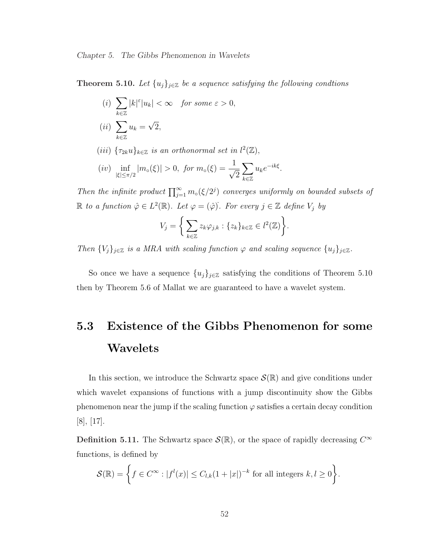**Theorem 5.10.** Let  $\{u_j\}_{j\in\mathbb{Z}}$  be a sequence satisfying the following condtions

- (i)  $\overline{\phantom{a}}$ k∈Z  $|k|^{\varepsilon}|u_k| < \infty$  for some  $\varepsilon > 0$ ,  $(ii)$  $\sum_{\alpha=1}^{\infty}$ k∈Z  $u_k =$ √ 2,
- (iii)  $\{\tau_{2k}u\}_{k\in\mathbb{Z}}$  is an orthonormal set in  $l^2(\mathbb{Z})$ ,
- $(iv)$  inf  $|m_{\circ}(\xi)| > 0$ , for  $m_{\circ}(\xi) = \frac{1}{\sqrt{\xi}}$ 2  $\overline{\phantom{a}}$ k∈Z  $u_k e^{-ik\xi}$ .

Then the infinite product  $\prod_{j=1}^{\infty} m_{\circ}(\xi/2^{j})$  converges uniformly on bounded subsets of  $\mathbb R$  to a function  $\hat{\varphi} \in L^2(\mathbb R)$ . Let  $\varphi = (\hat{\varphi})$ . For every  $j \in \mathbb Z$  define  $V_j$  by

$$
V_j = \left\{ \sum_{k \in \mathbb{Z}} z_k \varphi_{j,k} : \{z_k\}_{k \in \mathbb{Z}} \in l^2(\mathbb{Z}) \right\}.
$$

Then  ${V_j}_{j \in \mathbb{Z}}$  is a MRA with scaling function  $\varphi$  and scaling sequence  ${u_j}_{j \in \mathbb{Z}}$ .

So once we have a sequence  $\{u_j\}_{j\in\mathbb{Z}}$  satisfying the conditions of Theorem 5.10 then by Theorem 5.6 of Mallat we are guaranteed to have a wavelet system.

## 5.3 Existence of the Gibbs Phenomenon for some Wavelets

In this section, we introduce the Schwartz space  $\mathcal{S}(\mathbb{R})$  and give conditions under which wavelet expansions of functions with a jump discontinuity show the Gibbs phenomenon near the jump if the scaling function  $\varphi$  satisfies a certain decay condition [8], [17].

**Definition 5.11.** The Schwartz space  $\mathcal{S}(\mathbb{R})$ , or the space of rapidly decreasing  $C^{\infty}$ functions, is defined by

$$
\mathcal{S}(\mathbb{R}) = \left\{ f \in C^{\infty} : |f^{l}(x)| \leq C_{l,k} (1+|x|)^{-k} \text{ for all integers } k, l \geq 0 \right\}.
$$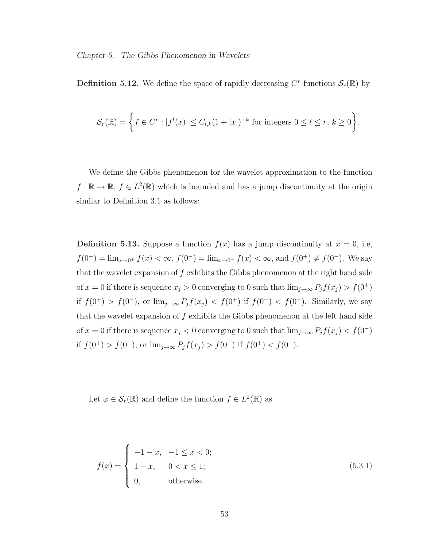**Definition 5.12.** We define the space of rapidly decreasing  $C^r$  functions  $\mathcal{S}_r(\mathbb{R})$  by

$$
\mathcal{S}_r(\mathbb{R}) = \left\{ f \in C^r : |f^l(x)| \leq C_{l,k} (1+|x|)^{-k} \text{ for integers } 0 \leq l \leq r, k \geq 0 \right\}.
$$

We define the Gibbs phenomenon for the wavelet approximation to the function  $f : \mathbb{R} \to \mathbb{R}, f \in L^2(\mathbb{R})$  which is bounded and has a jump discontinuity at the origin similar to Definition 3.1 as follows:

**Definition 5.13.** Suppose a function  $f(x)$  has a jump discontinuity at  $x = 0$ , i.e,  $f(0^+) = \lim_{x\to 0^+} f(x) < \infty$ ,  $f(0^-) = \lim_{x\to 0^-} f(x) < \infty$ , and  $f(0^+) \neq f(0^-)$ . We say that the wavelet expansion of  $f$  exhibits the Gibbs phenomenon at the right hand side of  $x = 0$  if there is sequence  $x_j > 0$  converging to 0 such that  $\lim_{j \to \infty} P_j f(x_j) > f(0^+)$ if  $f(0^+) > f(0^-)$ , or  $\lim_{j\to\infty} P_j f(x_j) < f(0^+)$  if  $f(0^+) < f(0^-)$ . Similarly, we say that the wavelet expansion of  $f$  exhibits the Gibbs phenomenon at the left hand side of  $x = 0$  if there is sequence  $x_j < 0$  converging to 0 such that  $\lim_{j \to \infty} P_j f(x_j) < f(0^-)$ if  $f(0^+) > f(0^-)$ , or  $\lim_{j\to\infty} P_j f(x_j) > f(0^-)$  if  $f(0^+) < f(0^-)$ .

Let  $\varphi \in \mathcal{S}_r(\mathbb{R})$  and define the function  $f \in L^2(\mathbb{R})$  as

$$
f(x) = \begin{cases} -1 - x, & -1 \le x < 0; \\ 1 - x, & 0 < x \le 1; \\ 0, & \text{otherwise.} \end{cases}
$$
 (5.3.1)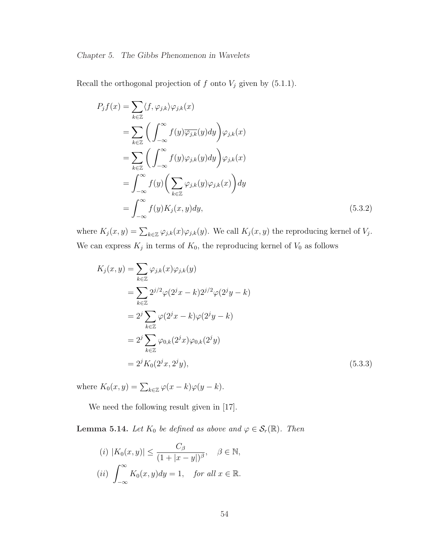Recall the orthogonal projection of  $f$  onto  $V_j$  given by (5.1.1).

$$
P_j f(x) = \sum_{k \in \mathbb{Z}} \langle f, \varphi_{j,k} \rangle \varphi_{j,k}(x)
$$
  
\n
$$
= \sum_{k \in \mathbb{Z}} \left( \int_{-\infty}^{\infty} f(y) \overline{\varphi_{j,k}}(y) dy \right) \varphi_{j,k}(x)
$$
  
\n
$$
= \sum_{k \in \mathbb{Z}} \left( \int_{-\infty}^{\infty} f(y) \varphi_{j,k}(y) dy \right) \varphi_{j,k}(x)
$$
  
\n
$$
= \int_{-\infty}^{\infty} f(y) \left( \sum_{k \in \mathbb{Z}} \varphi_{j,k}(y) \varphi_{j,k}(x) \right) dy
$$
  
\n
$$
= \int_{-\infty}^{\infty} f(y) K_j(x, y) dy,
$$
 (5.3.2)

where  $K_j(x, y) = \sum_{k \in \mathbb{Z}} \varphi_{j,k}(x) \varphi_{j,k}(y)$ . We call  $K_j(x, y)$  the reproducing kernel of  $V_j$ . We can express  $K_j$  in terms of  $K_0$ , the reproducing kernel of  $V_0$  as follows

$$
K_j(x, y) = \sum_{k \in \mathbb{Z}} \varphi_{j,k}(x) \varphi_{j,k}(y)
$$
  
= 
$$
\sum_{k \in \mathbb{Z}} 2^{j/2} \varphi(2^j x - k) 2^{j/2} \varphi(2^j y - k)
$$
  
= 
$$
2^j \sum_{k \in \mathbb{Z}} \varphi(2^j x - k) \varphi(2^j y - k)
$$
  
= 
$$
2^j \sum_{k \in \mathbb{Z}} \varphi_{0,k}(2^j x) \varphi_{0,k}(2^j y)
$$
  
= 
$$
2^j K_0(2^j x, 2^j y),
$$
 (5.3.3)

where  $K_0(x, y) = \sum_{k \in \mathbb{Z}} \varphi(x - k) \varphi(y - k)$ .

We need the following result given in  $[17]$ .

**Lemma 5.14.** Let  $K_0$  be defined as above and  $\varphi \in \mathcal{S}_r(\mathbb{R})$ . Then

$$
(i) |K_0(x, y)| \le \frac{C_\beta}{(1+|x-y|)^\beta}, \quad \beta \in \mathbb{N},
$$
  

$$
(ii) \int_{-\infty}^{\infty} K_0(x, y) dy = 1, \quad \text{for all } x \in \mathbb{R}.
$$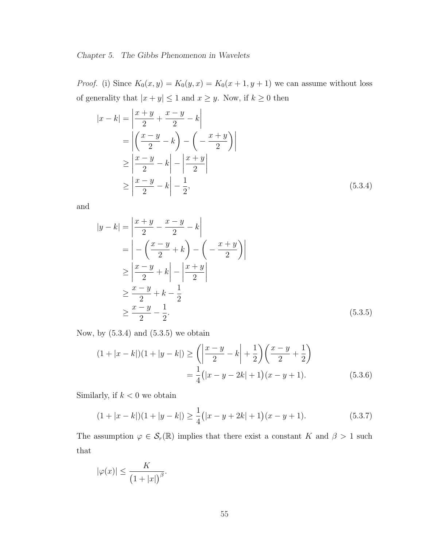*Proof.* (i) Since  $K_0(x, y) = K_0(y, x) = K_0(x + 1, y + 1)$  we can assume without loss of generality that  $|x + y| \leq 1$  and  $x \geq y$ . Now, if  $k \geq 0$  then

$$
|x - k| = \left| \frac{x + y}{2} + \frac{x - y}{2} - k \right|
$$
  
= 
$$
\left| \left( \frac{x - y}{2} - k \right) - \left( -\frac{x + y}{2} \right) \right|
$$
  

$$
\geq \left| \frac{x - y}{2} - k \right| - \left| \frac{x + y}{2} \right|
$$
  

$$
\geq \left| \frac{x - y}{2} - k \right| - \frac{1}{2},
$$
 (5.3.4)

and

$$
|y-k| = \left|\frac{x+y}{2} - \frac{x-y}{2} - k\right|
$$
  
\n
$$
= \left| -\left(\frac{x-y}{2} + k\right) - \left(-\frac{x+y}{2}\right) \right|
$$
  
\n
$$
\ge \left| \frac{x-y}{2} + k \right| - \left| \frac{x+y}{2} \right|
$$
  
\n
$$
\ge \frac{x-y}{2} + k - \frac{1}{2}
$$
  
\n
$$
\ge \frac{x-y}{2} - \frac{1}{2}.
$$
\n(5.3.5)

Now, by  $(5.3.4)$  and  $(5.3.5)$  we obtain

$$
(1+|x-k|)(1+|y-k|) \ge \left(\left|\frac{x-y}{2} - k\right| + \frac{1}{2}\right)\left(\frac{x-y}{2} + \frac{1}{2}\right)
$$

$$
= \frac{1}{4}(|x-y-2k|+1)(x-y+1).
$$
(5.3.6)

Similarly, if  $k < 0$  we obtain

$$
(1+|x-k|)(1+|y-k|) \ge \frac{1}{4}(|x-y+2k|+1)(x-y+1). \tag{5.3.7}
$$

The assumption  $\varphi \in \mathcal{S}_r(\mathbb{R})$  implies that there exist a constant K and  $\beta > 1$  such that

$$
|\varphi(x)| \le \frac{K}{\left(1+|x|\right)^{\beta}}.
$$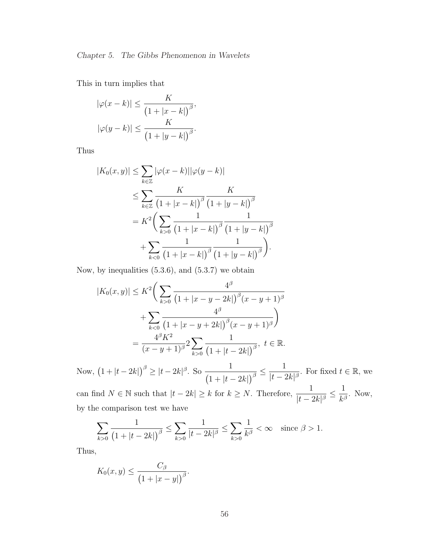This in turn implies that

$$
|\varphi(x-k)| \le \frac{K}{\left(1+|x-k|\right)^{\beta}},
$$
  

$$
|\varphi(y-k)| \le \frac{K}{\left(1+|y-k|\right)^{\beta}}.
$$

Thus

$$
|K_0(x, y)| \leq \sum_{k \in \mathbb{Z}} |\varphi(x - k)| |\varphi(y - k)|
$$
  
\n
$$
\leq \sum_{k \in \mathbb{Z}} \frac{K}{(1 + |x - k|)^{\beta}} \frac{K}{(1 + |y - k|)^{\beta}}
$$
  
\n
$$
= K^2 \left( \sum_{k > 0} \frac{1}{(1 + |x - k|)^{\beta}} \frac{1}{(1 + |y - k|)^{\beta}} \right)
$$
  
\n
$$
+ \sum_{k < 0} \frac{1}{(1 + |x - k|)^{\beta}} \frac{1}{(1 + |y - k|)^{\beta}}.
$$

Now, by inequalities  $(5.3.6)$ , and  $(5.3.7)$  we obtain

$$
|K_0(x, y)| \le K^2 \left( \sum_{k>0} \frac{4^{\beta}}{\left(1 + |x - y - 2k|\right)^{\beta} (x - y + 1)^{\beta}} + \sum_{k<0} \frac{4^{\beta}}{\left(1 + |x - y + 2k|\right)^{\beta} (x - y + 1)^{\beta}} \right)
$$
  
=  $\frac{4^{\beta} K^2}{(x - y + 1)^{\beta}} 2 \sum_{k>0} \frac{1}{\left(1 + |t - 2k|\right)^{\beta}}, \ t \in \mathbb{R}.$ 

Now,  $(1+|t-2k|)^{\beta} \ge |t-2k|^{\beta}$ . So  $\frac{1}{(1+|t-2k|)^{\beta}}$  $\frac{1}{1 + |t - 2k|}$ <sup>3</sup> 1  $\frac{1}{|t - 2k|^{\beta}}$ . For fixed  $t \in \mathbb{R}$ , we

can find  $N \in \mathbb{N}$  such that  $|t - 2k| \geq k$  for  $k \geq N$ . Therefore,  $\frac{1}{1-\epsilon}$  $\frac{1}{|t-2k|^{\beta}} \le$ 1  $\frac{1}{k^{\beta}}$ . Now, by the comparison test we have

$$
\sum_{k>0} \frac{1}{(1+|t-2k|)^{\beta}} \le \sum_{k>0} \frac{1}{|t-2k|^{\beta}} \le \sum_{k>0} \frac{1}{k^{\beta}} < \infty \quad \text{since } \beta > 1.
$$

Thus,

$$
K_0(x,y) \le \frac{C_\beta}{\left(1+|x-y|\right)^{\beta}}.
$$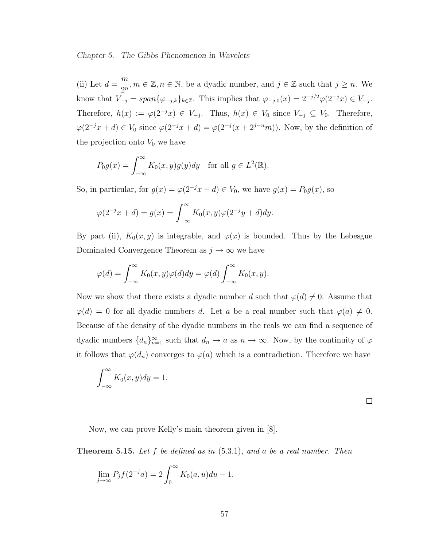(ii) Let  $d =$ m  $\frac{n}{2^n}$ ,  $m \in \mathbb{Z}, n \in \mathbb{N}$ , be a dyadic number, and  $j \in \mathbb{Z}$  such that  $j \geq n$ . We know that  $V_{-j} = \overline{span\{\varphi_{-j,k}\}_{k\in\mathbb{Z}}}$ . This implies that  $\varphi_{-j,0}(x) = 2^{-j/2}\varphi(2^{-j}x) \in V_{-j}$ . Therefore,  $h(x) := \varphi(2^{-j}x) \in V_{-j}$ . Thus,  $h(x) \in V_0$  since  $V_{-j} \subseteq V_0$ . Therefore,  $\varphi(2^{-j}x+d) \in V_0$  since  $\varphi(2^{-j}x+d) = \varphi(2^{-j}(x+2^{j-n}m))$ . Now, by the definition of the projection onto  $V_0$  we have

$$
P_0g(x) = \int_{-\infty}^{\infty} K_0(x, y)g(y)dy \text{ for all } g \in L^2(\mathbb{R}).
$$

So, in particular, for  $g(x) = \varphi(2^{-j}x + d) \in V_0$ , we have  $g(x) = P_0g(x)$ , so

$$
\varphi(2^{-j}x+d) = g(x) = \int_{-\infty}^{\infty} K_0(x,y)\varphi(2^{-j}y+d)dy.
$$

By part (ii),  $K_0(x, y)$  is integrable, and  $\varphi(x)$  is bounded. Thus by the Lebesgue Dominated Convergence Theorem as  $j\to\infty$  we have

$$
\varphi(d) = \int_{-\infty}^{\infty} K_0(x, y) \varphi(d) dy = \varphi(d) \int_{-\infty}^{\infty} K_0(x, y).
$$

Now we show that there exists a dyadic number d such that  $\varphi(d) \neq 0$ . Assume that  $\varphi(d) = 0$  for all dyadic numbers d. Let a be a real number such that  $\varphi(a) \neq 0$ . Because of the density of the dyadic numbers in the reals we can find a sequence of dyadic numbers  $\{d_n\}_{n=1}^{\infty}$  such that  $d_n \to a$  as  $n \to \infty$ . Now, by the continuity of  $\varphi$ it follows that  $\varphi(d_n)$  converges to  $\varphi(a)$  which is a contradiction. Therefore we have

$$
\int_{-\infty}^{\infty} K_0(x, y) dy = 1.
$$

 $\Box$ 

Now, we can prove Kelly's main theorem given in [8].

**Theorem 5.15.** Let f be defined as in  $(5.3.1)$ , and a be a real number. Then

$$
\lim_{j \to \infty} P_j f(2^{-j} a) = 2 \int_0^\infty K_0(a, u) du - 1.
$$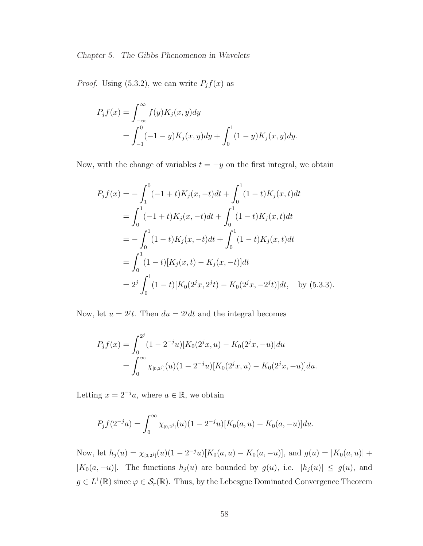*Proof.* Using (5.3.2), we can write  $P_j f(x)$  as

$$
P_j f(x) = \int_{-\infty}^{\infty} f(y) K_j(x, y) dy
$$
  
= 
$$
\int_{-1}^{0} (-1 - y) K_j(x, y) dy + \int_{0}^{1} (1 - y) K_j(x, y) dy.
$$

Now, with the change of variables  $t = -y$  on the first integral, we obtain

$$
P_j f(x) = -\int_1^0 (-1+t)K_j(x, -t)dt + \int_0^1 (1-t)K_j(x, t)dt
$$
  
= 
$$
\int_0^1 (-1+t)K_j(x, -t)dt + \int_0^1 (1-t)K_j(x, t)dt
$$
  
= 
$$
-\int_0^1 (1-t)K_j(x, -t)dt + \int_0^1 (1-t)K_j(x, t)dt
$$
  
= 
$$
\int_0^1 (1-t)[K_j(x, t) - K_j(x, -t)]dt
$$
  
= 
$$
2^j \int_0^1 (1-t)[K_0(2^jx, 2^jt) - K_0(2^jx, -2^jt)]dt, \text{ by (5.3.3)}.
$$

Now, let  $u = 2^{j}t$ . Then  $du = 2^{j}dt$  and the integral becomes

$$
P_j f(x) = \int_0^{2^j} (1 - 2^{-j}u) [K_0(2^j x, u) - K_0(2^j x, -u)] du
$$
  
= 
$$
\int_0^{\infty} \chi_{[0, 2^j]}(u) (1 - 2^{-j}u) [K_0(2^j x, u) - K_0(2^j x, -u)] du.
$$

Letting  $x = 2^{-j}a$ , where  $a \in \mathbb{R}$ , we obtain

$$
P_j f(2^{-j}a) = \int_0^\infty \chi_{[0,2^j]}(u) (1 - 2^{-j}u) [K_0(a, u) - K_0(a, -u)] du.
$$

Now, let  $h_j(u) = \chi_{[0,2^j]}(u) (1 - 2^{-j}u) [K_0(a, u) - K_0(a, -u)],$  and  $g(u) = |K_0(a, u)| +$  $|K_0(a, -u)|$ . The functions  $h_j(u)$  are bounded by  $g(u)$ , i.e.  $|h_j(u)| \le g(u)$ , and  $g \in L^1(\mathbb{R})$  since  $\varphi \in \mathcal{S}_r(\mathbb{R})$ . Thus, by the Lebesgue Dominated Convergence Theorem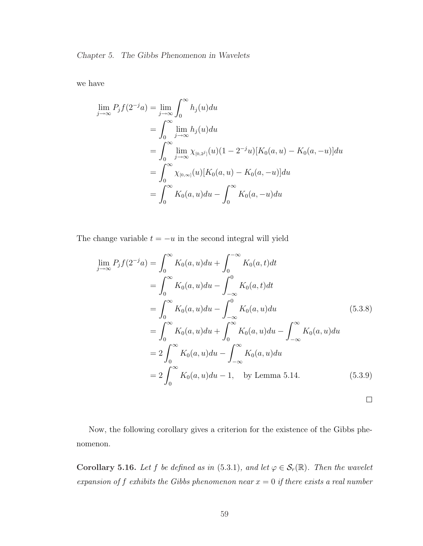we have

$$
\lim_{j \to \infty} P_j f(2^{-j} a) = \lim_{j \to \infty} \int_0^\infty h_j(u) du
$$
  
= 
$$
\int_0^\infty \lim_{j \to \infty} h_j(u) du
$$
  
= 
$$
\int_0^\infty \lim_{j \to \infty} \chi_{[0,2^j]}(u) (1 - 2^{-j} u) [K_0(a, u) - K_0(a, -u)] du
$$
  
= 
$$
\int_0^\infty \chi_{[0,\infty]}(u) [K_0(a, u) - K_0(a, -u)] du
$$
  
= 
$$
\int_0^\infty K_0(a, u) du - \int_0^\infty K_0(a, -u) du
$$

The change variable  $t = -u$  in the second integral will yield

$$
\lim_{j \to \infty} P_j f(2^{-j} a) = \int_0^\infty K_0(a, u) du + \int_0^{-\infty} K_0(a, t) dt
$$
  
\n
$$
= \int_0^\infty K_0(a, u) du - \int_{-\infty}^0 K_0(a, t) dt
$$
  
\n
$$
= \int_0^\infty K_0(a, u) du - \int_{-\infty}^0 K_0(a, u) du
$$
  
\n
$$
= \int_0^\infty K_0(a, u) du + \int_0^\infty K_0(a, u) du - \int_{-\infty}^\infty K_0(a, u) du
$$
  
\n
$$
= 2 \int_0^\infty K_0(a, u) du - \int_{-\infty}^\infty K_0(a, u) du
$$
  
\n
$$
= 2 \int_0^\infty K_0(a, u) du - 1, \text{ by Lemma 5.14.} \qquad (5.3.9)
$$

Now, the following corollary gives a criterion for the existence of the Gibbs phenomenon.

Corollary 5.16. Let f be defined as in (5.3.1), and let  $\varphi \in \mathcal{S}_r(\mathbb{R})$ . Then the wavelet expansion of f exhibits the Gibbs phenomenon near  $x = 0$  if there exists a real number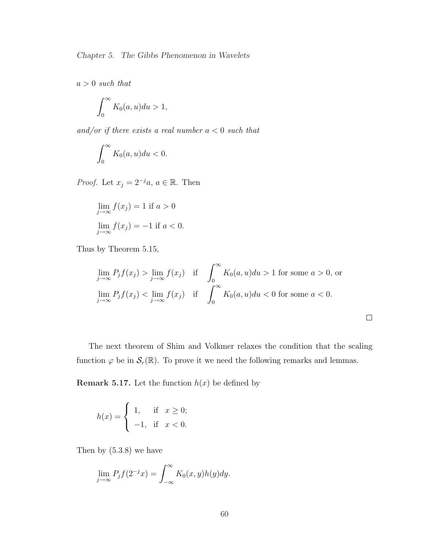$a > 0$  such that

$$
\int_0^\infty K_0(a, u) du > 1,
$$

and/or if there exists a real number  $a < 0$  such that

$$
\int_0^\infty K_0(a, u) du < 0.
$$

*Proof.* Let  $x_j = 2^{-j}a, a \in \mathbb{R}$ . Then

$$
\lim_{j \to \infty} f(x_j) = 1 \text{ if } a > 0
$$
  

$$
\lim_{j \to \infty} f(x_j) = -1 \text{ if } a < 0.
$$

Thus by Theorem 5.15,

$$
\lim_{j \to \infty} P_j f(x_j) > \lim_{j \to \infty} f(x_j) \quad \text{if} \quad \int_0^\infty K_0(a, u) du > 1 \text{ for some } a > 0, \text{ or}
$$
\n
$$
\lim_{j \to \infty} P_j f(x_j) < \lim_{j \to \infty} f(x_j) \quad \text{if} \quad \int_0^\infty K_0(a, u) du < 0 \text{ for some } a < 0.
$$

 $\Box$ 

The next theorem of Shim and Volkmer relaxes the condition that the scaling function  $\varphi$  be in  $\mathcal{S}_r(\mathbb{R})$ . To prove it we need the following remarks and lemmas.

**Remark 5.17.** Let the function  $h(x)$  be defined by

$$
h(x) = \begin{cases} 1, & \text{if } x \ge 0; \\ -1, & \text{if } x < 0. \end{cases}
$$

Then by (5.3.8) we have

$$
\lim_{j \to \infty} P_j f(2^{-j} x) = \int_{-\infty}^{\infty} K_0(x, y) h(y) dy.
$$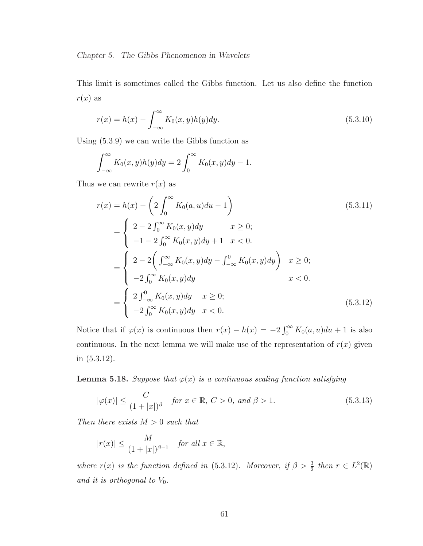This limit is sometimes called the Gibbs function. Let us also define the function  $r(x)$  as

$$
r(x) = h(x) - \int_{-\infty}^{\infty} K_0(x, y)h(y)dy.
$$
 (5.3.10)

Using (5.3.9) we can write the Gibbs function as

$$
\int_{-\infty}^{\infty} K_0(x, y)h(y)dy = 2 \int_0^{\infty} K_0(x, y)dy - 1.
$$

Thus we can rewrite  $r(x)$  as

$$
r(x) = h(x) - \left(2\int_0^\infty K_0(a, u)du - 1\right)
$$
(5.3.11)  
= 
$$
\begin{cases} 2 - 2\int_0^\infty K_0(x, y)dy & x \ge 0; \\ -1 - 2\int_0^\infty K_0(x, y)dy + 1 & x < 0. \end{cases}
$$
  
= 
$$
\begin{cases} 2 - 2\left(\int_{-\infty}^\infty K_0(x, y)dy - \int_{-\infty}^0 K_0(x, y)dy\right) & x \ge 0; \\ -2\int_0^\infty K_0(x, y)dy & x < 0. \end{cases}
$$
  
= 
$$
\begin{cases} 2\int_{-\infty}^0 K_0(x, y)dy & x \ge 0; \\ -2\int_0^\infty K_0(x, y)dy & x < 0. \end{cases}
$$
(5.3.12)

Notice that if  $\varphi(x)$  is continuous then  $r(x) - h(x) = -2 \int_0^\infty$  $\int_0^\infty K_0(a, u) du + 1$  is also continuous. In the next lemma we will make use of the representation of  $r(x)$  given in (5.3.12).

**Lemma 5.18.** Suppose that  $\varphi(x)$  is a continuous scaling function satisfying

$$
|\varphi(x)| \le \frac{C}{(1+|x|)^{\beta}} \quad \text{for } x \in \mathbb{R}, \ C > 0, \ \text{and } \beta > 1.
$$
 (5.3.13)

Then there exists  $M > 0$  such that

$$
|r(x)| \le \frac{M}{(1+|x|)^{\beta-1}} \quad \text{for all } x \in \mathbb{R},
$$

where  $r(x)$  is the function defined in (5.3.12). Moreover, if  $\beta > \frac{3}{2}$  then  $r \in L^2(\mathbb{R})$ and it is orthogonal to  $V_0$ .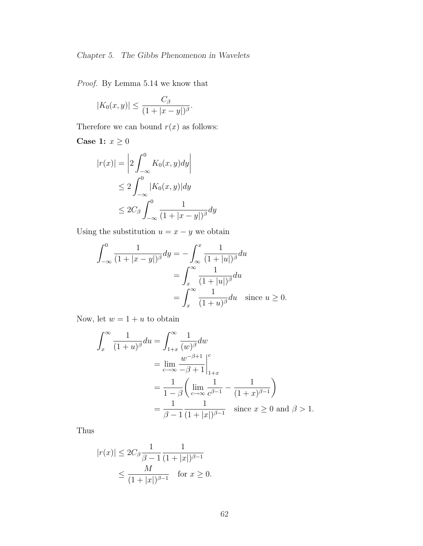Proof. By Lemma 5.14 we know that

$$
|K_0(x,y)| \le \frac{C_\beta}{(1+|x-y|)^\beta}.
$$

Therefore we can bound  $r(x)$  as follows:

Case 1:  $x\geq 0$ 

$$
|r(x)| = \left| 2 \int_{-\infty}^{0} K_0(x, y) dy \right|
$$
  
\n
$$
\leq 2 \int_{-\infty}^{0} |K_0(x, y)| dy
$$
  
\n
$$
\leq 2C_\beta \int_{-\infty}^{0} \frac{1}{(1 + |x - y|)^\beta} dy
$$

Using the substitution  $u = x - y$  we obtain

$$
\int_{-\infty}^{0} \frac{1}{(1+|x-y|)^{\beta}} dy = -\int_{\infty}^{x} \frac{1}{(1+|u|)^{\beta}} du
$$

$$
= \int_{x}^{\infty} \frac{1}{(1+|u|)^{\beta}} du
$$

$$
= \int_{x}^{\infty} \frac{1}{(1+u)^{\beta}} du \quad \text{since } u \ge 0.
$$

Now, let  $w = 1 + u$  to obtain

$$
\int_{x}^{\infty} \frac{1}{(1+u)^{\beta}} du = \int_{1+x}^{\infty} \frac{1}{(w)^{\beta}} dw
$$
  
= 
$$
\lim_{c \to \infty} \frac{w^{-\beta+1}}{-\beta+1} \Big|_{1+x}^{c}
$$
  
= 
$$
\frac{1}{1-\beta} \left( \lim_{c \to \infty} \frac{1}{c^{\beta-1}} - \frac{1}{(1+x)^{\beta-1}} \right)
$$
  
= 
$$
\frac{1}{\beta-1} \frac{1}{(1+|x|)^{\beta-1}} \quad \text{since } x \ge 0 \text{ and } \beta > 1.
$$

Thus

$$
|r(x)| \le 2C_{\beta} \frac{1}{\beta - 1} \frac{1}{(1 + |x|)^{\beta - 1}}
$$
  
 
$$
\le \frac{M}{(1 + |x|)^{\beta - 1}} \quad \text{for } x \ge 0.
$$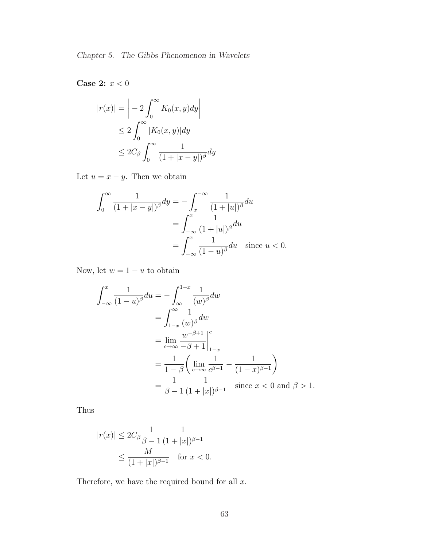Case 2:  $x < 0$ 

$$
|r(x)| = \left| -2 \int_0^\infty K_0(x, y) dy \right|
$$
  
\n
$$
\leq 2 \int_0^\infty |K_0(x, y)| dy
$$
  
\n
$$
\leq 2C_\beta \int_0^\infty \frac{1}{(1 + |x - y|)^\beta} dy
$$

Let  $u = x - y$ . Then we obtain

$$
\int_0^\infty \frac{1}{(1+|x-y|)^\beta} dy = -\int_x^{-\infty} \frac{1}{(1+|u|)^\beta} du
$$

$$
= \int_{-\infty}^x \frac{1}{(1+|u|)^\beta} du
$$

$$
= \int_{-\infty}^x \frac{1}{(1-u)^\beta} du \quad \text{since } u < 0.
$$

Now, let  $w = 1 - u$  to obtain

$$
\int_{-\infty}^{x} \frac{1}{(1-u)^{\beta}} du = -\int_{\infty}^{1-x} \frac{1}{(w)^{\beta}} dw
$$
  
= 
$$
\int_{1-x}^{\infty} \frac{1}{(w)^{\beta}} dw
$$
  
= 
$$
\lim_{c \to \infty} \frac{w^{-\beta+1}}{-\beta+1} \Big|_{1-x}^{c}
$$
  
= 
$$
\frac{1}{1-\beta} \left( \lim_{c \to \infty} \frac{1}{c^{\beta-1}} - \frac{1}{(1-x)^{\beta-1}} \right)
$$
  
= 
$$
\frac{1}{\beta-1} \frac{1}{(1+|x|)^{\beta-1}} \quad \text{since } x < 0 \text{ and } \beta > 1.
$$

Thus

$$
|r(x)| \le 2C_{\beta} \frac{1}{\beta - 1} \frac{1}{(1 + |x|)^{\beta - 1}} \le \frac{M}{(1 + |x|)^{\beta - 1}} \quad \text{for } x < 0.
$$

Therefore, we have the required bound for all  $x$ .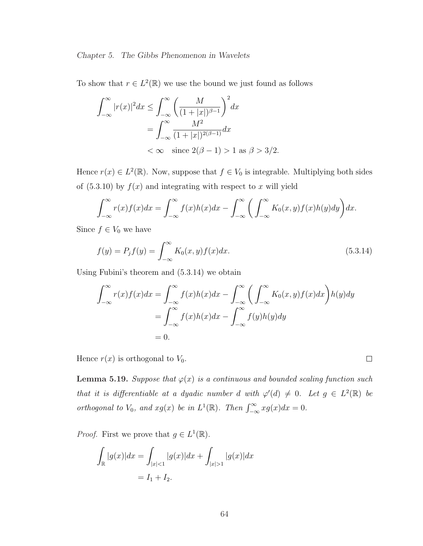To show that  $r \in L^2(\mathbb{R})$  we use the bound we just found as follows

$$
\int_{-\infty}^{\infty} |r(x)|^2 dx \le \int_{-\infty}^{\infty} \left(\frac{M}{(1+|x|)^{\beta-1}}\right)^2 dx
$$
  
= 
$$
\int_{-\infty}^{\infty} \frac{M^2}{(1+|x|)^{2(\beta-1)}} dx
$$
  
< 
$$
< \infty \quad \text{since } 2(\beta - 1) > 1 \text{ as } \beta > 3/2.
$$

Hence  $r(x) \in L^2(\mathbb{R})$ . Now, suppose that  $f \in V_0$  is integrable. Multiplying both sides of  $(5.3.10)$  by  $f(x)$  and integrating with respect to x will yield

$$
\int_{-\infty}^{\infty} r(x)f(x)dx = \int_{-\infty}^{\infty} f(x)h(x)dx - \int_{-\infty}^{\infty} \left(\int_{-\infty}^{\infty} K_0(x,y)f(x)h(y)dy\right)dx.
$$

Since  $f \in V_0$  we have

$$
f(y) = P_j f(y) = \int_{-\infty}^{\infty} K_0(x, y) f(x) dx.
$$
 (5.3.14)

Using Fubini's theorem and (5.3.14) we obtain

$$
\int_{-\infty}^{\infty} r(x)f(x)dx = \int_{-\infty}^{\infty} f(x)h(x)dx - \int_{-\infty}^{\infty} \left(\int_{-\infty}^{\infty} K_0(x, y)f(x)dx\right)h(y)dy
$$
  
= 
$$
\int_{-\infty}^{\infty} f(x)h(x)dx - \int_{-\infty}^{\infty} f(y)h(y)dy
$$
  
= 0.

Hence  $r(x)$  is orthogonal to  $V_0$ .

**Lemma 5.19.** Suppose that  $\varphi(x)$  is a continuous and bounded scaling function such that it is differentiable at a dyadic number d with  $\varphi'(d) \neq 0$ . Let  $g \in L^2(\mathbb{R})$  be orthogonal to  $V_0$ , and  $xg(x)$  be in  $L^1(\mathbb{R})$ . Then  $\int_{-\infty}^{\infty} xg(x)dx = 0$ .

 $\Box$ 

*Proof.* First we prove that  $g \in L^1(\mathbb{R})$ .

$$
\int_{\mathbb{R}} |g(x)| dx = \int_{|x| < 1} |g(x)| dx + \int_{|x| > 1} |g(x)| dx
$$
\n
$$
= I_1 + I_2.
$$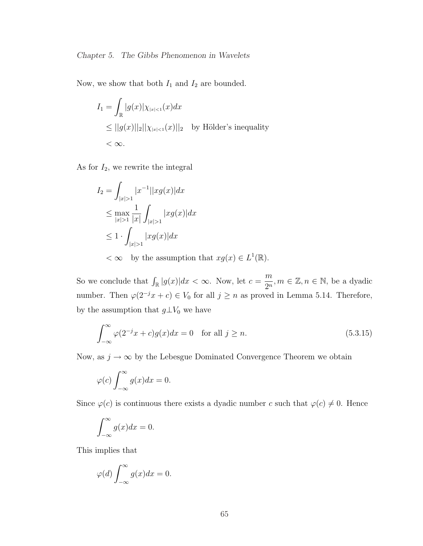Now, we show that both  $I_1$  and  $I_2$  are bounded.

$$
I_1 = \int_{\mathbb{R}} |g(x)| \chi_{|x| < 1}(x) dx
$$
\n
$$
\leq ||g(x)||_2 ||\chi_{|x| < 1}(x)||_2 \quad \text{by Hölder's inequality}
$$
\n
$$
< \infty.
$$

As for  $I_2$ , we rewrite the integral

$$
I_2 = \int_{|x|>1} |x^{-1}| |xg(x)| dx
$$
  
\n
$$
\leq \max_{|x|>1} \frac{1}{|x|} \int_{|x|>1} |xg(x)| dx
$$
  
\n
$$
\leq 1 \cdot \int_{|x|>1} |xg(x)| dx
$$
  
\n
$$
< \infty \text{ by the assumption that } xg(x) \in L^1(\mathbb{R}).
$$

So we conclude that  $\int_{\mathbb{R}} |g(x)| dx < \infty$ . Now, let  $c =$ m  $\frac{m}{2^n}, m \in \mathbb{Z}, n \in \mathbb{N}$ , be a dyadic number. Then  $\varphi(2^{-j}x + c) \in V_0$  for all  $j \geq n$  as proved in Lemma 5.14. Therefore, by the assumption that  $g\bot V_0$  we have

$$
\int_{-\infty}^{\infty} \varphi(2^{-j}x + c)g(x)dx = 0 \quad \text{for all } j \ge n.
$$
 (5.3.15)

Now, as  $j \to \infty$  by the Lebesgue Dominated Convergence Theorem we obtain

$$
\varphi(c)\int_{-\infty}^{\infty} g(x)dx = 0.
$$

Since  $\varphi(c)$  is continuous there exists a dyadic number c such that  $\varphi(c) \neq 0$ . Hence

$$
\int_{-\infty}^{\infty} g(x)dx = 0.
$$

This implies that

$$
\varphi(d)\int_{-\infty}^{\infty} g(x)dx = 0.
$$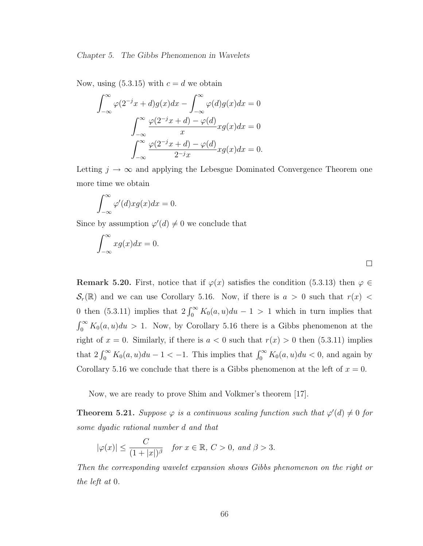Now, using  $(5.3.15)$  with  $c = d$  we obtain

$$
\int_{-\infty}^{\infty} \varphi(2^{-j}x + d)g(x)dx - \int_{-\infty}^{\infty} \varphi(d)g(x)dx = 0
$$

$$
\int_{-\infty}^{\infty} \frac{\varphi(2^{-j}x + d) - \varphi(d)}{x} xg(x)dx = 0
$$

$$
\int_{-\infty}^{\infty} \frac{\varphi(2^{-j}x + d) - \varphi(d)}{2^{-j}x} xg(x)dx = 0.
$$

Letting  $j \to \infty$  and applying the Lebesgue Dominated Convergence Theorem one more time we obtain

$$
\int_{-\infty}^{\infty} \varphi'(d) x g(x) dx = 0.
$$

Since by assumption  $\varphi'(d) \neq 0$  we conclude that

$$
\int_{-\infty}^{\infty} x g(x) dx = 0.
$$

Remark 5.20. First, notice that if  $\varphi(x)$  satisfies the condition (5.3.13) then  $\varphi \in$  $\mathcal{S}_r(\mathbb{R})$  and we can use Corollary 5.16. Now, if there is  $a > 0$  such that  $r(x) <$ 0 then (5.3.11) implies that  $2 \int_0^\infty K_0(a, u) du - 1 > 1$  which in turn implies that  $r^{\infty}$  $\int_0^\infty K_0(a, u)du > 1$ . Now, by Corollary 5.16 there is a Gibbs phenomenon at the right of  $x = 0$ . Similarly, if there is  $a < 0$  such that  $r(x) > 0$  then (5.3.11) implies that  $2 \int_0^\infty K_0(a, u) du - 1 < -1$ . This implies that  $\int_0^\infty K_0(a, u) du < 0$ , and again by Corollary 5.16 we conclude that there is a Gibbs phenomenon at the left of  $x = 0$ .

Now, we are ready to prove Shim and Volkmer's theorem [17].

**Theorem 5.21.** Suppose  $\varphi$  is a continuous scaling function such that  $\varphi'(d) \neq 0$  for some dyadic rational number d and that

$$
|\varphi(x)| \le \frac{C}{(1+|x|)^{\beta}} \quad \text{for } x \in \mathbb{R}, \ C > 0, \ \text{and } \beta > 3.
$$

Then the corresponding wavelet expansion shows Gibbs phenomenon on the right or the left at 0.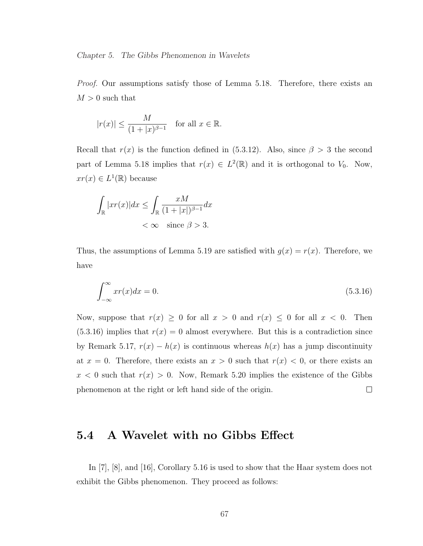Proof. Our assumptions satisfy those of Lemma 5.18. Therefore, there exists an  $M > 0$  such that

$$
|r(x)| \le \frac{M}{(1+|x)^{\beta-1}} \quad \text{for all } x \in \mathbb{R}.
$$

Recall that  $r(x)$  is the function defined in (5.3.12). Also, since  $\beta > 3$  the second part of Lemma 5.18 implies that  $r(x) \in L^2(\mathbb{R})$  and it is orthogonal to  $V_0$ . Now,  $xr(x) \in L^1(\mathbb{R})$  because

$$
\int_{\mathbb{R}} |xr(x)| dx \le \int_{\mathbb{R}} \frac{xM}{(1+|x|)^{\beta-1}} dx
$$
  
<  $\infty$  since  $\beta > 3$ .

Thus, the assumptions of Lemma 5.19 are satisfied with  $g(x) = r(x)$ . Therefore, we have

$$
\int_{-\infty}^{\infty} x r(x) dx = 0.
$$
\n(5.3.16)

Now, suppose that  $r(x) \geq 0$  for all  $x > 0$  and  $r(x) \leq 0$  for all  $x < 0$ . Then  $(5.3.16)$  implies that  $r(x) = 0$  almost everywhere. But this is a contradiction since by Remark 5.17,  $r(x) - h(x)$  is continuous whereas  $h(x)$  has a jump discontinuity at  $x = 0$ . Therefore, there exists an  $x > 0$  such that  $r(x) < 0$ , or there exists an  $x < 0$  such that  $r(x) > 0$ . Now, Remark 5.20 implies the existence of the Gibbs phenomenon at the right or left hand side of the origin.  $\Box$ 

### 5.4 A Wavelet with no Gibbs Effect

In [7], [8], and [16], Corollary 5.16 is used to show that the Haar system does not exhibit the Gibbs phenomenon. They proceed as follows: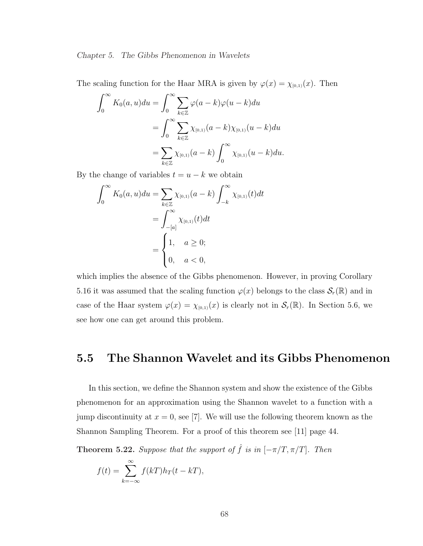The scaling function for the Haar MRA is given by  $\varphi(x) = \chi_{[0,1)}(x)$ . Then

$$
\int_0^{\infty} K_0(a, u) du = \int_0^{\infty} \sum_{k \in \mathbb{Z}} \varphi(a - k) \varphi(u - k) du
$$
  
= 
$$
\int_0^{\infty} \sum_{k \in \mathbb{Z}} \chi_{[0,1)}(a - k) \chi_{[0,1)}(u - k) du
$$
  
= 
$$
\sum_{k \in \mathbb{Z}} \chi_{[0,1)}(a - k) \int_0^{\infty} \chi_{[0,1)}(u - k) du.
$$

By the change of variables  $t = u - k$  we obtain

$$
\int_0^\infty K_0(a, u) du = \sum_{k \in \mathbb{Z}} \chi_{[0,1)}(a - k) \int_{-k}^\infty \chi_{[0,1)}(t) dt
$$
  
= 
$$
\int_{-[a]}^\infty \chi_{[0,1)}(t) dt
$$
  
= 
$$
\begin{cases} 1, & a \ge 0; \\ 0, & a < 0, \end{cases}
$$

which implies the absence of the Gibbs phenomenon. However, in proving Corollary 5.16 it was assumed that the scaling function  $\varphi(x)$  belongs to the class  $\mathcal{S}_r(\mathbb{R})$  and in case of the Haar system  $\varphi(x) = \chi_{[0,1)}(x)$  is clearly not in  $\mathcal{S}_r(\mathbb{R})$ . In Section 5.6, we see how one can get around this problem.

### 5.5 The Shannon Wavelet and its Gibbs Phenomenon

In this section, we define the Shannon system and show the existence of the Gibbs phenomenon for an approximation using the Shannon wavelet to a function with a jump discontinuity at  $x = 0$ , see [7]. We will use the following theorem known as the Shannon Sampling Theorem. For a proof of this theorem see [11] page 44.

**Theorem 5.22.** Suppose that the support of  $\hat{f}$  is in  $[-\pi/T, \pi/T]$ . Then

$$
f(t) = \sum_{k=-\infty}^{\infty} f(kT)h_T(t - kT),
$$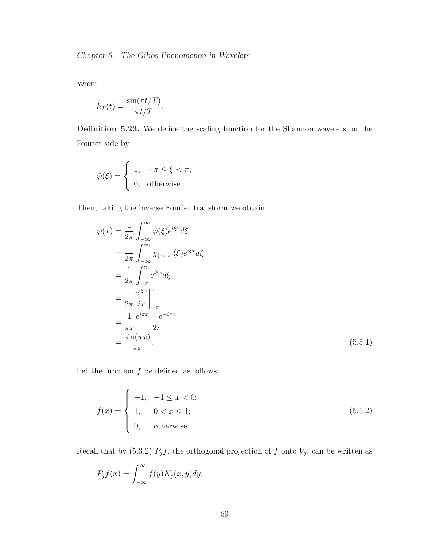where

$$
h_T(t) = \frac{\sin(\pi t/T)}{\pi t/T}.
$$

Definition 5.23. We define the scaling function for the Shannon wavelets on the Fourier side by

$$
\hat{\varphi}(\xi) = \begin{cases} 1, & -\pi \le \xi < \pi; \\ 0, & \text{otherwise.} \end{cases}
$$

Then, taking the inverse Fourier transform we obtain

$$
\varphi(x) = \frac{1}{2\pi} \int_{-\infty}^{\infty} \hat{\varphi}(\xi) e^{i\xi x} d\xi
$$
  
\n
$$
= \frac{1}{2\pi} \int_{-\infty}^{\infty} \chi_{[-\pi,\pi)}(\xi) e^{i\xi x} d\xi
$$
  
\n
$$
= \frac{1}{2\pi} \int_{-\pi}^{\pi} e^{i\xi x} d\xi
$$
  
\n
$$
= \frac{1}{2\pi} \frac{e^{i\xi x}}{ix} \Big|_{-\pi}^{\pi}
$$
  
\n
$$
= \frac{1}{\pi x} \frac{e^{i\pi x} - e^{-i\pi x}}{2i}
$$
  
\n
$$
= \frac{\sin(\pi x)}{\pi x}.
$$
 (5.5.1)

Let the function  $f$  be defined as follows:

$$
f(x) = \begin{cases} -1, & -1 \le x < 0; \\ 1, & 0 < x \le 1; \\ 0, & \text{otherwise.} \end{cases}
$$
 (5.5.2)

Recall that by (5.3.2)  $P_j f$ , the orthogonal projection of f onto  $V_j$ , can be written as

$$
P_j f(x) = \int_{-\infty}^{\infty} f(y) K_j(x, y) dy,
$$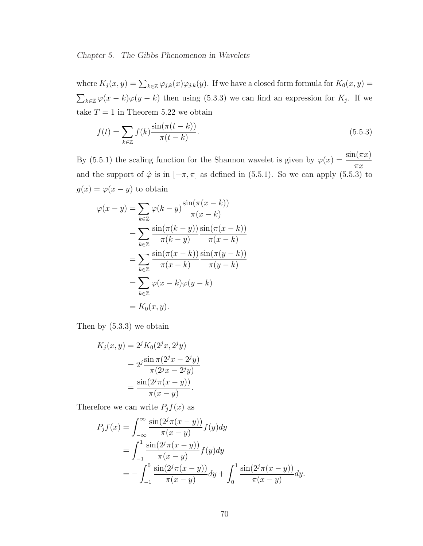where  $K_j(x, y) = \sum_{k \in \mathbb{Z}} \varphi_{j,k}(x) \varphi_{j,k}(y)$ . If we have a closed form formula for  $K_0(x, y) =$  $\overline{ }$  $\log k \in \mathbb{Z}$   $\varphi(x-k)\varphi(y-k)$  then using (5.3.3) we can find an expression for  $K_j$ . If we take  $T = 1$  in Theorem 5.22 we obtain

$$
f(t) = \sum_{k \in \mathbb{Z}} f(k) \frac{\sin(\pi(t - k))}{\pi(t - k)}.
$$
\n
$$
(5.5.3)
$$

By (5.5.1) the scaling function for the Shannon wavelet is given by  $\varphi(x) = \frac{\sin(\pi x)}{\pi}$  $\pi x$ and the support of  $\hat{\varphi}$  is in  $[-\pi, \pi]$  as defined in (5.5.1). So we can apply (5.5.3) to  $g(x) = \varphi(x - y)$  to obtain

$$
\varphi(x - y) = \sum_{k \in \mathbb{Z}} \varphi(k - y) \frac{\sin(\pi(x - k))}{\pi(x - k)}
$$
  
= 
$$
\sum_{k \in \mathbb{Z}} \frac{\sin(\pi(k - y))}{\pi(k - y)} \frac{\sin(\pi(x - k))}{\pi(x - k)}
$$
  
= 
$$
\sum_{k \in \mathbb{Z}} \frac{\sin(\pi(x - k))}{\pi(x - k)} \frac{\sin(\pi(y - k))}{\pi(y - k)}
$$
  
= 
$$
\sum_{k \in \mathbb{Z}} \varphi(x - k) \varphi(y - k)
$$
  
= 
$$
K_0(x, y).
$$

Then by (5.3.3) we obtain

$$
K_j(x, y) = 2j K_0(2jx, 2jy)
$$
  
= 
$$
2j \frac{\sin \pi (2jx - 2jy)}{\pi (2jx - 2jy)}
$$
  
= 
$$
\frac{\sin(2j\pi(x - y))}{\pi(x - y)}.
$$

Therefore we can write  $P_j f(x)$  as

$$
P_j f(x) = \int_{-\infty}^{\infty} \frac{\sin(2^j \pi (x - y))}{\pi (x - y)} f(y) dy
$$
  
= 
$$
\int_{-1}^{1} \frac{\sin(2^j \pi (x - y))}{\pi (x - y)} f(y) dy
$$
  
= 
$$
-\int_{-1}^{0} \frac{\sin(2^j \pi (x - y))}{\pi (x - y)} dy + \int_{0}^{1} \frac{\sin(2^j \pi (x - y))}{\pi (x - y)} dy.
$$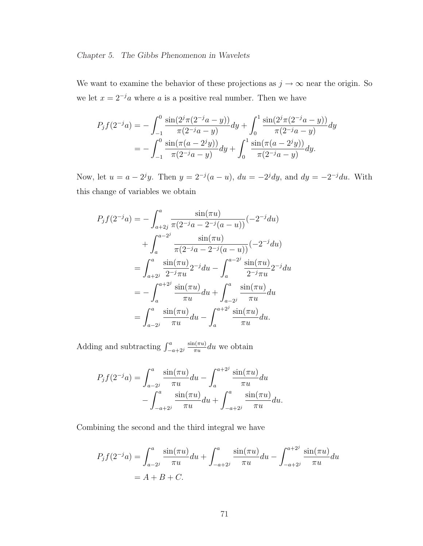We want to examine the behavior of these projections as  $j \to \infty$  near the origin. So we let  $x = 2^{-j}a$  where a is a positive real number. Then we have

$$
P_j f(2^{-j}a) = -\int_{-1}^0 \frac{\sin(2^j \pi (2^{-j}a - y))}{\pi (2^{-j}a - y)} dy + \int_0^1 \frac{\sin(2^j \pi (2^{-j}a - y))}{\pi (2^{-j}a - y)} dy
$$
  
= 
$$
-\int_{-1}^0 \frac{\sin(\pi (a - 2^j y))}{\pi (2^{-j}a - y)} dy + \int_0^1 \frac{\sin(\pi (a - 2^j y))}{\pi (2^{-j}a - y)} dy.
$$

Now, let  $u = a - 2^{j}y$ . Then  $y = 2^{-j}(a - u)$ ,  $du = -2^{j}dy$ , and  $dy = -2^{-j}du$ . With this change of variables we obtain

$$
P_j f(2^{-j}a) = -\int_{a+2j}^a \frac{\sin(\pi u)}{\pi (2^{-j}a - 2^{-j}(a - u))} (-2^{-j} du)
$$
  
+ 
$$
\int_a^{a-2j} \frac{\sin(\pi u)}{\pi (2^{-j}a - 2^{-j}(a - u))} (-2^{-j} du)
$$
  
= 
$$
\int_{a+2j}^a \frac{\sin(\pi u)}{2^{-j}\pi u} 2^{-j} du - \int_a^{a-2j} \frac{\sin(\pi u)}{2^{-j}\pi u} 2^{-j} du
$$
  
= 
$$
-\int_a^{a+2j} \frac{\sin(\pi u)}{\pi u} du + \int_{a-2j}^a \frac{\sin(\pi u)}{\pi u} du
$$
  
= 
$$
\int_{a-2j}^a \frac{\sin(\pi u)}{\pi u} du - \int_a^{a+2j} \frac{\sin(\pi u)}{\pi u} du.
$$

Adding and subtracting  $\int_{-a+2j}^{a}$  $\sin(\pi u)$  $\frac{\ln(\pi u)}{\pi u}$ du we obtain

$$
P_j f(2^{-j}a) = \int_{a-2^j}^a \frac{\sin(\pi u)}{\pi u} du - \int_a^{a+2^j} \frac{\sin(\pi u)}{\pi u} du - \int_{-a+2^j}^a \frac{\sin(\pi u)}{\pi u} du + \int_{-a+2^j}^a \frac{\sin(\pi u)}{\pi u} du.
$$

Combining the second and the third integral we have

$$
P_j f(2^{-j}a) = \int_{a-2^j}^a \frac{\sin(\pi u)}{\pi u} du + \int_{-a+2^j}^a \frac{\sin(\pi u)}{\pi u} du - \int_{-a+2^j}^{a+2^j} \frac{\sin(\pi u)}{\pi u} du
$$
  
= A + B + C.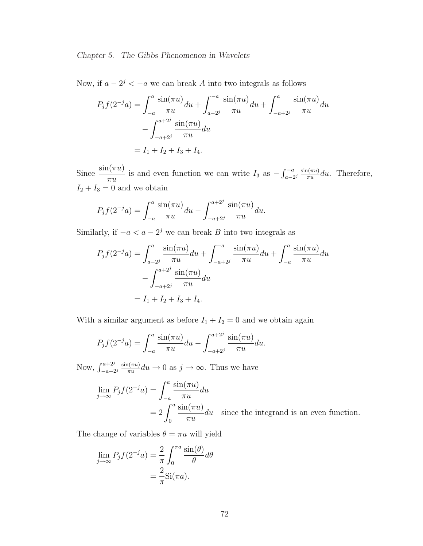Now, if  $a - 2^j < -a$  we can break A into two integrals as follows

$$
P_j f(2^{-j}a) = \int_{-a}^{a} \frac{\sin(\pi u)}{\pi u} du + \int_{a-2j}^{-a} \frac{\sin(\pi u)}{\pi u} du + \int_{-a+2j}^{a} \frac{\sin(\pi u)}{\pi u} du
$$

$$
- \int_{-a+2j}^{a+2j} \frac{\sin(\pi u)}{\pi u} du
$$

$$
= I_1 + I_2 + I_3 + I_4.
$$

Since  $\frac{\sin(\pi u)}{\pi}$  $\frac{d(u, u)}{du}$  is and even function we can write  $I_3$  as –  $r - a$  $\frac{a-a}{a-2i}$   $\frac{\sin(\pi u)}{\pi u}$  $\frac{d(u\pi u)}{\pi u}du$ . Therefore,  ${\cal I}_2 + {\cal I}_3 = 0$  and we obtain

$$
P_j f(2^{-j}a) = \int_{-a}^{a} \frac{\sin(\pi u)}{\pi u} du - \int_{-a+2^{j}}^{a+2^{j}} \frac{\sin(\pi u)}{\pi u} du.
$$

Similarly, if  $-a < a - 2<sup>j</sup>$  we can break B into two integrals as

$$
P_j f(2^{-j}a) = \int_{a-2j}^a \frac{\sin(\pi u)}{\pi u} du + \int_{-a+2j}^{-a} \frac{\sin(\pi u)}{\pi u} du + \int_{-a}^a \frac{\sin(\pi u)}{\pi u} du
$$

$$
- \int_{-a+2j}^{a+2j} \frac{\sin(\pi u)}{\pi u} du
$$

$$
= I_1 + I_2 + I_3 + I_4.
$$

With a similar argument as before  $I_1 + I_2 = 0$  and we obtain again

$$
P_j f(2^{-j}a) = \int_{-a}^{a} \frac{\sin(\pi u)}{\pi u} du - \int_{-a+2^{j}}^{a+2^{j}} \frac{\sin(\pi u)}{\pi u} du.
$$

Now,  $\int_{-a+2j}^{a+2j}$  $\sin(\pi u)$  $\frac{\partial u(\pi u)}{\pi u} du \to 0$  as  $j \to \infty$ . Thus we have

$$
\lim_{j \to \infty} P_j f(2^{-j} a) = \int_{-a}^{a} \frac{\sin(\pi u)}{\pi u} du
$$
  
=  $2 \int_{0}^{a} \frac{\sin(\pi u)}{\pi u} du$  since the integrand is an even function.

The change of variables  $\theta = \pi u$  will yield

$$
\lim_{j \to \infty} P_j f(2^{-j} a) = \frac{2}{\pi} \int_0^{\pi a} \frac{\sin(\theta)}{\theta} d\theta
$$

$$
= \frac{2}{\pi} \text{Si}(\pi a).
$$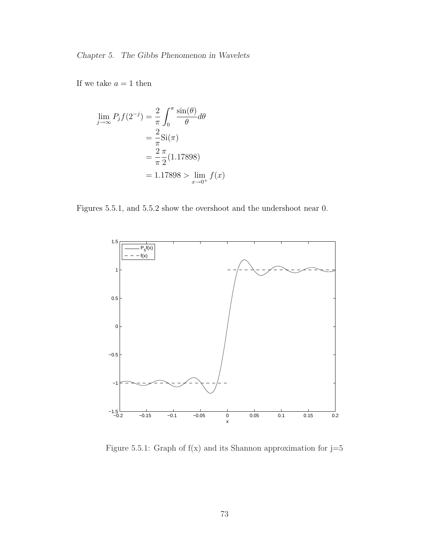If we take  $a = 1$  then

$$
\lim_{j \to \infty} P_j f(2^{-j}) = \frac{2}{\pi} \int_0^{\pi} \frac{\sin(\theta)}{\theta} d\theta
$$

$$
= \frac{2}{\pi} \text{Si}(\pi)
$$

$$
= \frac{2}{\pi} \frac{\pi}{2} (1.17898)
$$

$$
= 1.17898 > \lim_{x \to 0^+} f(x)
$$

Figures 5.5.1, and 5.5.2 show the overshoot and the undershoot near 0.



Figure 5.5.1: Graph of  $f(x)$  and its Shannon approximation for  $j=5$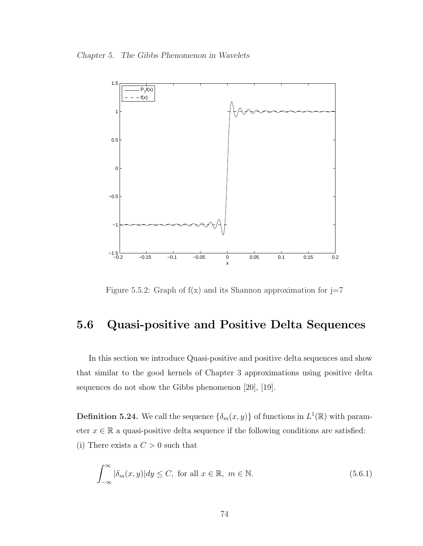Chapter 5. The Gibbs Phenomenon in Wavelets



Figure 5.5.2: Graph of  $f(x)$  and its Shannon approximation for  $j=7$ 

## 5.6 Quasi-positive and Positive Delta Sequences

In this section we introduce Quasi-positive and positive delta sequences and show that similar to the good kernels of Chapter 3 approximations using positive delta sequences do not show the Gibbs phenomenon [20], [19].

**Definition 5.24.** We call the sequence  $\{\delta_m(x, y)\}\$  of functions in  $L^1(\mathbb{R})$  with parameter  $x \in \mathbb{R}$  a quasi-positive delta sequence if the following conditions are satisfied: (i) There exists a  $C > 0$  such that

$$
\int_{-\infty}^{\infty} |\delta_m(x, y)| dy \le C, \text{ for all } x \in \mathbb{R}, m \in \mathbb{N}.
$$
 (5.6.1)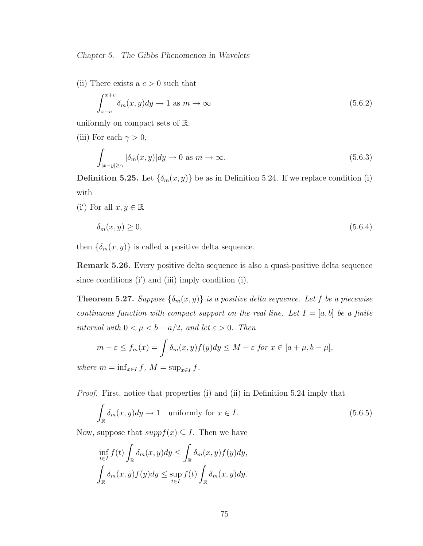(ii) There exists a  $c > 0$  such that

$$
\int_{x-c}^{x+c} \delta_m(x, y) dy \to 1 \text{ as } m \to \infty \tag{5.6.2}
$$

uniformly on compact sets of R.

(iii) For each  $\gamma > 0$ ,

$$
\int_{|x-y| \ge \gamma} |\delta_m(x, y)| dy \to 0 \text{ as } m \to \infty. \tag{5.6.3}
$$

**Definition 5.25.** Let  $\{\delta_m(x, y)\}\)$  be as in Definition 5.24. If we replace condition (i) with

(i') For all  $x, y \in \mathbb{R}$ 

$$
\delta_m(x, y) \ge 0,\tag{5.6.4}
$$

then  $\{\delta_m(x, y)\}\$ is called a positive delta sequence.

Remark 5.26. Every positive delta sequence is also a quasi-positive delta sequence since conditions  $(i')$  and  $(iii)$  imply condition  $(i)$ .

**Theorem 5.27.** Suppose  $\{\delta_m(x, y)\}\$ is a positive delta sequence. Let f be a piecewise continuous function with compact support on the real line. Let  $I = [a, b]$  be a finite interval with  $0 < \mu < b - a/2$ , and let  $\varepsilon > 0$ . Then

$$
m - \varepsilon \le f_m(x) = \int \delta_m(x, y) f(y) dy \le M + \varepsilon \text{ for } x \in [a + \mu, b - \mu],
$$

where  $m = \inf_{x \in I} f$ ,  $M = \sup_{x \in I} f$ .

Proof. First, notice that properties (i) and (ii) in Definition 5.24 imply that

$$
\int_{\mathbb{R}} \delta_m(x, y) dy \to 1 \quad \text{uniformly for } x \in I. \tag{5.6.5}
$$

Now, suppose that  $suppf(x) \subseteq I$ . Then we have

$$
\inf_{t \in I} f(t) \int_{\mathbb{R}} \delta_m(x, y) dy \le \int_{\mathbb{R}} \delta_m(x, y) f(y) dy,
$$
  

$$
\int_{\mathbb{R}} \delta_m(x, y) f(y) dy \le \sup_{t \in I} f(t) \int_{\mathbb{R}} \delta_m(x, y) dy.
$$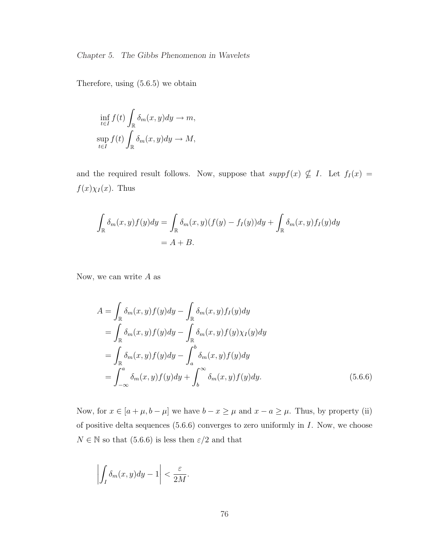Therefore, using (5.6.5) we obtain

$$
\inf_{t \in I} f(t) \int_{\mathbb{R}} \delta_m(x, y) dy \to m,
$$
  

$$
\sup_{t \in I} f(t) \int_{\mathbb{R}} \delta_m(x, y) dy \to M,
$$

and the required result follows. Now, suppose that  $suppf(x) \nsubseteq I$ . Let  $f_I(x) =$  $f(x)\chi_I(x)$ . Thus

$$
\int_{\mathbb{R}} \delta_m(x, y) f(y) dy = \int_{\mathbb{R}} \delta_m(x, y) (f(y) - f_I(y)) dy + \int_{\mathbb{R}} \delta_m(x, y) f_I(y) dy
$$
  
=  $A + B$ .

Now, we can write  $A$  as

$$
A = \int_{\mathbb{R}} \delta_m(x, y) f(y) dy - \int_{\mathbb{R}} \delta_m(x, y) f_I(y) dy
$$
  
\n
$$
= \int_{\mathbb{R}} \delta_m(x, y) f(y) dy - \int_{\mathbb{R}} \delta_m(x, y) f(y) \chi_I(y) dy
$$
  
\n
$$
= \int_{\mathbb{R}} \delta_m(x, y) f(y) dy - \int_a^b \delta_m(x, y) f(y) dy
$$
  
\n
$$
= \int_{-\infty}^a \delta_m(x, y) f(y) dy + \int_b^\infty \delta_m(x, y) f(y) dy.
$$
 (5.6.6)

Now, for  $x \in [a + \mu, b - \mu]$  we have  $b - x \ge \mu$  and  $x - a \ge \mu$ . Thus, by property (ii) of positive delta sequences (5.6.6) converges to zero uniformly in I. Now, we choose  $N \in \mathbb{N}$  so that (5.6.6) is less then  $\varepsilon/2$  and that

$$
\left| \int_I \delta_m(x, y) dy - 1 \right| < \frac{\varepsilon}{2M}.
$$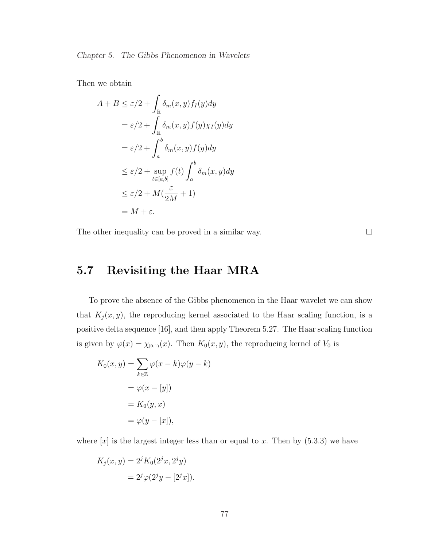Then we obtain

$$
A + B \le \varepsilon/2 + \int_{\mathbb{R}} \delta_m(x, y) f_I(y) dy
$$
  

$$
= \varepsilon/2 + \int_{\mathbb{R}} \delta_m(x, y) f(y) \chi_I(y) dy
$$
  

$$
= \varepsilon/2 + \int_a^b \delta_m(x, y) f(y) dy
$$
  

$$
\le \varepsilon/2 + \sup_{t \in [a, b]} f(t) \int_a^b \delta_m(x, y) dy
$$
  

$$
\le \varepsilon/2 + M(\frac{\varepsilon}{2M} + 1)
$$
  

$$
= M + \varepsilon.
$$

The other inequality can be proved in a similar way.

 $\Box$ 

## 5.7 Revisiting the Haar MRA

To prove the absence of the Gibbs phenomenon in the Haar wavelet we can show that  $K_j(x, y)$ , the reproducing kernel associated to the Haar scaling function, is a positive delta sequence [16], and then apply Theorem 5.27. The Haar scaling function is given by  $\varphi(x) = \chi_{[0,1)}(x)$ . Then  $K_0(x, y)$ , the reproducing kernel of  $V_0$  is

$$
K_0(x, y) = \sum_{k \in \mathbb{Z}} \varphi(x - k)\varphi(y - k)
$$

$$
= \varphi(x - [y])
$$

$$
= K_0(y, x)
$$

$$
= \varphi(y - [x]),
$$

where  $[x]$  is the largest integer less than or equal to x. Then by  $(5.3.3)$  we have

$$
K_j(x, y) = 2^{j} K_0(2^{j}x, 2^{j}y)
$$
  
=  $2^{j} \varphi(2^{j}y - [2^{j}x]).$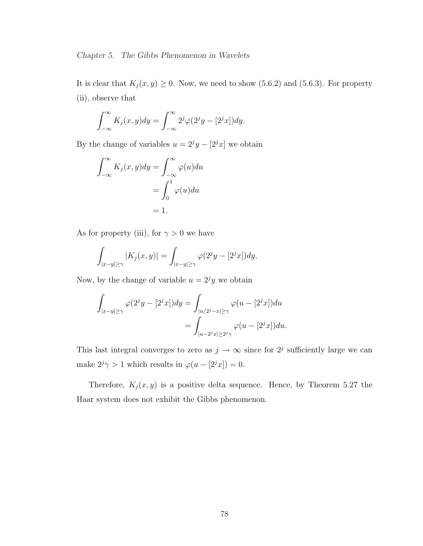It is clear that  $K_j(x, y) \geq 0$ . Now, we need to show (5.6.2) and (5.6.3). For property (ii), observe that

$$
\int_{-\infty}^{\infty} K_j(x, y) dy = \int_{-\infty}^{\infty} 2^j \varphi(2^j y - [2^j x]) dy.
$$

By the change of variables  $u = 2<sup>j</sup>y - [2<sup>j</sup>x]$  we obtain

$$
\int_{-\infty}^{\infty} K_j(x, y) dy = \int_{-\infty}^{\infty} \varphi(u) du
$$

$$
= \int_{0}^{1} \varphi(u) du
$$

$$
= 1.
$$

As for property (iii), for  $\gamma > 0$  we have

$$
\int_{|x-y|\geq \gamma} |K_j(x,y)| = \int_{|x-y|\geq \gamma} \varphi(2^jy-[2^jx])dy.
$$

Now, by the change of variable  $u = 2<sup>j</sup>y$  we obtain

$$
\int_{|x-y| \ge \gamma} \varphi(2^j y - [2^j x]) dy = \int_{|u/2^j - x| \ge \gamma} \varphi(u - [2^j x]) du
$$
  
= 
$$
\int_{|u-2^j x| \ge 2^j \gamma} \varphi(u - [2^j x]) du.
$$

This last integral converges to zero as  $j \to \infty$  since for  $2^j$  sufficiently large we can make  $2^j \gamma > 1$  which results in  $\varphi(u - [2^j x]) = 0$ .

Therefore,  $K_j(x, y)$  is a positive delta sequence. Hence, by Theorem 5.27 the Haar system does not exhibit the Gibbs phenomenon.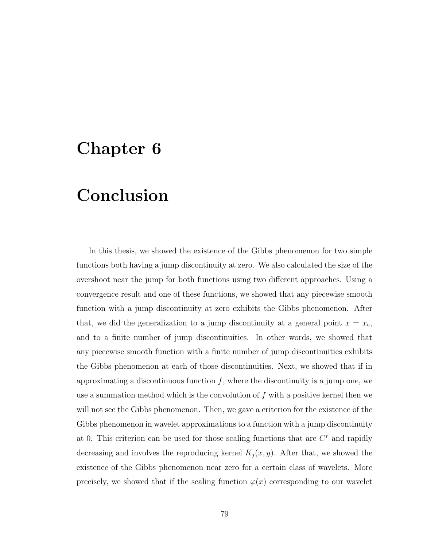# Chapter 6

# Conclusion

In this thesis, we showed the existence of the Gibbs phenomenon for two simple functions both having a jump discontinuity at zero. We also calculated the size of the overshoot near the jump for both functions using two different approaches. Using a convergence result and one of these functions, we showed that any piecewise smooth function with a jump discontinuity at zero exhibits the Gibbs phenomenon. After that, we did the generalization to a jump discontinuity at a general point  $x = x<sub>°</sub>$ , and to a finite number of jump discontinuities. In other words, we showed that any piecewise smooth function with a finite number of jump discontinuities exhibits the Gibbs phenomenon at each of those discontinuities. Next, we showed that if in approximating a discontinuous function  $f$ , where the discontinuity is a jump one, we use a summation method which is the convolution of  $f$  with a positive kernel then we will not see the Gibbs phenomenon. Then, we gave a criterion for the existence of the Gibbs phenomenon in wavelet approximations to a function with a jump discontinuity at 0. This criterion can be used for those scaling functions that are  $C<sup>r</sup>$  and rapidly decreasing and involves the reproducing kernel  $K_j(x, y)$ . After that, we showed the existence of the Gibbs phenomenon near zero for a certain class of wavelets. More precisely, we showed that if the scaling function  $\varphi(x)$  corresponding to our wavelet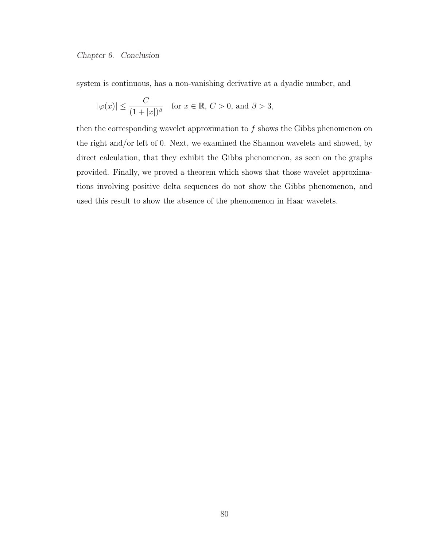Chapter 6. Conclusion

system is continuous, has a non-vanishing derivative at a dyadic number, and

$$
|\varphi(x)| \le \frac{C}{(1+|x|)^{\beta}} \quad \text{for } x \in \mathbb{R}, C > 0, \text{ and } \beta > 3,
$$

then the corresponding wavelet approximation to  $f$  shows the Gibbs phenomenon on the right and/or left of 0. Next, we examined the Shannon wavelets and showed, by direct calculation, that they exhibit the Gibbs phenomenon, as seen on the graphs provided. Finally, we proved a theorem which shows that those wavelet approximations involving positive delta sequences do not show the Gibbs phenomenon, and used this result to show the absence of the phenomenon in Haar wavelets.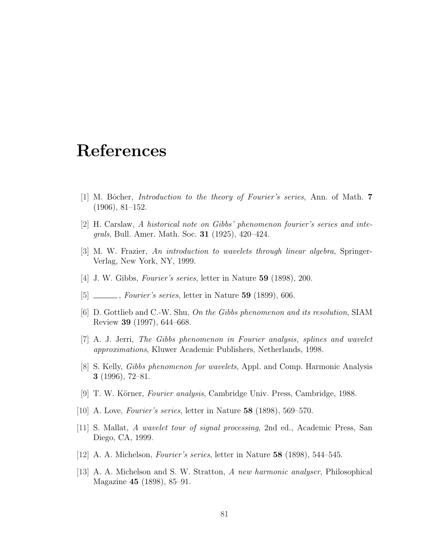# References

- [1] M. Bôcher, *Introduction to the theory of Fourier's series*, Ann. of Math.  $7$ (1906), 81–152.
- [2] H. Carslaw, A historical note on Gibbs' phenomenon fourier's series and integrals, Bull. Amer. Math. Soc. 31 (1925), 420–424.
- [3] M. W. Frazier, An introduction to wavelets through linear algebra, Springer-Verlag, New York, NY, 1999.
- [4] J. W. Gibbs, Fourier's series, letter in Nature 59 (1898), 200.
- $[5]$  *\_\_\_\_, Fourier's series*, letter in Nature 59 (1899), 606.
- [6] D. Gottlieb and C.-W. Shu, On the Gibbs phenomenon and its resolution, SIAM Review 39 (1997), 644–668.
- [7] A. J. Jerri, The Gibbs phenomenon in Fourier analysis, splines and wavelet approximations, Kluwer Academic Publishers, Netherlands, 1998.
- [8] S. Kelly, Gibbs phenomenon for wavelets, Appl. and Comp. Harmonic Analysis 3 (1996), 72–81.
- [9] T. W. Körner, *Fourier analysis*, Cambridge Univ. Press, Cambridge, 1988.
- [10] A. Love, Fourier's series, letter in Nature 58 (1898), 569–570.
- [11] S. Mallat, A wavelet tour of signal processing, 2nd ed., Academic Press, San Diego, CA, 1999.
- [12] A. A. Michelson, Fourier's series, letter in Nature 58 (1898), 544–545.
- [13] A. A. Michelson and S. W. Stratton, A new harmonic analyser, Philosophical Magazine 45 (1898), 85–91.